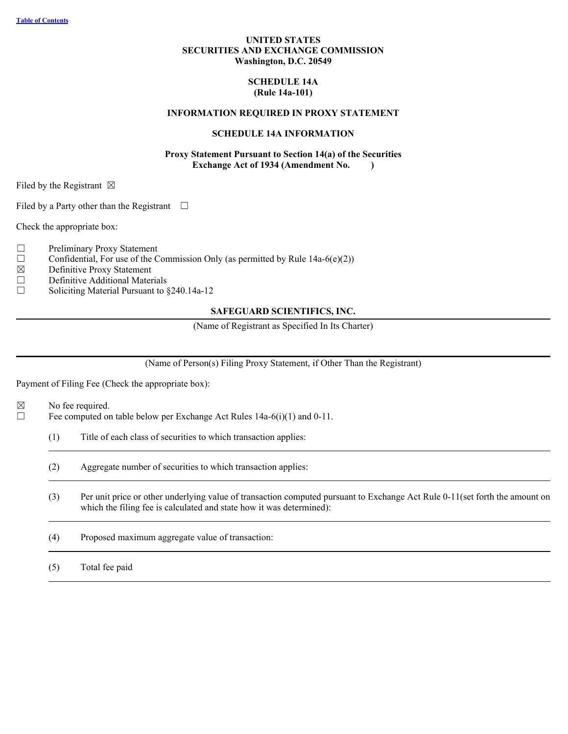# **UNITED STATES SECURITIES AND EXCHANGE COMMISSION Washington, D.C. 20549**

### **SCHEDULE 14A (Rule 14a-101)**

### **INFORMATION REQUIRED IN PROXY STATEMENT**

### **SCHEDULE 14A INFORMATION**

### **Proxy Statement Pursuant to Section 14(a) of the Securities Exchange Act of 1934 (Amendment No. )**

Filed by the Registrant  $\boxtimes$ 

Filed by a Party other than the Registrant  $\Box$ 

Check the appropriate box:

- □ Preliminary Proxy Statement
- $\Box$  Confidential, For use of the Commission Only (as permitted by Rule 14a-6(e)(2))
- $\boxtimes$  Definitive Proxy Statement<br>
Definitive Additional Mater
- Definitive Additional Materials
- ☐ Soliciting Material Pursuant to §240.14a-12

### **SAFEGUARD SCIENTIFICS, INC.**

(Name of Registrant as Specified In Its Charter)

(Name of Person(s) Filing Proxy Statement, if Other Than the Registrant)

Payment of Filing Fee (Check the appropriate box):

 $\boxtimes$  No fee required.

 $\Box$  Fee computed on table below per Exchange Act Rules 14a-6(i)(1) and 0-11.

- (1) Title of each class of securities to which transaction applies:
- (2) Aggregate number of securities to which transaction applies:
- (3) Per unit price or other underlying value of transaction computed pursuant to Exchange Act Rule 0-11(set forth the amount on which the filing fee is calculated and state how it was determined): which the filing fee is calculated and state how it was determined):
- (4) Proposed maximum aggregate value of transaction:

(5) Total fee paid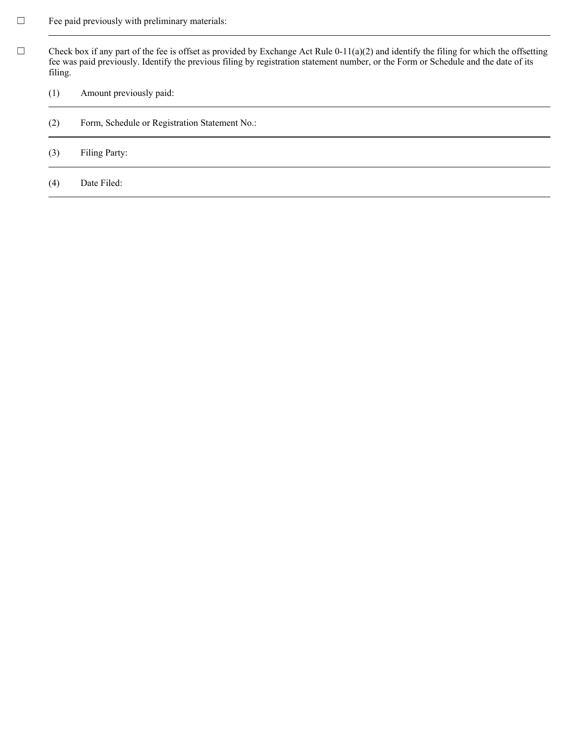- $\Box$  Fee paid previously with preliminary materials:
- $\Box$  Check box if any part of the fee is offset as provided by Exchange Act Rule 0-11(a)(2) and identify the filing for which the offsetting fee was paid previously. Identify the previous filing by registration statement number, or the Form or Schedule and the date of its filing.
	- (1) Amount previously paid:
	- (2) Form, Schedule or Registration Statement No.:
	- (3) Filing Party:
	- (4) Date Filed: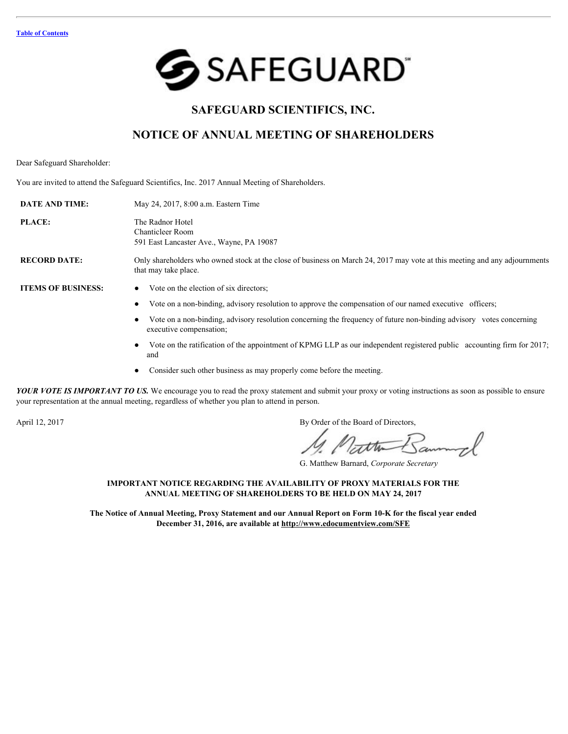

# **SAFEGUARD SCIENTIFICS, INC.**

# **NOTICE OF ANNUAL MEETING OF SHAREHOLDERS**

Dear Safeguard Shareholder:

You are invited to attend the Safeguard Scientifics, Inc. 2017 Annual Meeting of Shareholders.

| <b>DATE AND TIME:</b>     | May 24, 2017, 8:00 a.m. Eastern Time                                                                                                               |
|---------------------------|----------------------------------------------------------------------------------------------------------------------------------------------------|
| <b>PLACE:</b>             | The Radnor Hotel<br><b>Chanticleer Room</b><br>591 East Lancaster Ave., Wayne, PA 19087                                                            |
| <b>RECORD DATE:</b>       | Only shareholders who owned stock at the close of business on March 24, 2017 may vote at this meeting and any adjournments<br>that may take place. |
| <b>ITEMS OF BUSINESS:</b> | Vote on the election of six directors;                                                                                                             |
|                           | Vote on a non-binding, advisory resolution to approve the compensation of our named executive officers;<br>٠                                       |
|                           | Vote on a non-binding, advisory resolution concerning the frequency of future non-binding advisory votes concerning<br>executive compensation;     |
|                           | Vote on the ratification of the appointment of KPMG LLP as our independent registered public accounting firm for 2017;<br>and                      |
|                           | Consider such other business as may properly come before the meeting.                                                                              |

- Vote on the ratification of the appointment of KPMG LLP as our independent registered public accounting firm for 2017; and
- Consider such other business as may properly come before the meeting.

*YOUR VOTE IS IMPORTANT TO US.* We encourage you to read the proxy statement and submit your proxy or voting instructions as soon as possible to ensure your representation at the annual meeting, regardless of whether you plan to attend in person.

April 12, 2017 By Order of the Board of Directors,

Matte Bann

G. Matthew Barnard, *Corporate Secretary*

### **IMPORTANT NOTICE REGARDING THE AVAILABILITY OF PROXY MATERIALS FOR THE ANNUAL MEETING OF SHAREHOLDERS TO BE HELD ON MAY 24, 2017**

**The Notice of Annual Meeting, Proxy Statement and our Annual Report on Form 10-K for the fiscal year ended December 31, 2016, are available at http://www.edocumentview.com/SFE**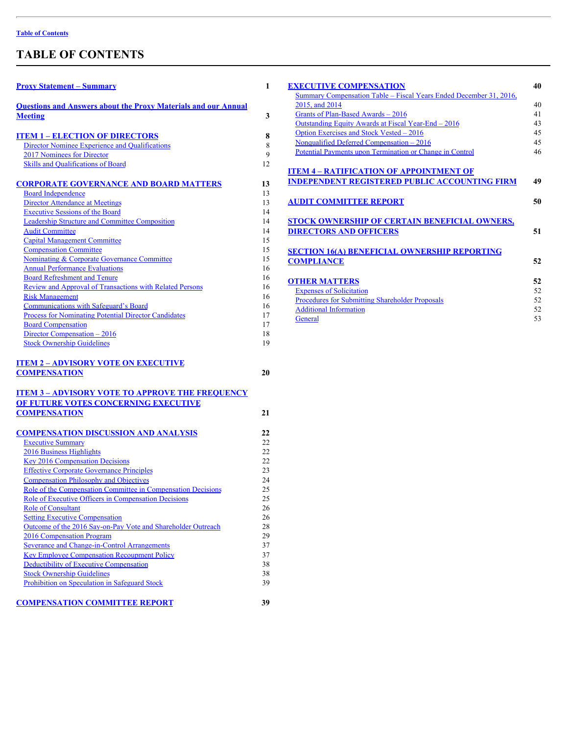# <span id="page-3-0"></span>**TABLE OF CONTENTS**

| <b>Proxy Statement - Summary</b>                                             | 1        | <b>EXECUTIVE COMPENSATION</b>                                      |
|------------------------------------------------------------------------------|----------|--------------------------------------------------------------------|
|                                                                              |          | Summary Compensation Table - Fiscal Years Ended December 31, 2016, |
| <b>Questions and Answers about the Proxy Materials and our Annual</b>        |          | 2015, and 2014                                                     |
| <b>Meeting</b>                                                               | 3        | Grants of Plan-Based Awards - 2016                                 |
|                                                                              |          | Outstanding Equity Awards at Fiscal Year-End - 2016                |
| <b>ITEM 1 - ELECTION OF DIRECTORS</b>                                        | 8        | Option Exercises and Stock Vested - 2016                           |
| Director Nominee Experience and Qualifications                               | 8        | Nonqualified Deferred Compensation - 2016                          |
| 2017 Nominees for Director                                                   | 9        | Potential Payments upon Termination or Change in Control           |
| Skills and Qualifications of Board                                           | 12       |                                                                    |
|                                                                              |          | <b>ITEM 4 - RATIFICATION OF APPOINTMENT OF</b>                     |
| <b>CORPORATE GOVERNANCE AND BOARD MATTERS</b>                                | 13       | <b>INDEPENDENT REGISTERED PUBLIC ACCOUNTING FIRM</b>               |
| <b>Board Independence</b>                                                    | 13       |                                                                    |
| <b>Director Attendance at Meetings</b>                                       | 13       | <b>AUDIT COMMITTEE REPORT</b>                                      |
| <b>Executive Sessions of the Board</b>                                       | 14       |                                                                    |
| <b>Leadership Structure and Committee Composition</b>                        | 14       | STOCK OWNERSHIP OF CERTAIN BENEFICIAL OWNERS,                      |
| <b>Audit Committee</b>                                                       | 14       | <b>DIRECTORS AND OFFICERS</b>                                      |
| <b>Capital Management Committee</b>                                          | 15       |                                                                    |
| <b>Compensation Committee</b>                                                | 15       | <b>SECTION 16(A) BENEFICIAL OWNERSHIP REPORTING</b>                |
| <b>Nominating &amp; Corporate Governance Committee</b>                       | 15       | <b>COMPLIANCE</b>                                                  |
| <b>Annual Performance Evaluations</b>                                        | 16       |                                                                    |
| <b>Board Refreshment and Tenure</b>                                          | 16       | <b>OTHER MATTERS</b>                                               |
| Review and Approval of Transactions with Related Persons                     | 16       | <b>Expenses of Solicitation</b>                                    |
| <b>Risk Management</b>                                                       | 16       | Procedures for Submitting Shareholder Proposals                    |
| <b>Communications with Safeguard's Board</b>                                 | 16       | <b>Additional Information</b>                                      |
| <b>Process for Nominating Potential Director Candidates</b>                  | 17       | General                                                            |
| <b>Board Compensation</b>                                                    | 17       |                                                                    |
| Director Compensation - 2016                                                 | 18       |                                                                    |
| <b>Stock Ownership Guidelines</b>                                            | 19       |                                                                    |
| <b>ITEM 2 - ADVISORY VOTE ON EXECUTIVE</b>                                   |          |                                                                    |
| <b>COMPENSATION</b>                                                          | 20       |                                                                    |
| <b>ITEM 3 - ADVISORY VOTE TO APPROVE THE FREQUENCY</b>                       |          |                                                                    |
| OF FUTURE VOTES CONCERNING EXECUTIVE                                         |          |                                                                    |
| <b>COMPENSATION</b>                                                          | 21       |                                                                    |
|                                                                              |          |                                                                    |
| <b>COMPENSATION DISCUSSION AND ANALYSIS</b>                                  | 22       |                                                                    |
| <b>Executive Summary</b>                                                     | 22       |                                                                    |
| 2016 Business Highlights                                                     | 22       |                                                                    |
| <b>Key 2016 Compensation Decisions</b>                                       | 22       |                                                                    |
| <b>Effective Corporate Governance Principles</b>                             | 23       |                                                                    |
| <b>Compensation Philosophy and Objectives</b>                                | 24       |                                                                    |
| Role of the Compensation Committee in Compensation Decisions                 | 25       |                                                                    |
| Role of Executive Officers in Compensation Decisions                         | 25       |                                                                    |
| <b>Role of Consultant</b>                                                    | 26       |                                                                    |
| <b>Setting Executive Compensation</b>                                        | 26       |                                                                    |
| Outcome of the 2016 Say-on-Pay Vote and Shareholder Outreach                 | 28       |                                                                    |
| 2016 Compensation Program                                                    | 29       |                                                                    |
| Severance and Change-in-Control Arrangements                                 | 37       |                                                                    |
| <b>Key Employee Compensation Recoupment Policy</b>                           | 37       |                                                                    |
| Deductibility of Executive Compensation<br><b>Stock Ownership Guidelines</b> | 38<br>38 |                                                                    |
| Prohibition on Speculation in Safeguard Stock                                | 39       |                                                                    |
|                                                                              |          |                                                                    |
|                                                                              |          |                                                                    |

|  | <b>COMPENSATION COMMITTEE REPORT</b> |  |  |
|--|--------------------------------------|--|--|
|--|--------------------------------------|--|--|

| <b>EXECUTIVE COMPENSATION</b>                                      | 40 |
|--------------------------------------------------------------------|----|
| Summary Compensation Table - Fiscal Years Ended December 31, 2016, |    |
| 2015, and 2014                                                     | 40 |
| Grants of Plan-Based Awards - 2016                                 | 41 |
| Outstanding Equity Awards at Fiscal Year-End - 2016                | 43 |
| Option Exercises and Stock Vested – 2016                           | 45 |
| Nonqualified Deferred Compensation $-2016$                         | 45 |
| Potential Payments upon Termination or Change in Control           | 46 |
|                                                                    |    |
| <b>ITEM 4 - RATIFICATION OF APPOINTMENT OF</b>                     |    |
| <b>INDEPENDENT REGISTERED PUBLIC ACCOUNTING FIRM</b>               | 49 |
|                                                                    |    |
| <b>AUDIT COMMITTEE REPORT</b>                                      | 50 |
|                                                                    |    |
|                                                                    |    |
| STOCK OWNERSHIP OF CERTAIN BENEFICIAL OWNERS,                      |    |
| <b>DIRECTORS AND OFFICERS</b>                                      | 51 |
|                                                                    |    |
| <b>SECTION 16(A) BENEFICIAL OWNERSHIP REPORTING</b>                |    |
| <b>COMPLIANCE</b>                                                  | 52 |
|                                                                    |    |
| <b>OTHER MATTERS</b>                                               | 52 |
| <b>Expenses of Solicitation</b>                                    | 52 |
| <b>Procedures for Submitting Shareholder Proposals</b>             | 52 |
| <b>Additional Information</b>                                      | 52 |
| General                                                            | 53 |
|                                                                    |    |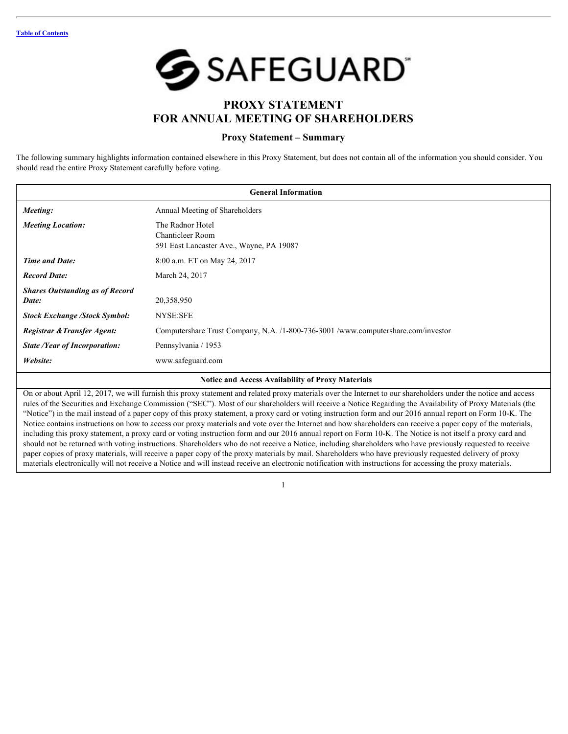

# **PROXY STATEMENT FOR ANNUAL MEETING OF SHAREHOLDERS**

## <span id="page-4-0"></span>**Proxy Statement – Summary**

The following summary highlights information contained elsewhere in this Proxy Statement, but does not contain all of the information you should consider. You should read the entire Proxy Statement carefully before voting.

| <b>General Information</b>                      |                                                                                         |  |  |  |  |
|-------------------------------------------------|-----------------------------------------------------------------------------------------|--|--|--|--|
| Meeting:                                        | Annual Meeting of Shareholders                                                          |  |  |  |  |
| <b>Meeting Location:</b>                        | The Radnor Hotel<br><b>Chanticleer Room</b><br>591 East Lancaster Ave., Wayne, PA 19087 |  |  |  |  |
| <b>Time and Date:</b>                           | 8:00 a.m. ET on May 24, 2017                                                            |  |  |  |  |
| <b>Record Date:</b>                             | March 24, 2017                                                                          |  |  |  |  |
| <b>Shares Outstanding as of Record</b><br>Date: | 20,358,950                                                                              |  |  |  |  |
| <b>Stock Exchange /Stock Symbol:</b>            | NYSE:SFE                                                                                |  |  |  |  |
| Registrar & Transfer Agent:                     | Computershare Trust Company, N.A. /1-800-736-3001 /www.computershare.com/investor       |  |  |  |  |
| <b>State /Year of Incorporation:</b>            | Pennsylvania / 1953                                                                     |  |  |  |  |
| Website:                                        | www.safeguard.com                                                                       |  |  |  |  |

### **Notice and Access Availability of Proxy Materials**

On or about April 12, 2017, we will furnish this proxy statement and related proxy materials over the Internet to our shareholders under the notice and access rules of the Securities and Exchange Commission ("SEC"). Most of our shareholders will receive a Notice Regarding the Availability of Proxy Materials (the "Notice") in the mail instead of a paper copy of this proxy statement, a proxy card or voting instruction form and our 2016 annual report on Form 10-K. The Notice contains instructions on how to access our proxy materials and vote over the Internet and how shareholders can receive a paper copy of the materials, including this proxy statement, a proxy card or voting instruction form and our 2016 annual report on Form 10-K. The Notice is not itself a proxy card and should not be returned with voting instructions. Shareholders who do not receive a Notice, including shareholders who have previously requested to receive paper copies of proxy materials, will receive a paper copy of the proxy materials by mail. Shareholders who have previously requested delivery of proxy materials electronically will not receive a Notice and will instead receive an electronic notification with instructions for accessing the proxy materials.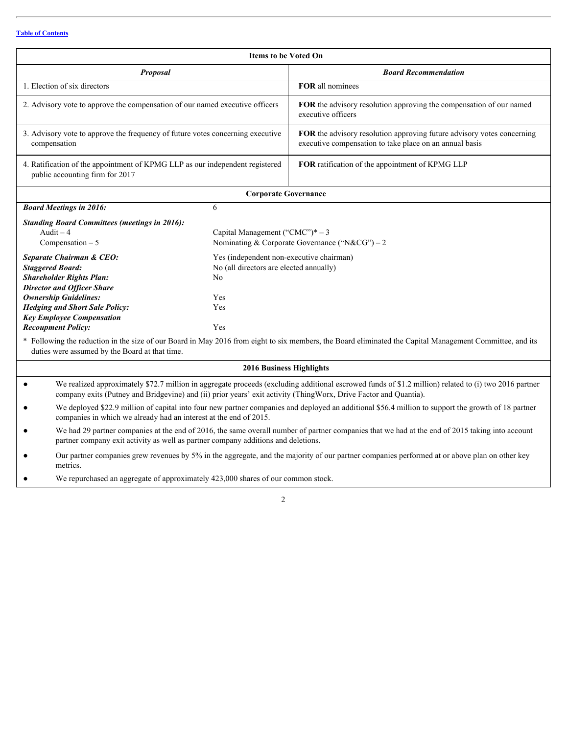| <b>Items to be Voted On</b>                                                                                                            |                                                                                                                             |                                  |                                                                                                                                                                                                                                                                           |  |  |  |
|----------------------------------------------------------------------------------------------------------------------------------------|-----------------------------------------------------------------------------------------------------------------------------|----------------------------------|---------------------------------------------------------------------------------------------------------------------------------------------------------------------------------------------------------------------------------------------------------------------------|--|--|--|
|                                                                                                                                        | <b>Proposal</b>                                                                                                             |                                  | <b>Board Recommendation</b>                                                                                                                                                                                                                                               |  |  |  |
| 1. Election of six directors                                                                                                           |                                                                                                                             |                                  | FOR all nominees                                                                                                                                                                                                                                                          |  |  |  |
| 2. Advisory vote to approve the compensation of our named executive officers                                                           |                                                                                                                             |                                  | FOR the advisory resolution approving the compensation of our named<br>executive officers                                                                                                                                                                                 |  |  |  |
| 3. Advisory vote to approve the frequency of future votes concerning executive<br>compensation                                         |                                                                                                                             |                                  | FOR the advisory resolution approving future advisory votes concerning<br>executive compensation to take place on an annual basis                                                                                                                                         |  |  |  |
| public accounting firm for 2017                                                                                                        | 4. Ratification of the appointment of KPMG LLP as our independent registered                                                |                                  | FOR ratification of the appointment of KPMG LLP                                                                                                                                                                                                                           |  |  |  |
|                                                                                                                                        |                                                                                                                             | <b>Corporate Governance</b>      |                                                                                                                                                                                                                                                                           |  |  |  |
| <b>Board Meetings in 2016:</b>                                                                                                         |                                                                                                                             | 6                                |                                                                                                                                                                                                                                                                           |  |  |  |
| Audit $-4$<br>Compensation $-5$                                                                                                        | <b>Standing Board Committees (meetings in 2016):</b>                                                                        | Capital Management ("CMC")* $-3$ | Nominating & Corporate Governance ("N&CG") – 2                                                                                                                                                                                                                            |  |  |  |
| <b>Separate Chairman &amp; CEO:</b><br><b>Staggered Board:</b><br><b>Shareholder Rights Plan:</b><br><b>Director and Officer Share</b> |                                                                                                                             | No                               | Yes (independent non-executive chairman)<br>No (all directors are elected annually)                                                                                                                                                                                       |  |  |  |
| <b>Ownership Guidelines:</b>                                                                                                           | Yes<br><b>Hedging and Short Sale Policy:</b><br>Yes<br><b>Key Employee Compensation</b><br><b>Recoupment Policy:</b><br>Yes |                                  |                                                                                                                                                                                                                                                                           |  |  |  |
|                                                                                                                                        | duties were assumed by the Board at that time.                                                                              |                                  | * Following the reduction in the size of our Board in May 2016 from eight to six members, the Board eliminated the Capital Management Committee, and its                                                                                                                  |  |  |  |
|                                                                                                                                        |                                                                                                                             | 2016 Business Highlights         |                                                                                                                                                                                                                                                                           |  |  |  |
| $\bullet$                                                                                                                              |                                                                                                                             |                                  | We realized approximately \$72.7 million in aggregate proceeds (excluding additional escrowed funds of \$1.2 million) related to (i) two 2016 partner<br>company exits (Putney and Bridgevine) and (ii) prior years' exit activity (ThingWorx, Drive Factor and Quantia). |  |  |  |
| $\bullet$                                                                                                                              | companies in which we already had an interest at the end of 2015.                                                           |                                  | We deployed \$22.9 million of capital into four new partner companies and deployed an additional \$56.4 million to support the growth of 18 partner                                                                                                                       |  |  |  |
| $\bullet$                                                                                                                              | partner company exit activity as well as partner company additions and deletions.                                           |                                  | We had 29 partner companies at the end of 2016, the same overall number of partner companies that we had at the end of 2015 taking into account                                                                                                                           |  |  |  |
| $\bullet$<br>metrics.                                                                                                                  |                                                                                                                             |                                  | Our partner companies grew revenues by 5% in the aggregate, and the majority of our partner companies performed at or above plan on other key                                                                                                                             |  |  |  |
|                                                                                                                                        | We repurchased an aggregate of approximately 423,000 shares of our common stock.                                            |                                  |                                                                                                                                                                                                                                                                           |  |  |  |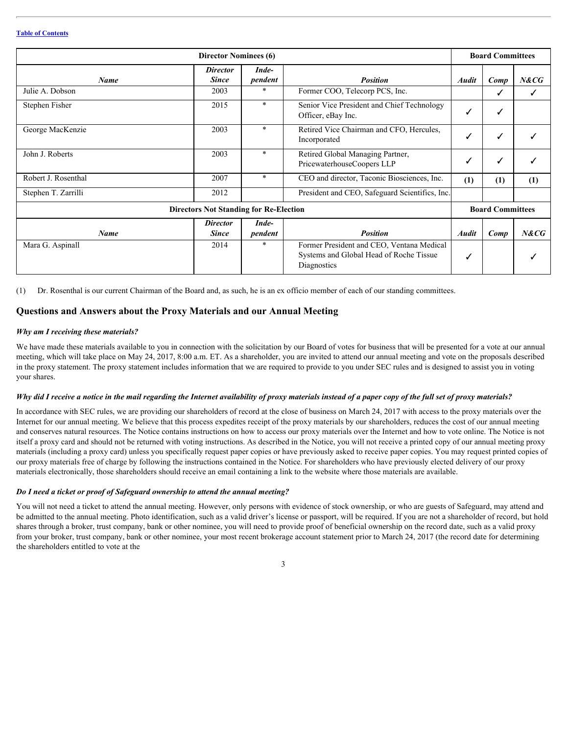|                                               | <b>Director Nominees (6)</b>    |                  |                                                                                                            |              | <b>Board Committees</b> |          |
|-----------------------------------------------|---------------------------------|------------------|------------------------------------------------------------------------------------------------------------|--------------|-------------------------|----------|
| <b>Name</b>                                   | <b>Director</b><br><b>Since</b> | Inde-<br>pendent | <b>Position</b>                                                                                            | <b>Audit</b> | Comp                    | $N\& CG$ |
| Julie A. Dobson                               | 2003                            |                  | Former COO, Telecorp PCS, Inc.                                                                             |              |                         |          |
| Stephen Fisher                                | 2015                            |                  | Senior Vice President and Chief Technology<br>Officer, eBay Inc.                                           |              |                         |          |
| George MacKenzie                              | 2003                            |                  | Retired Vice Chairman and CFO, Hercules,<br>Incorporated                                                   |              |                         |          |
| John J. Roberts                               | 2003                            |                  | Retired Global Managing Partner,<br>PricewaterhouseCoopers LLP                                             |              |                         |          |
| Robert J. Rosenthal                           | 2007                            |                  | CEO and director, Taconic Biosciences, Inc.                                                                | (1)          | (1)                     | (1)      |
| Stephen T. Zarrilli                           | 2012                            |                  | President and CEO, Safeguard Scientifics, Inc.                                                             |              |                         |          |
| <b>Directors Not Standing for Re-Election</b> |                                 |                  |                                                                                                            |              | <b>Board Committees</b> |          |
| <b>Name</b>                                   | <b>Director</b><br><b>Since</b> | Inde-<br>pendent | <b>Position</b>                                                                                            | <b>Audit</b> | Comp                    | $N\& CG$ |
| Mara G. Aspinall                              | 2014                            |                  | Former President and CEO, Ventana Medical<br>Systems and Global Head of Roche Tissue<br><b>Diagnostics</b> |              |                         |          |

(1) Dr. Rosenthal is our current Chairman of the Board and, as such, he is an ex officio member of each of our standing committees.

### <span id="page-6-0"></span>**Questions and Answers about the Proxy Materials and our Annual Meeting**

#### *Why am I receiving these materials?*

We have made these materials available to you in connection with the solicitation by our Board of votes for business that will be presented for a vote at our annual meeting, which will take place on May 24, 2017, 8:00 a.m. ET. As a shareholder, you are invited to attend our annual meeting and vote on the proposals described in the proxy statement. The proxy statement includes information that we are required to provide to you under SEC rules and is designed to assist you in voting your shares.

#### Why did I receive a notice in the mail regarding the Internet availability of proxy materials instead of a paper copy of the full set of proxy materials?

In accordance with SEC rules, we are providing our shareholders of record at the close of business on March 24, 2017 with access to the proxy materials over the Internet for our annual meeting. We believe that this process expedites receipt of the proxy materials by our shareholders, reduces the cost of our annual meeting and conserves natural resources. The Notice contains instructions on how to access our proxy materials over the Internet and how to vote online. The Notice is not itself a proxy card and should not be returned with voting instructions. As described in the Notice, you will not receive a printed copy of our annual meeting proxy materials (including a proxy card) unless you specifically request paper copies or have previously asked to receive paper copies. You may request printed copies of our proxy materials free of charge by following the instructions contained in the Notice. For shareholders who have previously elected delivery of our proxy materials electronically, those shareholders should receive an email containing a link to the website where those materials are available.

#### *Do I need a ticket or proof of Safeguard ownership to attend the annual meeting?*

You will not need a ticket to attend the annual meeting. However, only persons with evidence of stock ownership, or who are guests of Safeguard, may attend and be admitted to the annual meeting. Photo identification, such as a valid driver's license or passport, will be required. If you are not a shareholder of record, but hold shares through a broker, trust company, bank or other nominee, you will need to provide proof of beneficial ownership on the record date, such as a valid proxy from your broker, trust company, bank or other nominee, your most recent brokerage account statement prior to March 24, 2017 (the record date for determining the shareholders entitled to vote at the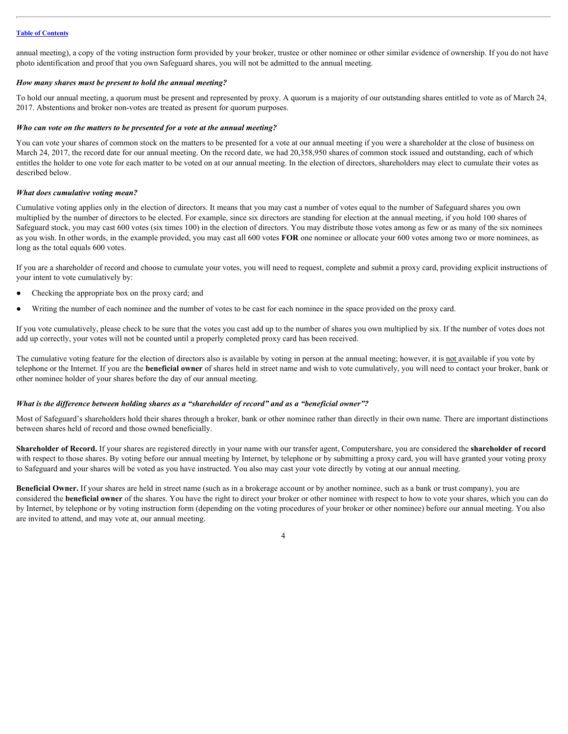annual meeting), a copy of the voting instruction form provided by your broker, trustee or other nominee or other similar evidence of ownership. If you do not have photo identification and proof that you own Safeguard shares, you will not be admitted to the annual meeting.

#### *How many shares must be present to hold the annual meeting?*

To hold our annual meeting, a quorum must be present and represented by proxy. A quorum is a majority of our outstanding shares entitled to vote as of March 24, 2017. Abstentions and broker non-votes are treated as present for quorum purposes.

#### *Who can vote on the matters to be presented for a vote at the annual meeting?*

You can vote your shares of common stock on the matters to be presented for a vote at our annual meeting if you were a shareholder at the close of business on March 24, 2017, the record date for our annual meeting. On the record date, we had 20,358,950 shares of common stock issued and outstanding, each of which entitles the holder to one vote for each matter to be voted on at our annual meeting. In the election of directors, shareholders may elect to cumulate their votes as described below.

#### *What does cumulative voting mean?*

Cumulative voting applies only in the election of directors. It means that you may cast a number of votes equal to the number of Safeguard shares you own multiplied by the number of directors to be elected. For example, since six directors are standing for election at the annual meeting, if you hold 100 shares of Safeguard stock, you may cast 600 votes (six times 100) in the election of directors. You may distribute those votes among as few or as many of the six nominees as you wish. In other words, in the example provided, you may cast all 600 votes **FOR** one nominee or allocate your 600 votes among two or more nominees, as long as the total equals 600 votes.

If you are a shareholder of record and choose to cumulate your votes, you will need to request, complete and submit a proxy card, providing explicit instructions of your intent to vote cumulatively by:

- Checking the appropriate box on the proxy card; and
- Writing the number of each nominee and the number of votes to be cast for each nominee in the space provided on the proxy card.

If you vote cumulatively, please check to be sure that the votes you cast add up to the number of shares you own multiplied by six. If the number of votes does not add up correctly, your votes will not be counted until a properly completed proxy card has been received.

The cumulative voting feature for the election of directors also is available by voting in person at the annual meeting; however, it is not available if you vote by telephone or the Internet. If you are the **beneficial owner** of shares held in street name and wish to vote cumulatively, you will need to contact your broker, bank or other nominee holder of your shares before the day of our annual meeting.

#### *What is the difference between holding shares as a "shareholder of record" and as a "beneficial owner"?*

Most of Safeguard's shareholders hold their shares through a broker, bank or other nominee rather than directly in their own name. There are important distinctions between shares held of record and those owned beneficially.

**Shareholder of Record.** If your shares are registered directly in your name with our transfer agent, Computershare, you are considered the **shareholder of record** with respect to those shares. By voting before our annual meeting by Internet, by telephone or by submitting a proxy card, you will have granted your voting proxy to Safeguard and your shares will be voted as you have instructed. You also may cast your vote directly by voting at our annual meeting.

**Beneficial Owner.** If your shares are held in street name (such as in a brokerage account or by another nominee, such as a bank or trust company), you are considered the **beneficial owner** of the shares. You have the right to direct your broker or other nominee with respect to how to vote your shares, which you can do by Internet, by telephone or by voting instruction form (depending on the voting procedures of your broker or other nominee) before our annual meeting. You also are invited to attend, and may vote at, our annual meeting.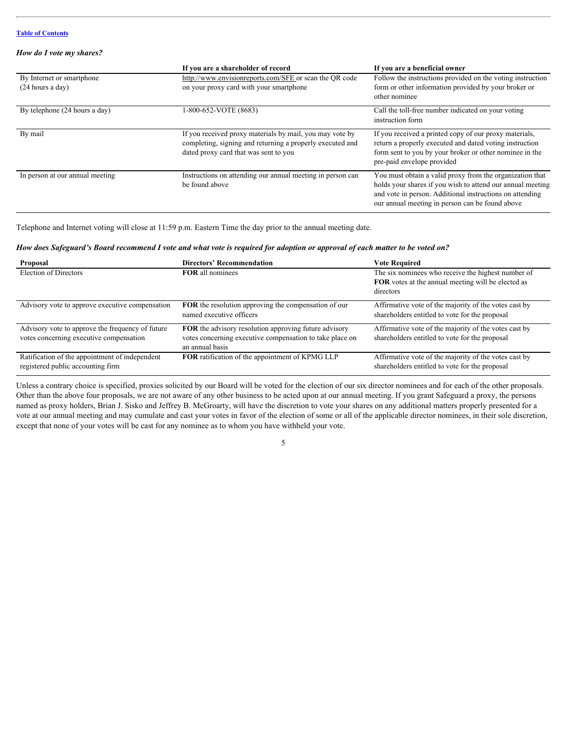#### *How do I vote my shares?*

|                                                 | If you are a shareholder of record                                                                                                                             | If you are a beneficial owner                                                                                                                                                                                                         |
|-------------------------------------------------|----------------------------------------------------------------------------------------------------------------------------------------------------------------|---------------------------------------------------------------------------------------------------------------------------------------------------------------------------------------------------------------------------------------|
| By Internet or smartphone<br>$(24$ hours a day) | http://www.envisionreports.com/SFE or scan the QR code<br>on your proxy card with your smartphone                                                              | Follow the instructions provided on the voting instruction<br>form or other information provided by your broker or<br>other nominee                                                                                                   |
| By telephone (24 hours a day)                   | 1-800-652-VOTE (8683)                                                                                                                                          | Call the toll-free number indicated on your voting<br>instruction form                                                                                                                                                                |
| By mail                                         | If you received proxy materials by mail, you may vote by<br>completing, signing and returning a properly executed and<br>dated proxy card that was sent to you | If you received a printed copy of our proxy materials,<br>return a properly executed and dated voting instruction<br>form sent to you by your broker or other nominee in the<br>pre-paid envelope provided                            |
| In person at our annual meeting                 | Instructions on attending our annual meeting in person can<br>be found above                                                                                   | You must obtain a valid proxy from the organization that<br>holds your shares if you wish to attend our annual meeting<br>and vote in person. Additional instructions on attending<br>our annual meeting in person can be found above |

Telephone and Internet voting will close at 11:59 p.m. Eastern Time the day prior to the annual meeting date.

#### How does Safeguard's Board recommend I vote and what vote is required for adoption or approval of each matter to be voted *on?*

| Proposal                                                                                    | <b>Directors' Recommendation</b>                                                                                                            | <b>Vote Required</b>                                                                                                         |
|---------------------------------------------------------------------------------------------|---------------------------------------------------------------------------------------------------------------------------------------------|------------------------------------------------------------------------------------------------------------------------------|
| Election of Directors                                                                       | <b>FOR</b> all nominees                                                                                                                     | The six nominees who receive the highest number of<br><b>FOR</b> votes at the annual meeting will be elected as<br>directors |
| Advisory vote to approve executive compensation                                             | <b>FOR</b> the resolution approving the compensation of our<br>named executive officers                                                     | Affirmative vote of the majority of the votes cast by<br>shareholders entitled to vote for the proposal                      |
| Advisory vote to approve the frequency of future<br>votes concerning executive compensation | <b>FOR</b> the advisory resolution approving future advisory<br>votes concerning executive compensation to take place on<br>an annual basis | Affirmative vote of the majority of the votes cast by<br>shareholders entitled to vote for the proposal                      |
| Ratification of the appointment of independent<br>registered public accounting firm         | FOR ratification of the appointment of KPMG LLP                                                                                             | Affirmative vote of the majority of the votes cast by<br>shareholders entitled to vote for the proposal                      |

Unless a contrary choice is specified, proxies solicited by our Board will be voted for the election of our six director nominees and for each of the other proposals. Other than the above four proposals, we are not aware of any other business to be acted upon at our annual meeting. If you grant Safeguard a proxy, the persons named as proxy holders, Brian J. Sisko and Jeffrey B. McGroarty, will have the discretion to vote your shares on any additional matters properly presented for a vote at our annual meeting and may cumulate and cast your votes in favor of the election of some or all of the applicable director nominees, in their sole discretion, except that none of your votes will be cast for any nominee as to whom you have withheld your vote.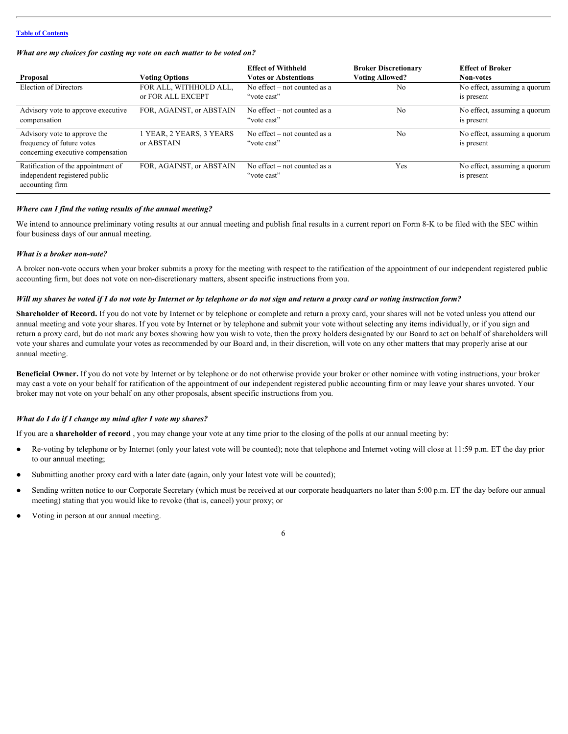| What are my choices for casting my vote on each matter to be voted on? |
|------------------------------------------------------------------------|
|------------------------------------------------------------------------|

| Proposal                                                                                       | <b>Voting Options</b>                       | <b>Effect of Withheld</b><br><b>Votes or Abstentions</b> | <b>Broker Discretionary</b><br><b>Voting Allowed?</b> | <b>Effect of Broker</b><br>Non-votes       |
|------------------------------------------------------------------------------------------------|---------------------------------------------|----------------------------------------------------------|-------------------------------------------------------|--------------------------------------------|
| Election of Directors                                                                          | FOR ALL, WITHHOLD ALL,<br>or FOR ALL EXCEPT | No effect $-$ not counted as a<br>"vote cast"            | N <sub>0</sub>                                        | No effect, assuming a quorum<br>is present |
| Advisory vote to approve executive<br>compensation                                             | FOR, AGAINST, or ABSTAIN                    | No effect $-$ not counted as a<br>"vote cast"            | No.                                                   | No effect, assuming a quorum<br>is present |
| Advisory vote to approve the<br>frequency of future votes<br>concerning executive compensation | l YEAR, 2 YEARS, 3 YEARS<br>or ABSTAIN      | No effect $-$ not counted as a<br>"vote cast"            | No.                                                   | No effect, assuming a quorum<br>is present |
| Ratification of the appointment of<br>independent registered public<br>accounting firm         | FOR, AGAINST, or ABSTAIN                    | No effect $-$ not counted as a<br>"vote cast"            | Yes                                                   | No effect, assuming a quorum<br>is present |

#### *Where can I find the voting results of the annual meeting?*

We intend to announce preliminary voting results at our annual meeting and publish final results in a current report on Form 8-K to be filed with the SEC within four business days of our annual meeting.

#### *What is a broker non-vote?*

A broker non-vote occurs when your broker submits a proxy for the meeting with respect to the ratification of the appointment of our independent registered public accounting firm, but does not vote on non-discretionary matters, absent specific instructions from you.

#### Will my shares be voted if I do not vote by Internet or by telephone or do not sign and return a proxy card or voting instruction *form?*

**Shareholder of Record.** If you do not vote by Internet or by telephone or complete and return a proxy card, your shares will not be voted unless you attend our annual meeting and vote your shares. If you vote by Internet or by telephone and submit your vote without selecting any items individually, or if you sign and return a proxy card, but do not mark any boxes showing how you wish to vote, then the proxy holders designated by our Board to act on behalf of shareholders will vote your shares and cumulate your votes as recommended by our Board and, in their discretion, will vote on any other matters that may properly arise at our annual meeting.

**Beneficial Owner.** If you do not vote by Internet or by telephone or do not otherwise provide your broker or other nominee with voting instructions, your broker may cast a vote on your behalf for ratification of the appointment of our independent registered public accounting firm or may leave your shares unvoted. Your broker may not vote on your behalf on any other proposals, absent specific instructions from you.

#### *What do I do if I change my mind after I vote my shares?*

If you are a **shareholder of record** , you may change your vote at any time prior to the closing of the polls at our annual meeting by:

- Re-voting by telephone or by Internet (only your latest vote will be counted); note that telephone and Internet voting will close at 11:59 p.m. ET the day prior to our annual meeting;
- Submitting another proxy card with a later date (again, only your latest vote will be counted);
- Sending written notice to our Corporate Secretary (which must be received at our corporate headquarters no later than 5:00 p.m. ET the day before our annual meeting) stating that you would like to revoke (that is, cancel) your proxy; or
- Voting in person at our annual meeting.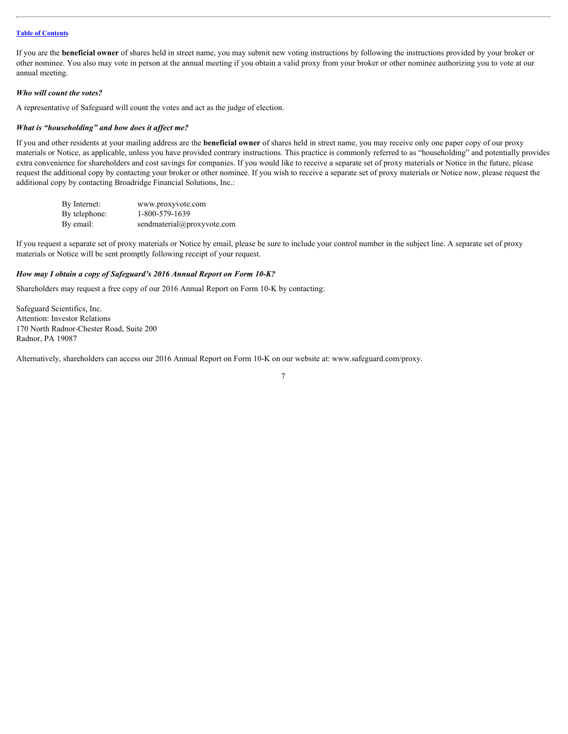If you are the **beneficial owner** of shares held in street name, you may submit new voting instructions by following the instructions provided by your broker or other nominee. You also may vote in person at the annual meeting if you obtain a valid proxy from your broker or other nominee authorizing you to vote at our annual meeting.

#### *Who will count the votes?*

A representative of Safeguard will count the votes and act as the judge of election.

#### *What is "householding" and how does it affect me?*

If you and other residents at your mailing address are the **beneficial owner** of shares held in street name, you may receive only one paper copy of our proxy materials or Notice, as applicable, unless you have provided contrary instructions. This practice is commonly referred to as "householding" and potentially provides extra convenience for shareholders and cost savings for companies. If you would like to receive a separate set of proxy materials or Notice in the future, please request the additional copy by contacting your broker or other nominee. If you wish to receive a separate set of proxy materials or Notice now, please request the additional copy by contacting Broadridge Financial Solutions, Inc.:

| By Internet:  | www.proxyvote.com          |
|---------------|----------------------------|
| By telephone: | 1-800-579-1639             |
| By email:     | sendmaterial@proxyvote.com |

If you request a separate set of proxy materials or Notice by email, please be sure to include your control number in the subject line. A separate set of proxy materials or Notice will be sent promptly following receipt of your request.

#### *How may I obtain a copy of Safeguard's 2016 Annual Report on Form 10-K?*

Shareholders may request a free copy of our 2016 Annual Report on Form 10-K by contacting:

Safeguard Scientifics, Inc. Attention: Investor Relations 170 North Radnor-Chester Road, Suite 200 Radnor, PA 19087

Alternatively, shareholders can access our 2016 Annual Report on Form 10-K on our website at: www.safeguard.com/proxy.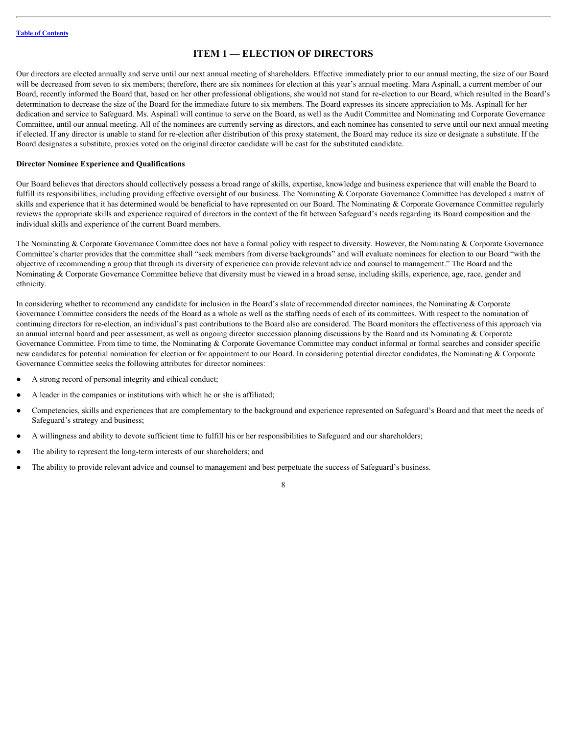# <span id="page-11-0"></span>**ITEM 1 — ELECTION OF DIRECTORS**

Our directors are elected annually and serve until our next annual meeting of shareholders. Effective immediately prior to our annual meeting, the size of our Board will be decreased from seven to six members; therefore, there are six nominees for election at this year's annual meeting. Mara Aspinall, a current member of our Board, recently informed the Board that, based on her other professional obligations, she would not stand for re-election to our Board, which resulted in the Board's determination to decrease the size of the Board for the immediate future to six members. The Board expresses its sincere appreciation to Ms. Aspinall for her dedication and service to Safeguard. Ms. Aspinall will continue to serve on the Board, as well as the Audit Committee and Nominating and Corporate Governance Committee, until our annual meeting. All of the nominees are currently serving as directors, and each nominee has consented to serve until our next annual meeting if elected. If any director is unable to stand for re-election after distribution of this proxy statement, the Board may reduce its size or designate a substitute. If the Board designates a substitute, proxies voted on the original director candidate will be cast for the substituted candidate.

#### <span id="page-11-1"></span>**Director Nominee Experience and Qualifications**

Our Board believes that directors should collectively possess a broad range of skills, expertise, knowledge and business experience that will enable the Board to fulfill its responsibilities, including providing effective oversight of our business. The Nominating & Corporate Governance Committee has developed a matrix of skills and experience that it has determined would be beneficial to have represented on our Board. The Nominating  $&$  Corporate Governance Committee regularly reviews the appropriate skills and experience required of directors in the context of the fit between Safeguard's needs regarding its Board composition and the individual skills and experience of the current Board members.

The Nominating & Corporate Governance Committee does not have a formal policy with respect to diversity. However, the Nominating & Corporate Governance Committee's charter provides that the committee shall "seek members from diverse backgrounds" and will evaluate nominees for election to our Board "with the objective of recommending a group that through its diversity of experience can provide relevant advice and counsel to management." The Board and the Nominating & Corporate Governance Committee believe that diversity must be viewed in a broad sense, including skills, experience, age, race, gender and ethnicity.

In considering whether to recommend any candidate for inclusion in the Board's slate of recommended director nominees, the Nominating & Corporate Governance Committee considers the needs of the Board as a whole as well as the staffing needs of each of its committees. With respect to the nomination of continuing directors for re-election, an individual's past contributions to the Board also are considered. The Board monitors the effectiveness of this approach via an annual internal board and peer assessment, as well as ongoing director succession planning discussions by the Board and its Nominating & Corporate Governance Committee. From time to time, the Nominating & Corporate Governance Committee may conduct informal or formal searches and consider specific new candidates for potential nomination for election or for appointment to our Board. In considering potential director candidates, the Nominating & Corporate Governance Committee seeks the following attributes for director nominees:

- A strong record of personal integrity and ethical conduct;
- A leader in the companies or institutions with which he or she is affiliated;
- Competencies, skills and experiences that are complementary to the background and experience represented on Safeguard's Board and that meet the needs of Safeguard's strategy and business;
- A willingness and ability to devote sufficient time to fulfill his or her responsibilities to Safeguard and our shareholders;
- The ability to represent the long-term interests of our shareholders; and
- The ability to provide relevant advice and counsel to management and best perpetuate the success of Safeguard's business.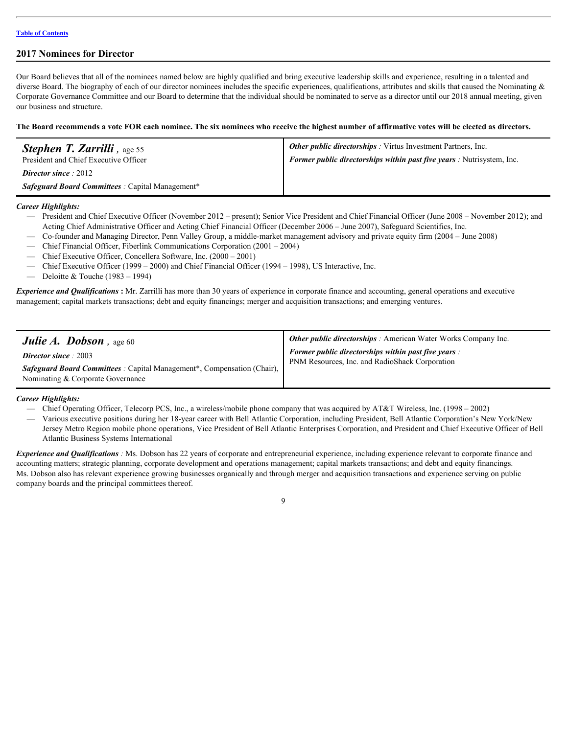### <span id="page-12-0"></span>**2017 Nominees for Director**

Our Board believes that all of the nominees named below are highly qualified and bring executive leadership skills and experience, resulting in a talented and diverse Board. The biography of each of our director nominees includes the specific experiences, qualifications, attributes and skills that caused the Nominating  $\&$ Corporate Governance Committee and our Board to determine that the individual should be nominated to serve as a director until our 2018 annual meeting, given our business and structure.

**The Board recommends a vote FOR each nominee. The six nominees who receive the highest number of affirmative votes will be elected as directors.**

| <b>Stephen T. Zarrilli</b> , age 55                     | <b>Other public directorships</b> : Virtus Investment Partners, Inc.         |
|---------------------------------------------------------|------------------------------------------------------------------------------|
| President and Chief Executive Officer                   | <b>Former public directorships within past five years:</b> Nutrisystem, Inc. |
| <b>Director since</b> : $2012$                          |                                                                              |
| <i>Safeguard Board Committees</i> : Capital Management* |                                                                              |

*Career Highlights:*

- President and Chief Executive Officer (November 2012 present); Senior Vice President and Chief Financial Officer (June 2008 November 2012); and Acting Chief Administrative Officer and Acting Chief Financial Officer (December 2006 – June 2007), Safeguard Scientifics, Inc.
- Co-founder and Managing Director, Penn Valley Group, a middle-market management advisory and private equity firm (2004 June 2008)
- Chief Financial Officer, Fiberlink Communications Corporation (2001 2004)
- Chief Executive Officer, Concellera Software, Inc. (2000 2001)
- Chief Executive Officer (1999 2000) and Chief Financial Officer (1994 1998), US Interactive, Inc.
- Deloitte & Touche  $(1983 1994)$

*Experience and Qualifications* **:** Mr. Zarrilli has more than 30 years of experience in corporate finance and accounting, general operations and executive management; capital markets transactions; debt and equity financings; merger and acquisition transactions; and emerging ventures.

| <b>Julie A. Dobson</b> , age 60                                                                                                                                  | <b>Other public directorships</b> : American Water Works Company Inc.                                        |
|------------------------------------------------------------------------------------------------------------------------------------------------------------------|--------------------------------------------------------------------------------------------------------------|
| <b>Director since</b> : 2003<br><b>Safeguard Board Committees</b> : Capital Management <sup>*</sup> , Compensation (Chair),<br>Nominating & Corporate Governance | <b>Former public directorships within past five years:</b><br>PNM Resources, Inc. and RadioShack Corporation |

*Career Highlights:*

- Chief Operating Officer, Telecorp PCS, Inc., a wireless/mobile phone company that was acquired by AT&T Wireless, Inc. (1998 2002)
- Various executive positions during her 18-year career with Bell Atlantic Corporation, including President, Bell Atlantic Corporation's New York/New Jersey Metro Region mobile phone operations, Vice President of Bell Atlantic Enterprises Corporation, and President and Chief Executive Officer of Bell Atlantic Business Systems International

*Experience and Qualifications :* Ms. Dobson has 22 years of corporate and entrepreneurial experience, including experience relevant to corporate finance and accounting matters; strategic planning, corporate development and operations management; capital markets transactions; and debt and equity financings. Ms. Dobson also has relevant experience growing businesses organically and through merger and acquisition transactions and experience serving on public company boards and the principal committees thereof.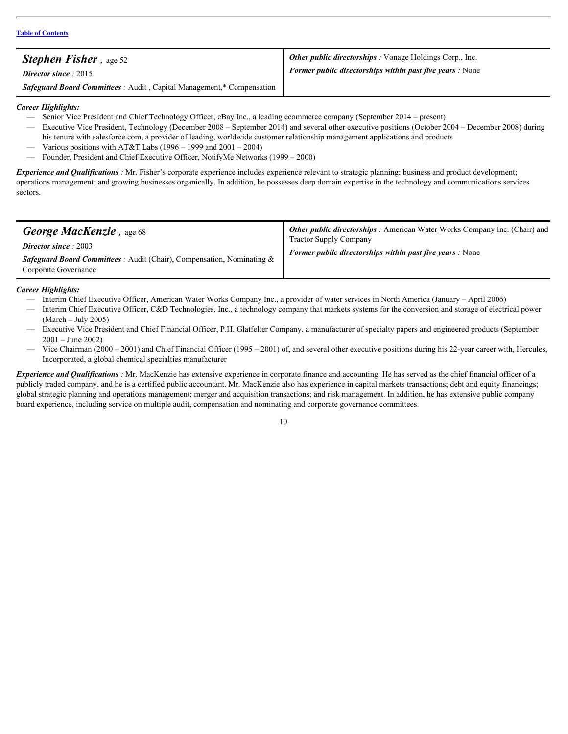| <b>Stephen Fisher</b> , age 52                                               | <b>Other public directorships</b> : Vonage Holdings Corp., Inc. |
|------------------------------------------------------------------------------|-----------------------------------------------------------------|
| <b>Director since</b> : $2015$                                               | <b>Former public directorships within past five years:</b> None |
| <b>Safeguard Board Committees</b> : Audit, Capital Management,* Compensation |                                                                 |

### *Career Highlights:*

- Senior Vice President and Chief Technology Officer, eBay Inc., a leading ecommerce company (September 2014 present)
- Executive Vice President, Technology (December 2008 September 2014) and several other executive positions (October 2004 December 2008) during his tenure with salesforce.com, a provider of leading, worldwide customer relationship management applications and products
- Various positions with AT&T Labs (1996 1999 and  $2001 2004$ )
- Founder, President and Chief Executive Officer, NotifyMe Networks (1999 2000)

*Experience and Qualifications*: Mr. Fisher's corporate experience includes experience relevant to strategic planning; business and product development; operations management; and growing businesses organically. In addition, he possesses deep domain expertise in the technology and communications services sectors.

### *Career Highlights:*

- Interim Chief Executive Officer, American Water Works Company Inc., a provider of water services in North America (January April 2006)
- Interim Chief Executive Officer, C&D Technologies, Inc., a technology company that markets systems for the conversion and storage of electrical power (March – July 2005)
- Executive Vice President and Chief Financial Officer, P.H. Glatfelter Company, a manufacturer of specialty papers and engineered products (September 2001 – June 2002)
- Vice Chairman (2000 2001) and Chief Financial Officer (1995 2001) of, and several other executive positions during his 22-year career with, Hercules, Incorporated, a global chemical specialties manufacturer

*Experience and Qualifications*: Mr. MacKenzie has extensive experience in corporate finance and accounting. He has served as the chief financial officer of a publicly traded company, and he is a certified public accountant. Mr. MacKenzie also has experience in capital markets transactions; debt and equity financings; global strategic planning and operations management; merger and acquisition transactions; and risk management. In addition, he has extensive public company board experience, including service on multiple audit, compensation and nominating and corporate governance committees.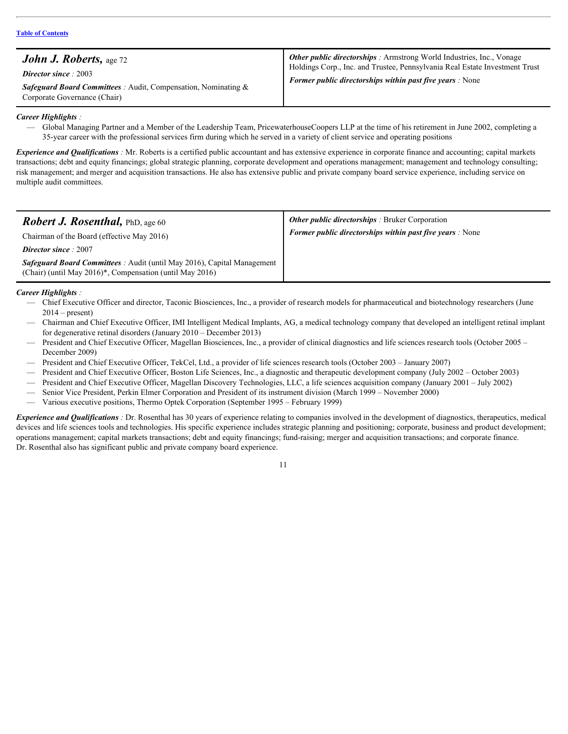#### *Career Highlights :*

— Global Managing Partner and a Member of the Leadership Team, PricewaterhouseCoopers LLP at the time of his retirement in June 2002, completing a 35-year career with the professional services firm during which he served in a variety of client service and operating positions

*Experience and Qualifications*: Mr. Roberts is a certified public accountant and has extensive experience in corporate finance and accounting; capital markets transactions; debt and equity financings; global strategic planning, corporate development and operations management; management and technology consulting; risk management; and merger and acquisition transactions. He also has extensive public and private company board service experience, including service on multiple audit committees.

| <b>Robert J. Rosenthal, PhD, age 60</b><br>Chairman of the Board (effective May 2016)<br><b>Director since</b> : 2007<br><b>Safeguard Board Committees</b> : Audit (until May 2016), Capital Management<br>(Chair) (until May 2016)*, Compensation (until May 2016) | <b>Other public directorships</b> : Bruker Corporation<br><b>Former public directorships within past five years:</b> None |
|---------------------------------------------------------------------------------------------------------------------------------------------------------------------------------------------------------------------------------------------------------------------|---------------------------------------------------------------------------------------------------------------------------|
| Career Highlights :                                                                                                                                                                                                                                                 |                                                                                                                           |

### *Career Highlights*

- Chief Executive Officer and director, Taconic Biosciences, Inc., a provider of research models for pharmaceutical and biotechnology researchers (June  $2014$  – present)
- Chairman and Chief Executive Officer, IMI Intelligent Medical Implants, AG, a medical technology company that developed an intelligent retinal implant for degenerative retinal disorders (January 2010 – December 2013)
- President and Chief Executive Officer, Magellan Biosciences, Inc., a provider of clinical diagnostics and life sciences research tools (October 2005 December 2009)
- President and Chief Executive Officer, TekCel, Ltd., a provider of life sciences research tools (October 2003 January 2007)
- President and Chief Executive Officer, Boston Life Sciences, Inc., a diagnostic and therapeutic development company (July 2002 October 2003)
- President and Chief Executive Officer, Magellan Discovery Technologies, LLC, a life sciences acquisition company (January 2001 July 2002)
- Senior Vice President, Perkin Elmer Corporation and President of its instrument division (March 1999 November 2000)
- Various executive positions, Thermo Optek Corporation (September 1995 February 1999)

*Experience and Qualifications*: Dr. Rosenthal has 30 years of experience relating to companies involved in the development of diagnostics, therapeutics, medical devices and life sciences tools and technologies. His specific experience includes strategic planning and positioning; corporate, business and product development; operations management; capital markets transactions; debt and equity financings; fund-raising; merger and acquisition transactions; and corporate finance. Dr. Rosenthal also has significant public and private company board experience.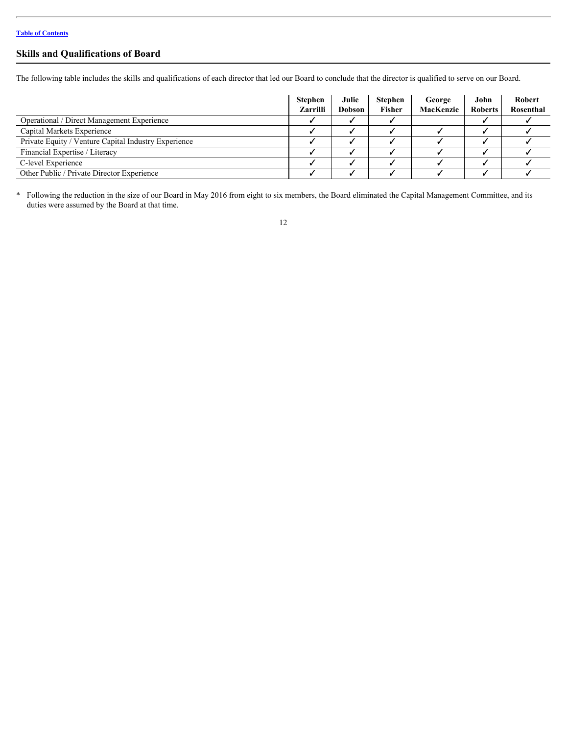## <span id="page-15-0"></span>**Skills and Qualifications of Board**

The following table includes the skills and qualifications of each director that led our Board to conclude that the director is qualified to serve on our Board.

|                                                      | <b>Stephen</b><br>Zarrilli | Julie<br>Dobson | Stephen<br>Fisher | George<br>MacKenzie | John<br><b>Roberts</b> | Robert<br>Rosenthal |
|------------------------------------------------------|----------------------------|-----------------|-------------------|---------------------|------------------------|---------------------|
| <b>Operational / Direct Management Experience</b>    |                            |                 |                   |                     |                        |                     |
| Capital Markets Experience                           |                            |                 |                   |                     |                        |                     |
| Private Equity / Venture Capital Industry Experience |                            |                 |                   |                     |                        |                     |
| Financial Expertise / Literacy                       |                            |                 |                   |                     |                        |                     |
| C-level Experience                                   |                            |                 |                   |                     |                        |                     |
| Other Public / Private Director Experience           |                            |                 |                   |                     |                        |                     |

\* Following the reduction in the size of our Board in May 2016 from eight to six members, the Board eliminated the Capital Management Committee, and its duties were assumed by the Board at that time.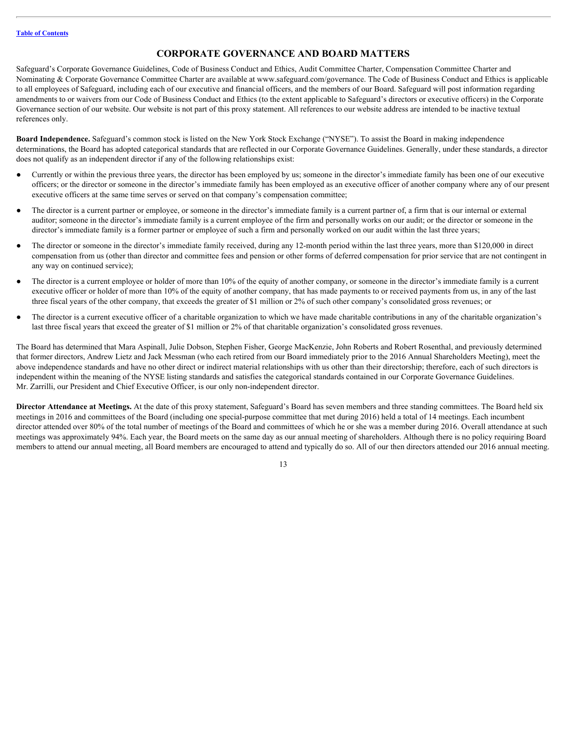## <span id="page-16-0"></span>**CORPORATE GOVERNANCE AND BOARD MATTERS**

Safeguard's Corporate Governance Guidelines, Code of Business Conduct and Ethics, Audit Committee Charter, Compensation Committee Charter and Nominating & Corporate Governance Committee Charter are available at www.safeguard.com/governance. The Code of Business Conduct and Ethics is applicable to all employees of Safeguard, including each of our executive and financial officers, and the members of our Board. Safeguard will post information regarding amendments to or waivers from our Code of Business Conduct and Ethics (to the extent applicable to Safeguard's directors or executive officers) in the Corporate Governance section of our website. Our website is not part of this proxy statement. All references to our website address are intended to be inactive textual references only.

<span id="page-16-1"></span>**Board Independence.** Safeguard's common stock is listed on the New York Stock Exchange ("NYSE"). To assist the Board in making independence determinations, the Board has adopted categorical standards that are reflected in our Corporate Governance Guidelines. Generally, under these standards, a director does not qualify as an independent director if any of the following relationships exist:

- Currently or within the previous three years, the director has been employed by us; someone in the director's immediate family has been one of our executive officers; or the director or someone in the director's immediate family has been employed as an executive officer of another company where any of our present executive officers at the same time serves or served on that company's compensation committee;
- The director is a current partner or employee, or someone in the director's immediate family is a current partner of, a firm that is our internal or external auditor; someone in the director's immediate family is a current employee of the firm and personally works on our audit; or the director or someone in the director's immediate family is a former partner or employee of such a firm and personally worked on our audit within the last three years;
- The director or someone in the director's immediate family received, during any 12-month period within the last three years, more than \$120,000 in direct compensation from us (other than director and committee fees and pension or other forms of deferred compensation for prior service that are not contingent in any way on continued service);
- The director is a current employee or holder of more than 10% of the equity of another company, or someone in the director's immediate family is a current executive officer or holder of more than 10% of the equity of another company, that has made payments to or received payments from us, in any of the last three fiscal years of the other company, that exceeds the greater of \$1 million or 2% of such other company's consolidated gross revenues; or
- The director is a current executive officer of a charitable organization to which we have made charitable contributions in any of the charitable organization's last three fiscal years that exceed the greater of \$1 million or 2% of that charitable organization's consolidated gross revenues.

The Board has determined that Mara Aspinall, Julie Dobson, Stephen Fisher, George MacKenzie, John Roberts and Robert Rosenthal, and previously determined that former directors, Andrew Lietz and Jack Messman (who each retired from our Board immediately prior to the 2016 Annual Shareholders Meeting), meet the above independence standards and have no other direct or indirect material relationships with us other than their directorship; therefore, each of such directors is independent within the meaning of the NYSE listing standards and satisfies the categorical standards contained in our Corporate Governance Guidelines. Mr. Zarrilli, our President and Chief Executive Officer, is our only non-independent director.

<span id="page-16-2"></span>**Director Attendance at Meetings.** At the date of this proxy statement, Safeguard's Board has seven members and three standing committees. The Board held six meetings in 2016 and committees of the Board (including one special-purpose committee that met during 2016) held a total of 14 meetings. Each incumbent director attended over 80% of the total number of meetings of the Board and committees of which he or she was a member during 2016. Overall attendance at such meetings was approximately 94%. Each year, the Board meets on the same day as our annual meeting of shareholders. Although there is no policy requiring Board members to attend our annual meeting, all Board members are encouraged to attend and typically do so. All of our then directors attended our 2016 annual meeting.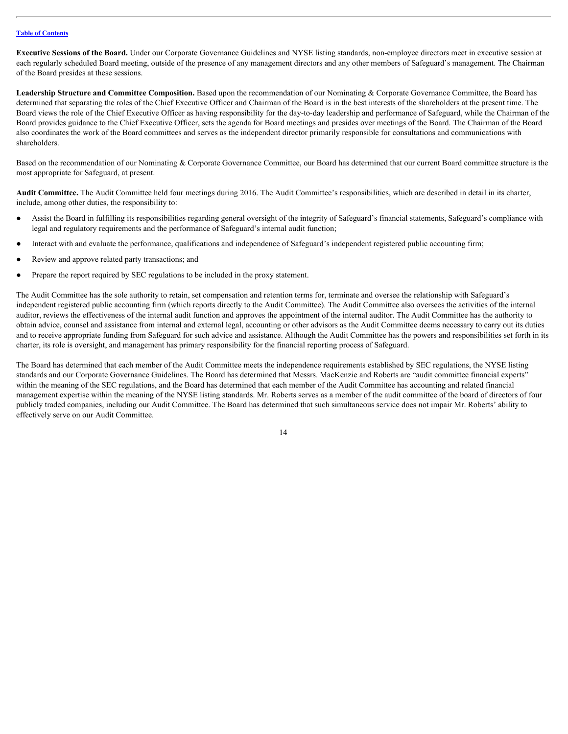<span id="page-17-0"></span>**Executive Sessions of the Board.** Under our Corporate Governance Guidelines and NYSE listing standards, non-employee directors meet in executive session at each regularly scheduled Board meeting, outside of the presence of any management directors and any other members of Safeguard's management. The Chairman of the Board presides at these sessions.

<span id="page-17-1"></span>**Leadership Structure and Committee Composition.** Based upon the recommendation of our Nominating & Corporate Governance Committee, the Board has determined that separating the roles of the Chief Executive Officer and Chairman of the Board is in the best interests of the shareholders at the present time. The Board views the role of the Chief Executive Officer as having responsibility for the day-to-day leadership and performance of Safeguard, while the Chairman of the Board provides guidance to the Chief Executive Officer, sets the agenda for Board meetings and presides over meetings of the Board. The Chairman of the Board also coordinates the work of the Board committees and serves as the independent director primarily responsible for consultations and communications with shareholders.

Based on the recommendation of our Nominating & Corporate Governance Committee, our Board has determined that our current Board committee structure is the most appropriate for Safeguard, at present.

<span id="page-17-2"></span>**Audit Committee.** The Audit Committee held four meetings during 2016. The Audit Committee's responsibilities, which are described in detail in its charter, include, among other duties, the responsibility to:

- Assist the Board in fulfilling its responsibilities regarding general oversight of the integrity of Safeguard's financial statements, Safeguard's compliance with legal and regulatory requirements and the performance of Safeguard's internal audit function;
- Interact with and evaluate the performance, qualifications and independence of Safeguard's independent registered public accounting firm;
- Review and approve related party transactions; and
- Prepare the report required by SEC regulations to be included in the proxy statement.

The Audit Committee has the sole authority to retain, set compensation and retention terms for, terminate and oversee the relationship with Safeguard's independent registered public accounting firm (which reports directly to the Audit Committee). The Audit Committee also oversees the activities of the internal auditor, reviews the effectiveness of the internal audit function and approves the appointment of the internal auditor. The Audit Committee has the authority to obtain advice, counsel and assistance from internal and external legal, accounting or other advisors as the Audit Committee deems necessary to carry out its duties and to receive appropriate funding from Safeguard for such advice and assistance. Although the Audit Committee has the powers and responsibilities set forth in its charter, its role is oversight, and management has primary responsibility for the financial reporting process of Safeguard.

The Board has determined that each member of the Audit Committee meets the independence requirements established by SEC regulations, the NYSE listing standards and our Corporate Governance Guidelines. The Board has determined that Messrs. MacKenzie and Roberts are "audit committee financial experts" within the meaning of the SEC regulations, and the Board has determined that each member of the Audit Committee has accounting and related financial management expertise within the meaning of the NYSE listing standards. Mr. Roberts serves as a member of the audit committee of the board of directors of four publicly traded companies, including our Audit Committee. The Board has determined that such simultaneous service does not impair Mr. Roberts' ability to effectively serve on our Audit Committee.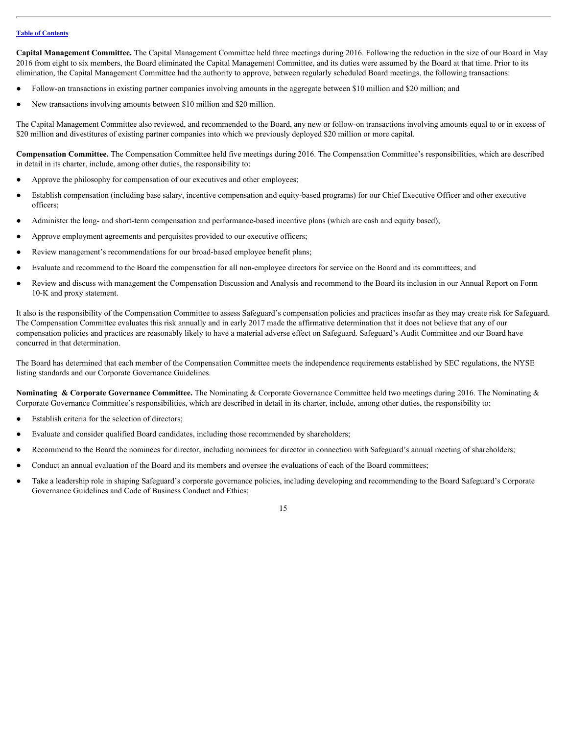<span id="page-18-0"></span>**Capital Management Committee.** The Capital Management Committee held three meetings during 2016. Following the reduction in the size of our Board in May 2016 from eight to six members, the Board eliminated the Capital Management Committee, and its duties were assumed by the Board at that time. Prior to its elimination, the Capital Management Committee had the authority to approve, between regularly scheduled Board meetings, the following transactions:

- Follow-on transactions in existing partner companies involving amounts in the aggregate between \$10 million and \$20 million; and
- New transactions involving amounts between \$10 million and \$20 million.

The Capital Management Committee also reviewed, and recommended to the Board, any new or follow-on transactions involving amounts equal to or in excess of \$20 million and divestitures of existing partner companies into which we previously deployed \$20 million or more capital.

<span id="page-18-1"></span>**Compensation Committee.** The Compensation Committee held five meetings during 2016. The Compensation Committee's responsibilities, which are described in detail in its charter, include, among other duties, the responsibility to:

- Approve the philosophy for compensation of our executives and other employees;
- Establish compensation (including base salary, incentive compensation and equity-based programs) for our Chief Executive Officer and other executive officers;
- Administer the long- and short-term compensation and performance-based incentive plans (which are cash and equity based);
- Approve employment agreements and perquisites provided to our executive officers;
- Review management's recommendations for our broad-based employee benefit plans;
- Evaluate and recommend to the Board the compensation for all non-employee directors for service on the Board and its committees; and
- Review and discuss with management the Compensation Discussion and Analysis and recommend to the Board its inclusion in our Annual Report on Form 10-K and proxy statement.

It also is the responsibility of the Compensation Committee to assess Safeguard's compensation policies and practices insofar as they may create risk for Safeguard. The Compensation Committee evaluates this risk annually and in early 2017 made the affirmative determination that it does not believe that any of our compensation policies and practices are reasonably likely to have a material adverse effect on Safeguard. Safeguard's Audit Committee and our Board have concurred in that determination.

The Board has determined that each member of the Compensation Committee meets the independence requirements established by SEC regulations, the NYSE listing standards and our Corporate Governance Guidelines.

<span id="page-18-2"></span>**Nominating & Corporate Governance Committee.** The Nominating & Corporate Governance Committee held two meetings during 2016. The Nominating & Corporate Governance Committee's responsibilities, which are described in detail in its charter, include, among other duties, the responsibility to:

- Establish criteria for the selection of directors;
- Evaluate and consider qualified Board candidates, including those recommended by shareholders;
- Recommend to the Board the nominees for director, including nominees for director in connection with Safeguard's annual meeting of shareholders;
- Conduct an annual evaluation of the Board and its members and oversee the evaluations of each of the Board committees;
- Take a leadership role in shaping Safeguard's corporate governance policies, including developing and recommending to the Board Safeguard's Corporate Governance Guidelines and Code of Business Conduct and Ethics;

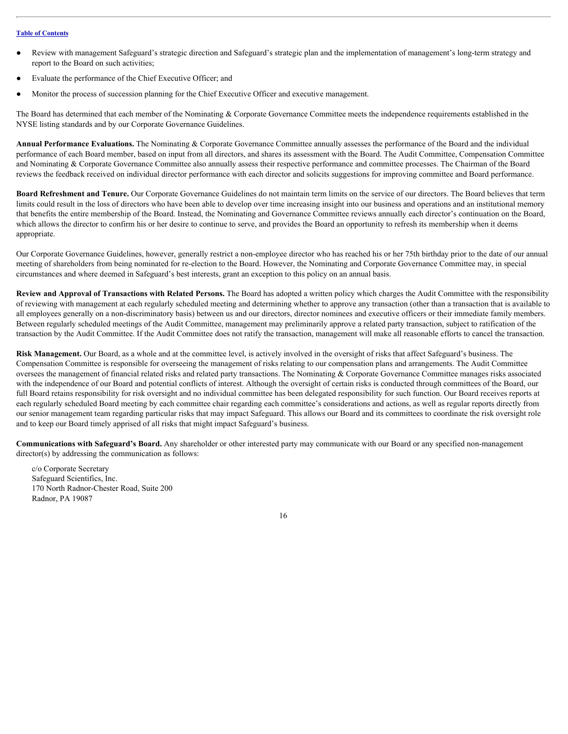- Review with management Safeguard's strategic direction and Safeguard's strategic plan and the implementation of management's long-term strategy and report to the Board on such activities;
- Evaluate the performance of the Chief Executive Officer; and
- Monitor the process of succession planning for the Chief Executive Officer and executive management.

The Board has determined that each member of the Nominating & Corporate Governance Committee meets the independence requirements established in the NYSE listing standards and by our Corporate Governance Guidelines.

<span id="page-19-0"></span>**Annual Performance Evaluations.** The Nominating & Corporate Governance Committee annually assesses the performance of the Board and the individual performance of each Board member, based on input from all directors, and shares its assessment with the Board. The Audit Committee, Compensation Committee and Nominating & Corporate Governance Committee also annually assess their respective performance and committee processes. The Chairman of the Board reviews the feedback received on individual director performance with each director and solicits suggestions for improving committee and Board performance.

<span id="page-19-1"></span>**Board Refreshment and Tenure.** Our Corporate Governance Guidelines do not maintain term limits on the service of our directors. The Board believes that term limits could result in the loss of directors who have been able to develop over time increasing insight into our business and operations and an institutional memory that benefits the entire membership of the Board. Instead, the Nominating and Governance Committee reviews annually each director's continuation on the Board, which allows the director to confirm his or her desire to continue to serve, and provides the Board an opportunity to refresh its membership when it deems appropriate.

Our Corporate Governance Guidelines, however, generally restrict a non-employee director who has reached his or her 75th birthday prior to the date of our annual meeting of shareholders from being nominated for re-election to the Board. However, the Nominating and Corporate Governance Committee may, in special circumstances and where deemed in Safeguard's best interests, grant an exception to this policy on an annual basis.

<span id="page-19-2"></span>**Review and Approval of Transactions with Related Persons.** The Board has adopted a written policy which charges the Audit Committee with the responsibility of reviewing with management at each regularly scheduled meeting and determining whether to approve any transaction (other than a transaction that is available to all employees generally on a non-discriminatory basis) between us and our directors, director nominees and executive officers or their immediate family members. Between regularly scheduled meetings of the Audit Committee, management may preliminarily approve a related party transaction, subject to ratification of the transaction by the Audit Committee. If the Audit Committee does not ratify the transaction, management will make all reasonable efforts to cancel the transaction.

<span id="page-19-3"></span>**Risk Management.** Our Board, as a whole and at the committee level, is actively involved in the oversight of risks that affect Safeguard's business. The Compensation Committee is responsible for overseeing the management of risks relating to our compensation plans and arrangements. The Audit Committee oversees the management of financial related risks and related party transactions. The Nominating & Corporate Governance Committee manages risks associated with the independence of our Board and potential conflicts of interest. Although the oversight of certain risks is conducted through committees of the Board, our full Board retains responsibility for risk oversight and no individual committee has been delegated responsibility for such function. Our Board receives reports at each regularly scheduled Board meeting by each committee chair regarding each committee's considerations and actions, as well as regular reports directly from our senior management team regarding particular risks that may impact Safeguard. This allows our Board and its committees to coordinate the risk oversight role and to keep our Board timely apprised of all risks that might impact Safeguard's business.

<span id="page-19-4"></span>**Communications with Safeguard's Board.** Any shareholder or other interested party may communicate with our Board or any specified non-management director(s) by addressing the communication as follows:

c/o Corporate Secretary Safeguard Scientifics, Inc. 170 North Radnor-Chester Road, Suite 200 Radnor, PA 19087

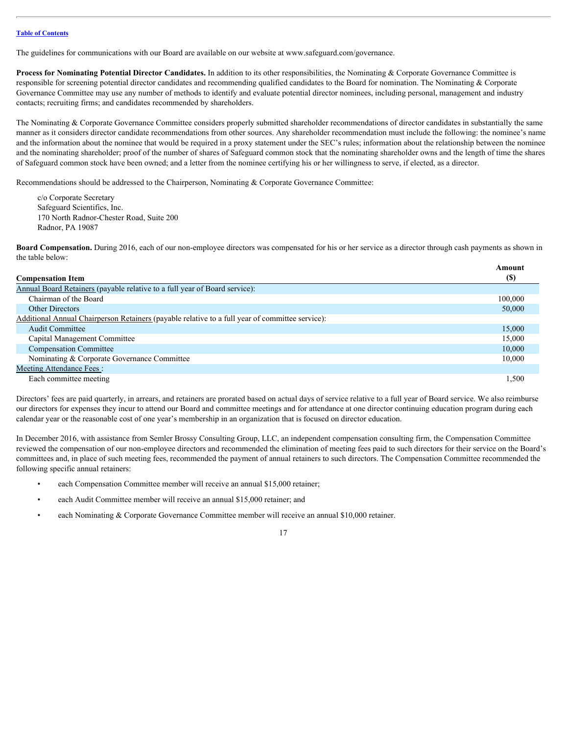The guidelines for communications with our Board are available on our website at www.safeguard.com/governance.

<span id="page-20-0"></span>**Process for Nominating Potential Director Candidates.** In addition to its other responsibilities, the Nominating & Corporate Governance Committee is responsible for screening potential director candidates and recommending qualified candidates to the Board for nomination. The Nominating & Corporate Governance Committee may use any number of methods to identify and evaluate potential director nominees, including personal, management and industry contacts; recruiting firms; and candidates recommended by shareholders.

The Nominating & Corporate Governance Committee considers properly submitted shareholder recommendations of director candidates in substantially the same manner as it considers director candidate recommendations from other sources. Any shareholder recommendation must include the following: the nominee's name and the information about the nominee that would be required in a proxy statement under the SEC's rules; information about the relationship between the nominee and the nominating shareholder; proof of the number of shares of Safeguard common stock that the nominating shareholder owns and the length of time the shares of Safeguard common stock have been owned; and a letter from the nominee certifying his or her willingness to serve, if elected, as a director.

Recommendations should be addressed to the Chairperson, Nominating & Corporate Governance Committee:

c/o Corporate Secretary Safeguard Scientifics, Inc. 170 North Radnor-Chester Road, Suite 200 Radnor, PA 19087

<span id="page-20-1"></span>**Board Compensation.** During 2016, each of our non-employee directors was compensated for his or her service as a director through cash payments as shown in the table below:

 **Amount** 

| <b>Compensation Item</b>                                                                        | (\$)    |
|-------------------------------------------------------------------------------------------------|---------|
| Annual Board Retainers (payable relative to a full year of Board service):                      |         |
| Chairman of the Board                                                                           | 100,000 |
| <b>Other Directors</b>                                                                          | 50,000  |
| Additional Annual Chairperson Retainers (payable relative to a full year of committee service): |         |
| <b>Audit Committee</b>                                                                          | 15,000  |
| Capital Management Committee                                                                    | 15,000  |
| <b>Compensation Committee</b>                                                                   | 10,000  |
| Nominating & Corporate Governance Committee                                                     | 10,000  |
| <b>Meeting Attendance Fees:</b>                                                                 |         |
| Each committee meeting                                                                          | 1,500   |
|                                                                                                 |         |

Directors' fees are paid quarterly, in arrears, and retainers are prorated based on actual days of service relative to a full year of Board service. We also reimburse our directors for expenses they incur to attend our Board and committee meetings and for attendance at one director continuing education program during each calendar year or the reasonable cost of one year's membership in an organization that is focused on director education.

In December 2016, with assistance from Semler Brossy Consulting Group, LLC, an independent compensation consulting firm, the Compensation Committee reviewed the compensation of our non-employee directors and recommended the elimination of meeting fees paid to such directors for their service on the Board's committees and, in place of such meeting fees, recommended the payment of annual retainers to such directors. The Compensation Committee recommended the following specific annual retainers:

- each Compensation Committee member will receive an annual \$15,000 retainer;
- each Audit Committee member will receive an annual \$15,000 retainer; and
- each Nominating & Corporate Governance Committee member will receive an annual \$10,000 retainer.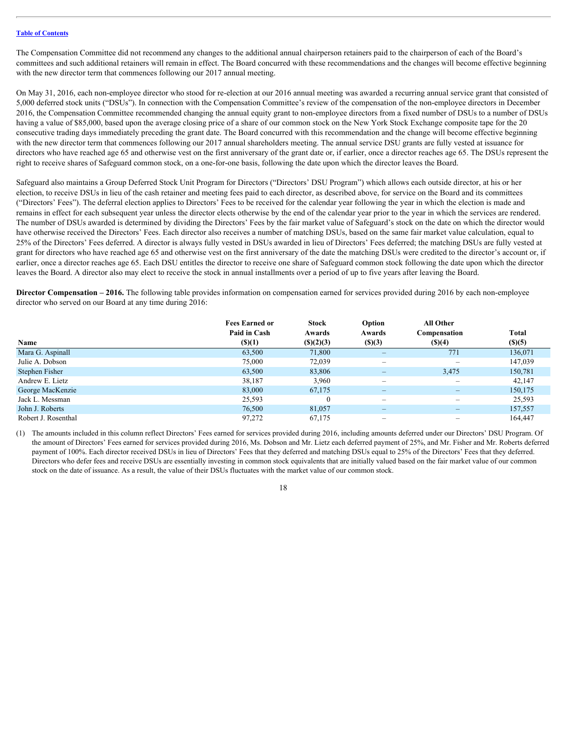The Compensation Committee did not recommend any changes to the additional annual chairperson retainers paid to the chairperson of each of the Board's committees and such additional retainers will remain in effect. The Board concurred with these recommendations and the changes will become effective beginning with the new director term that commences following our 2017 annual meeting.

On May 31, 2016, each non-employee director who stood for re-election at our 2016 annual meeting was awarded a recurring annual service grant that consisted of 5,000 deferred stock units ("DSUs"). In connection with the Compensation Committee's review of the compensation of the non-employee directors in December 2016, the Compensation Committee recommended changing the annual equity grant to non-employee directors from a fixed number of DSUs to a number of DSUs having a value of \$85,000, based upon the average closing price of a share of our common stock on the New York Stock Exchange composite tape for the 20 consecutive trading days immediately preceding the grant date. The Board concurred with this recommendation and the change will become effective beginning with the new director term that commences following our 2017 annual shareholders meeting. The annual service DSU grants are fully vested at issuance for directors who have reached age 65 and otherwise vest on the first anniversary of the grant date or, if earlier, once a director reaches age 65. The DSUs represent the right to receive shares of Safeguard common stock, on a one-for-one basis, following the date upon which the director leaves the Board.

Safeguard also maintains a Group Deferred Stock Unit Program for Directors ("Directors' DSU Program") which allows each outside director, at his or her election, to receive DSUs in lieu of the cash retainer and meeting fees paid to each director, as described above, for service on the Board and its committees ("Directors' Fees"). The deferral election applies to Directors' Fees to be received for the calendar year following the year in which the election is made and remains in effect for each subsequent year unless the director elects otherwise by the end of the calendar year prior to the year in which the services are rendered. The number of DSUs awarded is determined by dividing the Directors' Fees by the fair market value of Safeguard's stock on the date on which the director would have otherwise received the Directors' Fees. Each director also receives a number of matching DSUs, based on the same fair market value calculation, equal to 25% of the Directors' Fees deferred. A director is always fully vested in DSUs awarded in lieu of Directors' Fees deferred; the matching DSUs are fully vested at grant for directors who have reached age 65 and otherwise vest on the first anniversary of the date the matching DSUs were credited to the director's account or, if earlier, once a director reaches age 65. Each DSU entitles the director to receive one share of Safeguard common stock following the date upon which the director leaves the Board. A director also may elect to receive the stock in annual installments over a period of up to five years after leaving the Board.

<span id="page-21-0"></span>**Director Compensation – 2016.** The following table provides information on compensation earned for services provided during 2016 by each non-employee director who served on our Board at any time during 2016:

|                     | <b>Fees Earned or</b> | Stock             | Option                   | All Other                |             |
|---------------------|-----------------------|-------------------|--------------------------|--------------------------|-------------|
|                     | Paid in Cash          | Awards            | Awards                   | Compensation             | Total       |
| Name                | $($ (\$)(1)           | $($ (\$) $(2)(3)$ | (S)(3)                   | $($ (\$)(4)              | $($ (\$)(5) |
| Mara G. Aspinall    | 63,500                | 71,800            |                          | 771                      | 136,071     |
| Julie A. Dobson     | 75,000                | 72,039            | $\overline{\phantom{0}}$ | $\overline{\phantom{m}}$ | 147,039     |
| Stephen Fisher      | 63,500                | 83,806            | $\overline{\phantom{0}}$ | 3,475                    | 150,781     |
| Andrew E. Lietz     | 38,187                | 3,960             | $\qquad \qquad -$        | $\qquad \qquad$          | 42,147      |
| George MacKenzie    | 83,000                | 67,175            | -                        | $\qquad \qquad -$        | 150,175     |
| Jack L. Messman     | 25,593                | $\mathbf{0}$      | $\overline{\phantom{0}}$ | $\overline{\phantom{m}}$ | 25,593      |
| John J. Roberts     | 76,500                | 81,057            | -                        | $\qquad \qquad -$        | 157,557     |
| Robert J. Rosenthal | 97,272                | 67,175            | $\qquad \qquad -$        | $\overline{\phantom{m}}$ | 164,447     |

(1) The amounts included in this column reflect Directors' Fees earned for services provided during 2016, including amounts deferred under our Directors' DSU Program. Of the amount of Directors' Fees earned for services provided during 2016, Ms. Dobson and Mr. Lietz each deferred payment of 25%, and Mr. Fisher and Mr. Roberts deferred payment of 100%. Each director received DSUs in lieu of Directors' Fees that they deferred and matching DSUs equal to 25% of the Directors' Fees that they deferred. Directors who defer fees and receive DSUs are essentially investing in common stock equivalents that are initially valued based on the fair market value of our common stock on the date of issuance. As a result, the value of their DSUs fluctuates with the market value of our common stock.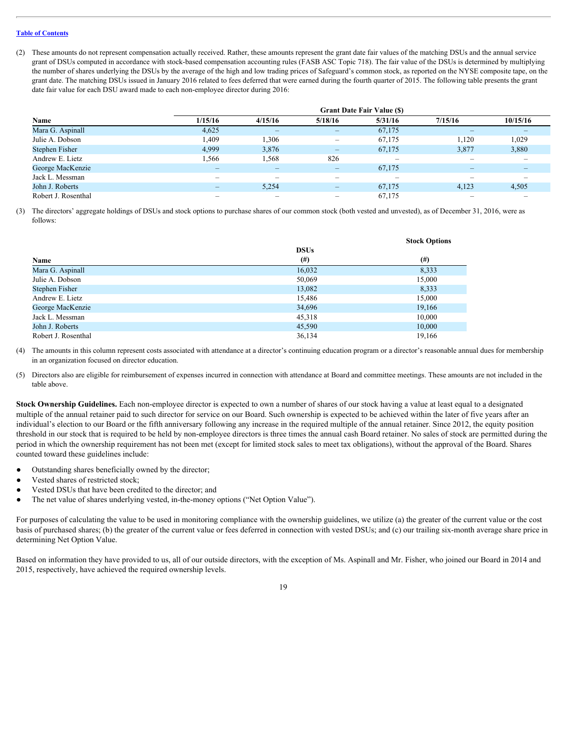(2) These amounts do not represent compensation actually received. Rather, these amounts represent the grant date fair values of the matching DSUs and the annual service grant of DSUs computed in accordance with stock-based compensation accounting rules (FASB ASC Topic 718). The fair value of the DSUs is determined by multiplying the number of shares underlying the DSUs by the average of the high and low trading prices of Safeguard's common stock, as reported on the NYSE composite tape, on the grant date. The matching DSUs issued in January 2016 related to fees deferred that were earned during the fourth quarter of 2015. The following table presents the grant date fair value for each DSU award made to each non-employee director during 2016:

|                       |                          |         |                              | <b>Grant Date Fair Value (S)</b>                                          |         |          |
|-----------------------|--------------------------|---------|------------------------------|---------------------------------------------------------------------------|---------|----------|
| Name                  | 1/15/16                  | 4/15/16 | 5/18/16                      | 5/31/16                                                                   | 7/15/16 | 10/15/16 |
| Mara G. Aspinall      | 4,625                    |         | $\qquad \qquad \blacksquare$ | 67,175                                                                    | -       | -        |
| Julie A. Dobson       | 1,409                    | .306    | $\qquad \qquad -$            | 67,175                                                                    | 1,120   | 1,029    |
| <b>Stephen Fisher</b> | 4,999                    | 3,876   | $\qquad \qquad \blacksquare$ | 67,175                                                                    | 3,877   | 3,880    |
| Andrew E. Lietz       | 1,566                    | .568    | 826                          | $\hspace{1.0cm} \rule{1.5cm}{0.15cm} \hspace{1.0cm} \rule{1.5cm}{0.15cm}$ | -       | -        |
| George MacKenzie      | $\overline{\phantom{0}}$ |         | $\qquad \qquad \blacksquare$ | 67,175                                                                    |         | -        |
| Jack L. Messman       | $\overline{\phantom{0}}$ |         | -                            | $\hspace{1.0cm} \rule{1.5cm}{0.15cm} \hspace{1.0cm} \rule{1.5cm}{0.15cm}$ | -       | -        |
| John J. Roberts       | $\overline{\phantom{0}}$ | 5,254   | $\qquad \qquad \blacksquare$ | 67,175                                                                    | 4,123   | 4,505    |
| Robert J. Rosenthal   | -                        | -       | $\overline{\phantom{0}}$     | 67,175                                                                    | -       | -        |

(3) The directors' aggregate holdings of DSUs and stock options to purchase shares of our common stock (both vested and unvested), as of December 31, 2016, were as follows:

|                     |             | <b>Stock Options</b> |
|---------------------|-------------|----------------------|
|                     | <b>DSUs</b> |                      |
| Name                | $^{(#)}$    | (# )                 |
| Mara G. Aspinall    | 16,032      | 8,333                |
| Julie A. Dobson     | 50,069      | 15,000               |
| Stephen Fisher      | 13,082      | 8,333                |
| Andrew E. Lietz     | 15,486      | 15,000               |
| George MacKenzie    | 34,696      | 19,166               |
| Jack L. Messman     | 45,318      | 10,000               |
| John J. Roberts     | 45,590      | 10,000               |
| Robert J. Rosenthal | 36,134      | 19,166               |

(4) The amounts in this column represent costs associated with attendance at a director's continuing education program or a director's reasonable annual dues for membership in an organization focused on director education.

(5) Directors also are eligible for reimbursement of expenses incurred in connection with attendance at Board and committee meetings. These amounts are not included in the table above.

<span id="page-22-0"></span>**Stock Ownership Guidelines.** Each non-employee director is expected to own a number of shares of our stock having a value at least equal to a designated multiple of the annual retainer paid to such director for service on our Board. Such ownership is expected to be achieved within the later of five years after an individual's election to our Board or the fifth anniversary following any increase in the required multiple of the annual retainer. Since 2012, the equity position threshold in our stock that is required to be held by non-employee directors is three times the annual cash Board retainer. No sales of stock are permitted during the period in which the ownership requirement has not been met (except for limited stock sales to meet tax obligations), without the approval of the Board. Shares counted toward these guidelines include:

- Outstanding shares beneficially owned by the director;
- Vested shares of restricted stock;
- Vested DSUs that have been credited to the director; and
- The net value of shares underlying vested, in-the-money options ("Net Option Value").

For purposes of calculating the value to be used in monitoring compliance with the ownership guidelines, we utilize (a) the greater of the current value or the cost basis of purchased shares; (b) the greater of the current value or fees deferred in connection with vested DSUs; and (c) our trailing six-month average share price in determining Net Option Value.

Based on information they have provided to us, all of our outside directors, with the exception of Ms. Aspinall and Mr. Fisher, who joined our Board in 2014 and 2015, respectively, have achieved the required ownership levels.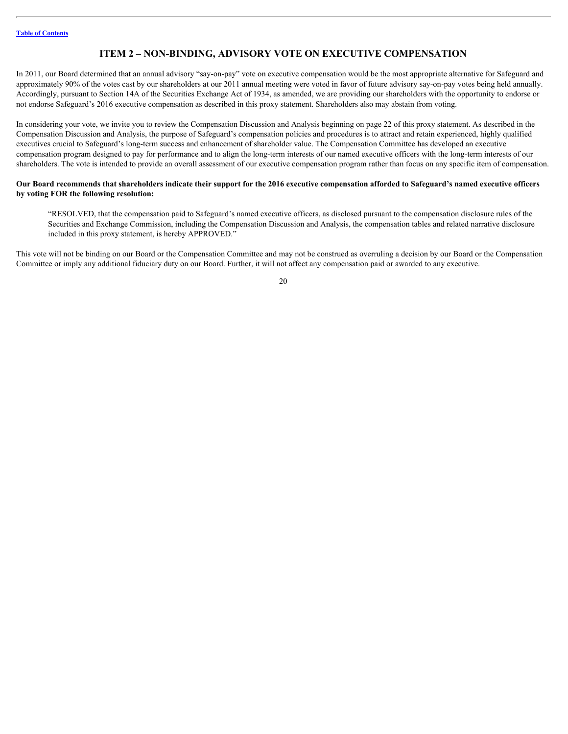# <span id="page-23-0"></span>**ITEM 2 – NON-BINDING, ADVISORY VOTE ON EXECUTIVE COMPENSATION**

In 2011, our Board determined that an annual advisory "say-on-pay" vote on executive compensation would be the most appropriate alternative for Safeguard and approximately 90% of the votes cast by our shareholders at our 2011 annual meeting were voted in favor of future advisory say-on-pay votes being held annually. Accordingly, pursuant to Section 14A of the Securities Exchange Act of 1934, as amended, we are providing our shareholders with the opportunity to endorse or not endorse Safeguard's 2016 executive compensation as described in this proxy statement. Shareholders also may abstain from voting.

In considering your vote, we invite you to review the Compensation Discussion and Analysis beginning on page 22 of this proxy statement. As described in the Compensation Discussion and Analysis, the purpose of Safeguard's compensation policies and procedures is to attract and retain experienced, highly qualified executives crucial to Safeguard's long-term success and enhancement of shareholder value. The Compensation Committee has developed an executive compensation program designed to pay for performance and to align the long-term interests of our named executive officers with the long-term interests of our shareholders. The vote is intended to provide an overall assessment of our executive compensation program rather than focus on any specific item of compensation.

#### **Our Board recommends that shareholders indicate their support for the 2016 executive compensation afforded to Safeguard's named executive officers by voting FOR the following resolution:**

"RESOLVED, that the compensation paid to Safeguard's named executive officers, as disclosed pursuant to the compensation disclosure rules of the Securities and Exchange Commission, including the Compensation Discussion and Analysis, the compensation tables and related narrative disclosure included in this proxy statement, is hereby APPROVED."

This vote will not be binding on our Board or the Compensation Committee and may not be construed as overruling a decision by our Board or the Compensation Committee or imply any additional fiduciary duty on our Board. Further, it will not affect any compensation paid or awarded to any executive.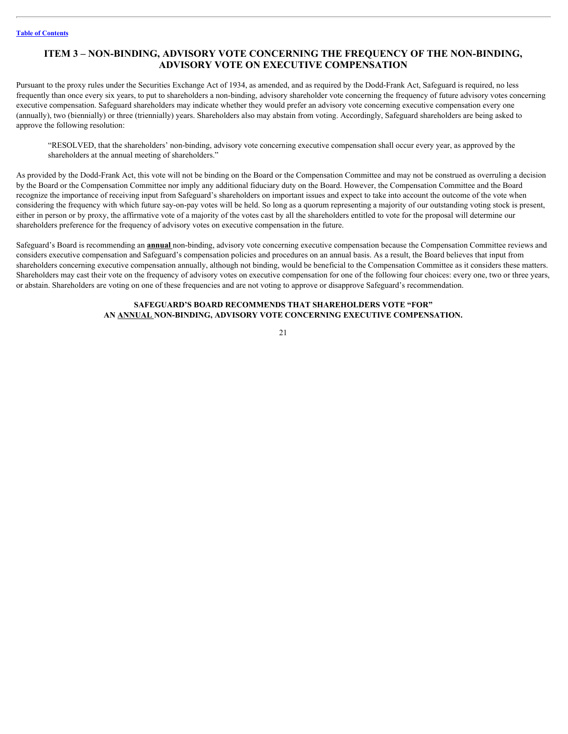## <span id="page-24-0"></span>**ITEM 3 – NON-BINDING, ADVISORY VOTE CONCERNING THE FREQUENCY OF THE NON-BINDING, ADVISORY VOTE ON EXECUTIVE COMPENSATION**

Pursuant to the proxy rules under the Securities Exchange Act of 1934, as amended, and as required by the Dodd-Frank Act, Safeguard is required, no less frequently than once every six years, to put to shareholders a non-binding, advisory shareholder vote concerning the frequency of future advisory votes concerning executive compensation. Safeguard shareholders may indicate whether they would prefer an advisory vote concerning executive compensation every one (annually), two (biennially) or three (triennially) years. Shareholders also may abstain from voting. Accordingly, Safeguard shareholders are being asked to approve the following resolution:

"RESOLVED, that the shareholders' non-binding, advisory vote concerning executive compensation shall occur every year, as approved by the shareholders at the annual meeting of shareholders."

As provided by the Dodd-Frank Act, this vote will not be binding on the Board or the Compensation Committee and may not be construed as overruling a decision by the Board or the Compensation Committee nor imply any additional fiduciary duty on the Board. However, the Compensation Committee and the Board recognize the importance of receiving input from Safeguard's shareholders on important issues and expect to take into account the outcome of the vote when considering the frequency with which future say-on-pay votes will be held. So long as a quorum representing a majority of our outstanding voting stock is present, either in person or by proxy, the affirmative vote of a majority of the votes cast by all the shareholders entitled to vote for the proposal will determine our shareholders preference for the frequency of advisory votes on executive compensation in the future.

Safeguard's Board is recommending an **annual** non-binding, advisory vote concerning executive compensation because the Compensation Committee reviews and considers executive compensation and Safeguard's compensation policies and procedures on an annual basis. As a result, the Board believes that input from shareholders concerning executive compensation annually, although not binding, would be beneficial to the Compensation Committee as it considers these matters. Shareholders may cast their vote on the frequency of advisory votes on executive compensation for one of the following four choices: every one, two or three years, or abstain. Shareholders are voting on one of these frequencies and are not voting to approve or disapprove Safeguard's recommendation.

### **SAFEGUARD'S BOARD RECOMMENDS THAT SHAREHOLDERS VOTE "FOR" AN ANNUAL NON-BINDING, ADVISORY VOTE CONCERNING EXECUTIVE COMPENSATION.**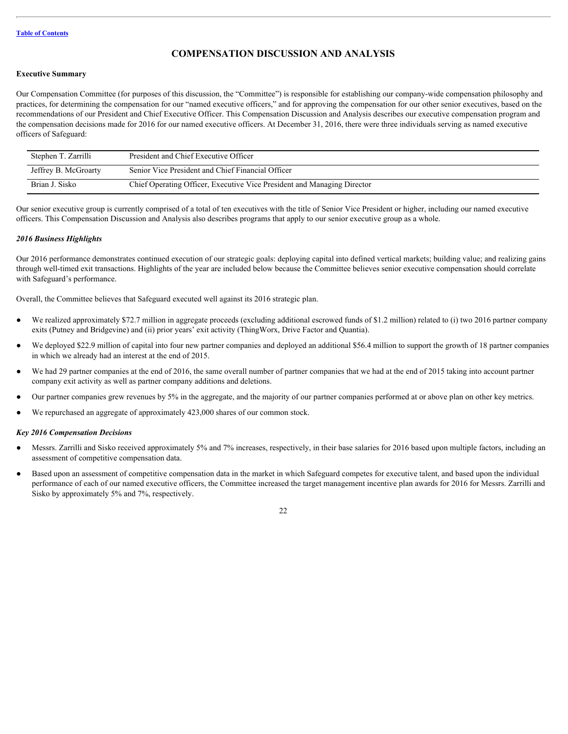# <span id="page-25-0"></span>**COMPENSATION DISCUSSION AND ANALYSIS**

#### <span id="page-25-1"></span>**Executive Summary**

Our Compensation Committee (for purposes of this discussion, the "Committee") is responsible for establishing our company-wide compensation philosophy and practices, for determining the compensation for our "named executive officers," and for approving the compensation for our other senior executives, based on the recommendations of our President and Chief Executive Officer. This Compensation Discussion and Analysis describes our executive compensation program and the compensation decisions made for 2016 for our named executive officers. At December 31, 2016, there were three individuals serving as named executive officers of Safeguard:

| Stephen T. Zarrilli  | President and Chief Executive Officer                                   |
|----------------------|-------------------------------------------------------------------------|
| Jeffrey B. McGroarty | Senior Vice President and Chief Financial Officer                       |
| Brian J. Sisko       | Chief Operating Officer, Executive Vice President and Managing Director |

Our senior executive group is currently comprised of a total of ten executives with the title of Senior Vice President or higher, including our named executive officers. This Compensation Discussion and Analysis also describes programs that apply to our senior executive group as a whole.

#### <span id="page-25-2"></span>*2016 Business Highlights*

Our 2016 performance demonstrates continued execution of our strategic goals: deploying capital into defined vertical markets; building value; and realizing gains through well-timed exit transactions. Highlights of the year are included below because the Committee believes senior executive compensation should correlate with Safeguard's performance.

Overall, the Committee believes that Safeguard executed well against its 2016 strategic plan.

- We realized approximately \$72.7 million in aggregate proceeds (excluding additional escrowed funds of \$1.2 million) related to (i) two 2016 partner company exits (Putney and Bridgevine) and (ii) prior years' exit activity (ThingWorx, Drive Factor and Quantia).
- We deployed \$22.9 million of capital into four new partner companies and deployed an additional \$56.4 million to support the growth of 18 partner companies in which we already had an interest at the end of 2015.
- We had 29 partner companies at the end of 2016, the same overall number of partner companies that we had at the end of 2015 taking into account partner company exit activity as well as partner company additions and deletions.
- Our partner companies grew revenues by 5% in the aggregate, and the majority of our partner companies performed at or above plan on other key metrics.
- We repurchased an aggregate of approximately 423,000 shares of our common stock.

#### <span id="page-25-3"></span>*Key 2016 Compensation Decisions*

- Messrs. Zarrilli and Sisko received approximately 5% and 7% increases, respectively, in their base salaries for 2016 based upon multiple factors, including an assessment of competitive compensation data.
- Based upon an assessment of competitive compensation data in the market in which Safeguard competes for executive talent, and based upon the individual performance of each of our named executive officers, the Committee increased the target management incentive plan awards for 2016 for Messrs. Zarrilli and Sisko by approximately 5% and 7%, respectively.

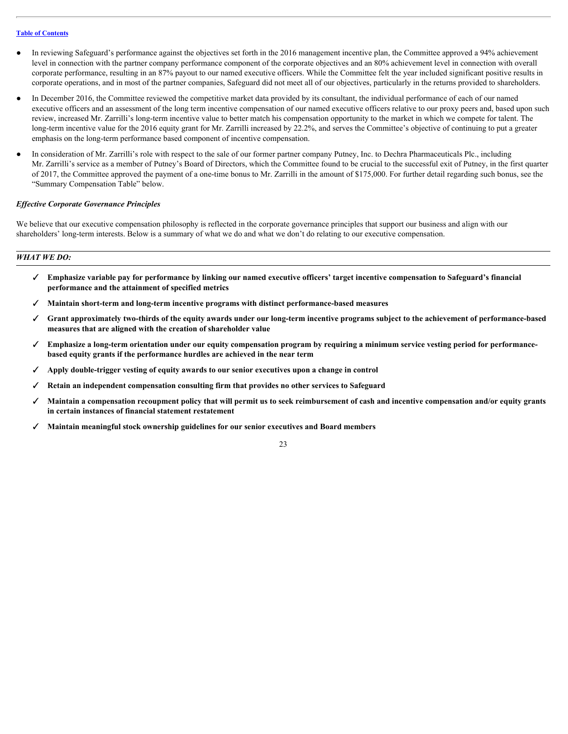- In reviewing Safeguard's performance against the objectives set forth in the 2016 management incentive plan, the Committee approved a 94% achievement level in connection with the partner company performance component of the corporate objectives and an 80% achievement level in connection with overall corporate performance, resulting in an 87% payout to our named executive officers. While the Committee felt the year included significant positive results in corporate operations, and in most of the partner companies, Safeguard did not meet all of our objectives, particularly in the returns provided to shareholders.
- In December 2016, the Committee reviewed the competitive market data provided by its consultant, the individual performance of each of our named executive officers and an assessment of the long term incentive compensation of our named executive officers relative to our proxy peers and, based upon such review, increased Mr. Zarrilli's long-term incentive value to better match his compensation opportunity to the market in which we compete for talent. The long-term incentive value for the 2016 equity grant for Mr. Zarrilli increased by 22.2%, and serves the Committee's objective of continuing to put a greater emphasis on the long-term performance based component of incentive compensation.
- In consideration of Mr. Zarrilli's role with respect to the sale of our former partner company Putney, Inc. to Dechra Pharmaceuticals Plc., including Mr. Zarrilli's service as a member of Putney's Board of Directors, which the Committee found to be crucial to the successful exit of Putney, in the first quarter of 2017, the Committee approved the payment of a one-time bonus to Mr. Zarrilli in the amount of \$175,000. For further detail regarding such bonus, see the "Summary Compensation Table" below.

#### <span id="page-26-0"></span>*Effective Corporate Governance Principles*

We believe that our executive compensation philosophy is reflected in the corporate governance principles that support our business and align with our shareholders' long-term interests. Below is a summary of what we do and what we don't do relating to our executive compensation.

#### *WHAT WE DO:*

- ✓ **Emphasize variable pay for performance by linking our named executive officers' target incentive compensation to Safeguard's financial performance and the attainment of specified metrics**
- ✓ **Maintain short-term and long-term incentive programs with distinct performance-based measures**
- ✓ **Grant approximately two-thirds of the equity awards under our long-term incentive programs subject to the achievement of performance-based measures that are aligned with the creation of shareholder value**
- ✓ **Emphasize a long-term orientation under our equity compensation program by requiring a minimum service vesting period for performancebased equity grants if the performance hurdles are achieved in the near term**
- ✓ **Apply double-trigger vesting of equity awards to our senior executives upon a change in control**
- ✓ **Retain an independent compensation consulting firm that provides no other services to Safeguard**
- ✓ **Maintain a compensation recoupment policy that will permit us to seek reimbursement of cash and incentive compensation and/or equity grants in certain instances of financial statement restatement**
- ✓ **Maintain meaningful stock ownership guidelines for our senior executives and Board members**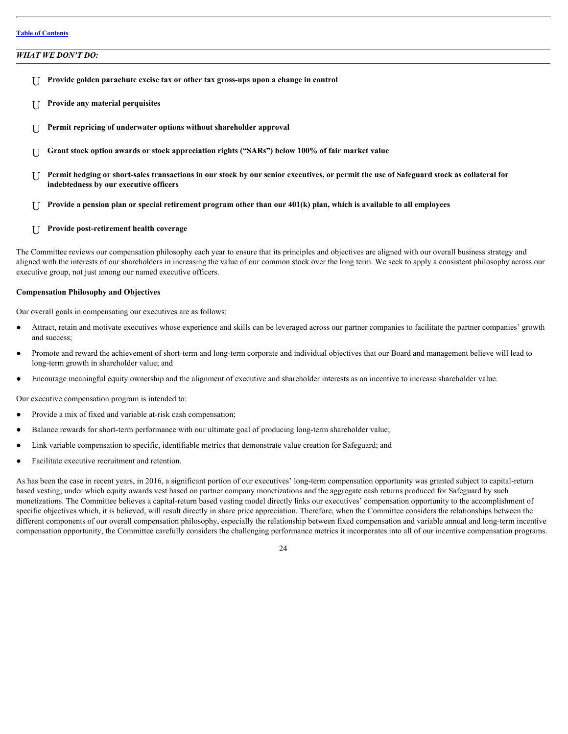#### *WHAT WE DON'T DO:*

- U **Provide golden parachute excise tax or other tax gross-ups upon a change in control**
- U **Provide any material perquisites**
- U **Permit repricing of underwater options without shareholder approval**
- U **Grant stock option awards or stock appreciation rights ("SARs") below 100% of fair market value**
- U **Permit hedging or short-sales transactions in our stock by our senior executives, or permit the use of Safeguard stock as collateral for indebtedness by our executive officers**
- U **Provide a pension plan or special retirement program other than our 401(k) plan, which is available to all employees**

#### U **Provide post-retirement health coverage**

The Committee reviews our compensation philosophy each year to ensure that its principles and objectives are aligned with our overall business strategy and aligned with the interests of our shareholders in increasing the value of our common stock over the long term. We seek to apply a consistent philosophy across our executive group, not just among our named executive officers.

#### <span id="page-27-0"></span>**Compensation Philosophy and Objectives**

Our overall goals in compensating our executives are as follows:

- Attract, retain and motivate executives whose experience and skills can be leveraged across our partner companies to facilitate the partner companies' growth and success;
- Promote and reward the achievement of short-term and long-term corporate and individual objectives that our Board and management believe will lead to long-term growth in shareholder value; and
- Encourage meaningful equity ownership and the alignment of executive and shareholder interests as an incentive to increase shareholder value.

Our executive compensation program is intended to:

- Provide a mix of fixed and variable at-risk cash compensation;
- Balance rewards for short-term performance with our ultimate goal of producing long-term shareholder value;
- Link variable compensation to specific, identifiable metrics that demonstrate value creation for Safeguard; and
- Facilitate executive recruitment and retention.

As has been the case in recent years, in 2016, a significant portion of our executives' long-term compensation opportunity was granted subject to capital-return based vesting, under which equity awards vest based on partner company monetizations and the aggregate cash returns produced for Safeguard by such monetizations. The Committee believes a capital-return based vesting model directly links our executives' compensation opportunity to the accomplishment of specific objectives which, it is believed, will result directly in share price appreciation. Therefore, when the Committee considers the relationships between the different components of our overall compensation philosophy, especially the relationship between fixed compensation and variable annual and long-term incentive compensation opportunity, the Committee carefully considers the challenging performance metrics it incorporates into all of our incentive compensation programs.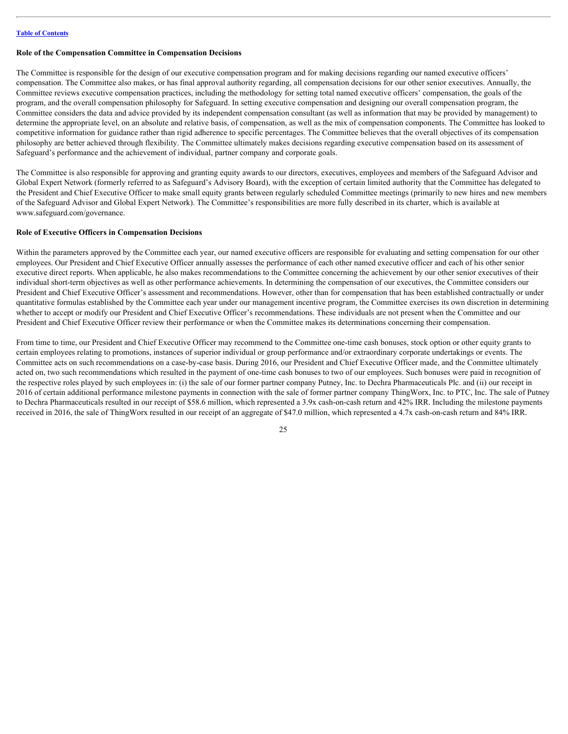#### <span id="page-28-0"></span>**Role of the Compensation Committee in Compensation Decisions**

The Committee is responsible for the design of our executive compensation program and for making decisions regarding our named executive officers' compensation. The Committee also makes, or has final approval authority regarding, all compensation decisions for our other senior executives. Annually, the Committee reviews executive compensation practices, including the methodology for setting total named executive officers' compensation, the goals of the program, and the overall compensation philosophy for Safeguard. In setting executive compensation and designing our overall compensation program, the Committee considers the data and advice provided by its independent compensation consultant (as well as information that may be provided by management) to determine the appropriate level, on an absolute and relative basis, of compensation, as well as the mix of compensation components. The Committee has looked to competitive information for guidance rather than rigid adherence to specific percentages. The Committee believes that the overall objectives of its compensation philosophy are better achieved through flexibility. The Committee ultimately makes decisions regarding executive compensation based on its assessment of Safeguard's performance and the achievement of individual, partner company and corporate goals.

The Committee is also responsible for approving and granting equity awards to our directors, executives, employees and members of the Safeguard Advisor and Global Expert Network (formerly referred to as Safeguard's Advisory Board), with the exception of certain limited authority that the Committee has delegated to the President and Chief Executive Officer to make small equity grants between regularly scheduled Committee meetings (primarily to new hires and new members of the Safeguard Advisor and Global Expert Network). The Committee's responsibilities are more fully described in its charter, which is available at www.safeguard.com/governance.

#### <span id="page-28-1"></span>**Role of Executive Officers in Compensation Decisions**

Within the parameters approved by the Committee each year, our named executive officers are responsible for evaluating and setting compensation for our other employees. Our President and Chief Executive Officer annually assesses the performance of each other named executive officer and each of his other senior executive direct reports. When applicable, he also makes recommendations to the Committee concerning the achievement by our other senior executives of their individual short-term objectives as well as other performance achievements. In determining the compensation of our executives, the Committee considers our President and Chief Executive Officer's assessment and recommendations. However, other than for compensation that has been established contractually or under quantitative formulas established by the Committee each year under our management incentive program, the Committee exercises its own discretion in determining whether to accept or modify our President and Chief Executive Officer's recommendations. These individuals are not present when the Committee and our President and Chief Executive Officer review their performance or when the Committee makes its determinations concerning their compensation.

From time to time, our President and Chief Executive Officer may recommend to the Committee one-time cash bonuses, stock option or other equity grants to certain employees relating to promotions, instances of superior individual or group performance and/or extraordinary corporate undertakings or events. The Committee acts on such recommendations on a case-by-case basis. During 2016, our President and Chief Executive Officer made, and the Committee ultimately acted on, two such recommendations which resulted in the payment of one-time cash bonuses to two of our employees. Such bonuses were paid in recognition of the respective roles played by such employees in: (i) the sale of our former partner company Putney, Inc. to Dechra Pharmaceuticals Plc. and (ii) our receipt in 2016 of certain additional performance milestone payments in connection with the sale of former partner company ThingWorx, Inc. to PTC, Inc. The sale of Putney to Dechra Pharmaceuticals resulted in our receipt of \$58.6 million, which represented a 3.9x cash-on-cash return and 42% IRR. Including the milestone payments received in 2016, the sale of ThingWorx resulted in our receipt of an aggregate of \$47.0 million, which represented a 4.7x cash-on-cash return and 84% IRR.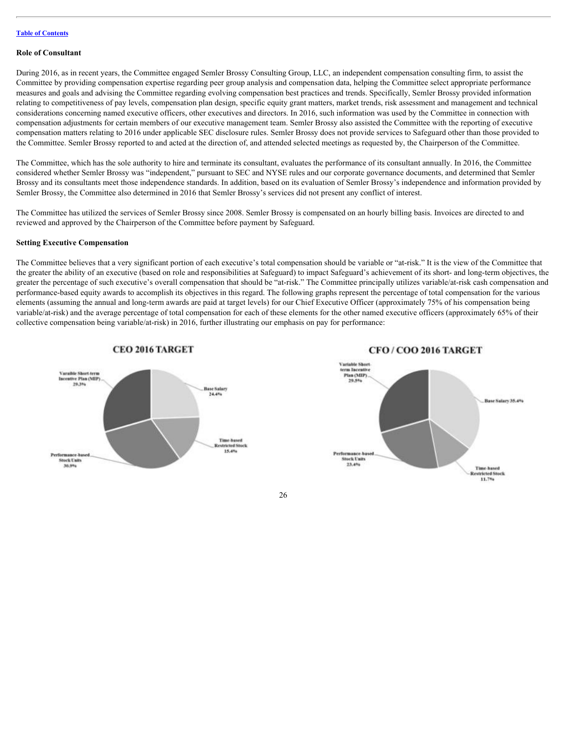#### <span id="page-29-0"></span>**Role of Consultant**

During 2016, as in recent years, the Committee engaged Semler Brossy Consulting Group, LLC, an independent compensation consulting firm, to assist the Committee by providing compensation expertise regarding peer group analysis and compensation data, helping the Committee select appropriate performance measures and goals and advising the Committee regarding evolving compensation best practices and trends. Specifically, Semler Brossy provided information relating to competitiveness of pay levels, compensation plan design, specific equity grant matters, market trends, risk assessment and management and technical considerations concerning named executive officers, other executives and directors. In 2016, such information was used by the Committee in connection with compensation adjustments for certain members of our executive management team. Semler Brossy also assisted the Committee with the reporting of executive compensation matters relating to 2016 under applicable SEC disclosure rules. Semler Brossy does not provide services to Safeguard other than those provided to the Committee. Semler Brossy reported to and acted at the direction of, and attended selected meetings as requested by, the Chairperson of the Committee.

The Committee, which has the sole authority to hire and terminate its consultant, evaluates the performance of its consultant annually. In 2016, the Committee considered whether Semler Brossy was "independent," pursuant to SEC and NYSE rules and our corporate governance documents, and determined that Semler Brossy and its consultants meet those independence standards. In addition, based on its evaluation of Semler Brossy's independence and information provided by Semler Brossy, the Committee also determined in 2016 that Semler Brossy's services did not present any conflict of interest.

The Committee has utilized the services of Semler Brossy since 2008. Semler Brossy is compensated on an hourly billing basis. Invoices are directed to and reviewed and approved by the Chairperson of the Committee before payment by Safeguard.

#### <span id="page-29-1"></span>**Setting Executive Compensation**

The Committee believes that a very significant portion of each executive's total compensation should be variable or "at-risk." It is the view of the Committee that the greater the ability of an executive (based on role and responsibilities at Safeguard) to impact Safeguard's achievement of its short- and long-term objectives, the greater the percentage of such executive's overall compensation that should be "at-risk." The Committee principally utilizes variable/at-risk cash compensation and performance-based equity awards to accomplish its objectives in this regard. The following graphs represent the percentage of total compensation for the various elements (assuming the annual and long-term awards are paid at target levels) for our Chief Executive Officer (approximately 75% of his compensation being variable/at-risk) and the average percentage of total compensation for each of these elements for the other named executive officers (approximately 65% of their collective compensation being variable/at-risk) in 2016, further illustrating our emphasis on pay for performance:



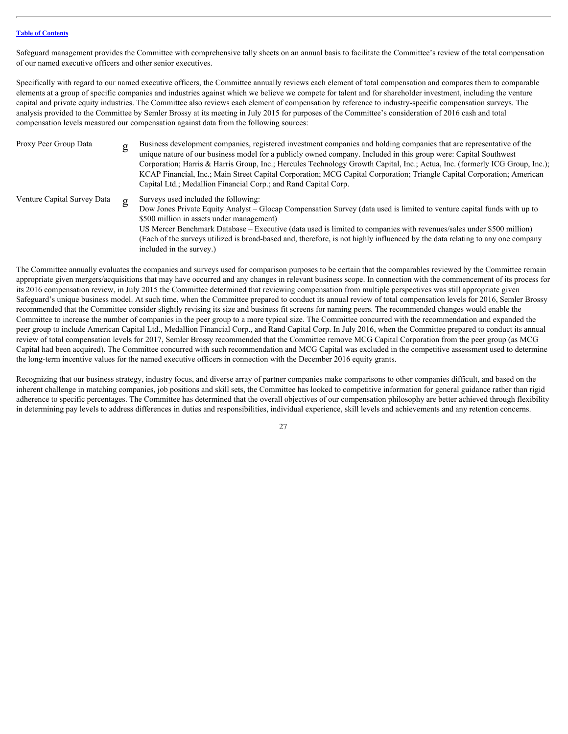Safeguard management provides the Committee with comprehensive tally sheets on an annual basis to facilitate the Committee's review of the total compensation of our named executive officers and other senior executives.

Specifically with regard to our named executive officers, the Committee annually reviews each element of total compensation and compares them to comparable elements at a group of specific companies and industries against which we believe we compete for talent and for shareholder investment, including the venture capital and private equity industries. The Committee also reviews each element of compensation by reference to industry-specific compensation surveys. The analysis provided to the Committee by Semler Brossy at its meeting in July 2015 for purposes of the Committee's consideration of 2016 cash and total compensation levels measured our compensation against data from the following sources:

| Proxy Peer Group Data       | $\sigma$ | Business development companies, registered investment companies and holding companies that are representative of the<br>unique nature of our business model for a publicly owned company. Included in this group were: Capital Southwest<br>Corporation; Harris & Harris Group, Inc.; Hercules Technology Growth Capital, Inc.; Actua, Inc. (formerly ICG Group, Inc.);<br>KCAP Financial, Inc.; Main Street Capital Corporation; MCG Capital Corporation; Triangle Capital Corporation; American<br>Capital Ltd.; Medallion Financial Corp.; and Rand Capital Corp. |
|-----------------------------|----------|----------------------------------------------------------------------------------------------------------------------------------------------------------------------------------------------------------------------------------------------------------------------------------------------------------------------------------------------------------------------------------------------------------------------------------------------------------------------------------------------------------------------------------------------------------------------|
| Venture Capital Survey Data |          | Surveys used included the following:<br>Dow Jones Private Equity Analyst – Glocap Compensation Survey (data used is limited to venture capital funds with up to<br>\$500 million in assets under management)<br>US Mercer Benchmark Database - Executive (data used is limited to companies with revenues/sales under \$500 million)<br>(Each of the surveys utilized is broad-based and, therefore, is not highly influenced by the data relating to any one company<br>included in the survey.)                                                                    |

The Committee annually evaluates the companies and surveys used for comparison purposes to be certain that the comparables reviewed by the Committee remain appropriate given mergers/acquisitions that may have occurred and any changes in relevant business scope. In connection with the commencement of its process for its 2016 compensation review, in July 2015 the Committee determined that reviewing compensation from multiple perspectives was still appropriate given Safeguard's unique business model. At such time, when the Committee prepared to conduct its annual review of total compensation levels for 2016, Semler Brossy recommended that the Committee consider slightly revising its size and business fit screens for naming peers. The recommended changes would enable the Committee to increase the number of companies in the peer group to a more typical size. The Committee concurred with the recommendation and expanded the peer group to include American Capital Ltd., Medallion Financial Corp., and Rand Capital Corp. In July 2016, when the Committee prepared to conduct its annual review of total compensation levels for 2017, Semler Brossy recommended that the Committee remove MCG Capital Corporation from the peer group (as MCG Capital had been acquired). The Committee concurred with such recommendation and MCG Capital was excluded in the competitive assessment used to determine the long-term incentive values for the named executive officers in connection with the December 2016 equity grants.

Recognizing that our business strategy, industry focus, and diverse array of partner companies make comparisons to other companies difficult, and based on the inherent challenge in matching companies, job positions and skill sets, the Committee has looked to competitive information for general guidance rather than rigid adherence to specific percentages. The Committee has determined that the overall objectives of our compensation philosophy are better achieved through flexibility in determining pay levels to address differences in duties and responsibilities, individual experience, skill levels and achievements and any retention concerns.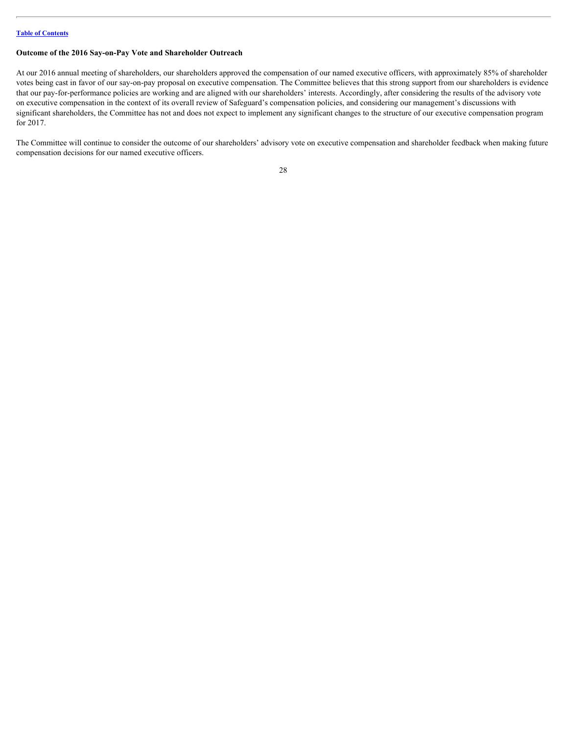#### <span id="page-31-0"></span>**Outcome of the 2016 Say-on-Pay Vote and Shareholder Outreach**

At our 2016 annual meeting of shareholders, our shareholders approved the compensation of our named executive officers, with approximately 85% of shareholder votes being cast in favor of our say-on-pay proposal on executive compensation. The Committee believes that this strong support from our shareholders is evidence that our pay-for-performance policies are working and are aligned with our shareholders' interests. Accordingly, after considering the results of the advisory vote on executive compensation in the context of its overall review of Safeguard's compensation policies, and considering our management's discussions with significant shareholders, the Committee has not and does not expect to implement any significant changes to the structure of our executive compensation program for 2017.

The Committee will continue to consider the outcome of our shareholders' advisory vote on executive compensation and shareholder feedback when making future compensation decisions for our named executive officers.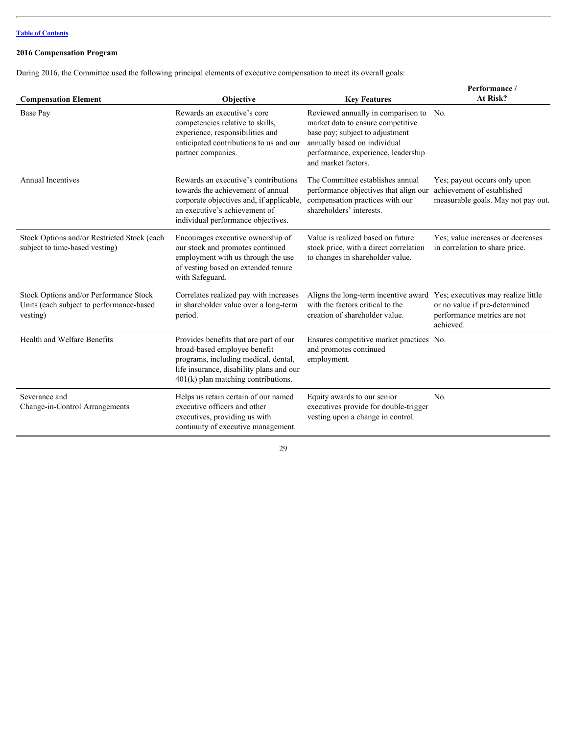## <span id="page-32-0"></span>**2016 Compensation Program**

During 2016, the Committee used the following principal elements of executive compensation to meet its overall goals:

| <b>Compensation Element</b>                                                                    | <b>Objective</b>                                                                                                                                                                                    | <b>Key Features</b>                                                                                                                                                                                          | Performance /<br>At Risk?                                                                                       |
|------------------------------------------------------------------------------------------------|-----------------------------------------------------------------------------------------------------------------------------------------------------------------------------------------------------|--------------------------------------------------------------------------------------------------------------------------------------------------------------------------------------------------------------|-----------------------------------------------------------------------------------------------------------------|
| Base Pay                                                                                       | Rewards an executive's core<br>competencies relative to skills,<br>experience, responsibilities and<br>anticipated contributions to us and our<br>partner companies.                                | Reviewed annually in comparison to No.<br>market data to ensure competitive<br>base pay; subject to adjustment<br>annually based on individual<br>performance, experience, leadership<br>and market factors. |                                                                                                                 |
| <b>Annual Incentives</b>                                                                       | Rewards an executive's contributions<br>towards the achievement of annual<br>corporate objectives and, if applicable,<br>an executive's achievement of<br>individual performance objectives.        | The Committee establishes annual<br>performance objectives that align our<br>compensation practices with our<br>shareholders' interests.                                                                     | Yes; payout occurs only upon<br>achievement of established<br>measurable goals. May not pay out.                |
| Stock Options and/or Restricted Stock (each<br>subject to time-based vesting)                  | Encourages executive ownership of<br>our stock and promotes continued<br>employment with us through the use<br>of vesting based on extended tenure<br>with Safeguard.                               | Value is realized based on future<br>stock price, with a direct correlation<br>to changes in shareholder value.                                                                                              | Yes: value increases or decreases<br>in correlation to share price.                                             |
| Stock Options and/or Performance Stock<br>Units (each subject to performance-based<br>vesting) | Correlates realized pay with increases<br>in shareholder value over a long-term<br>period.                                                                                                          | Aligns the long-term incentive award<br>with the factors critical to the<br>creation of shareholder value.                                                                                                   | Yes; executives may realize little<br>or no value if pre-determined<br>performance metrics are not<br>achieved. |
| Health and Welfare Benefits                                                                    | Provides benefits that are part of our<br>broad-based employee benefit<br>programs, including medical, dental,<br>life insurance, disability plans and our<br>$401(k)$ plan matching contributions. | Ensures competitive market practices No.<br>and promotes continued<br>employment.                                                                                                                            |                                                                                                                 |
| Severance and<br>Change-in-Control Arrangements                                                | Helps us retain certain of our named<br>executive officers and other<br>executives, providing us with<br>continuity of executive management.                                                        | Equity awards to our senior<br>executives provide for double-trigger<br>vesting upon a change in control.                                                                                                    | No.                                                                                                             |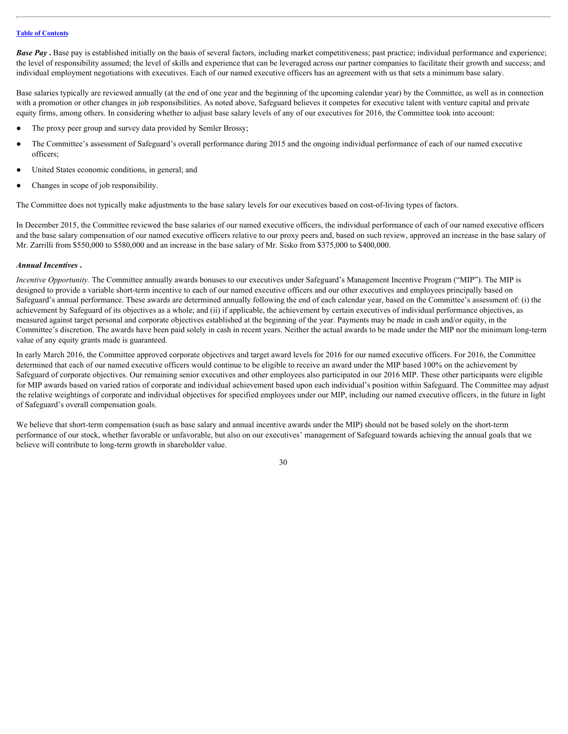*Base Pay* **.** Base pay is established initially on the basis of several factors, including market competitiveness; past practice; individual performance and experience; the level of responsibility assumed; the level of skills and experience that can be leveraged across our partner companies to facilitate their growth and success; and individual employment negotiations with executives. Each of our named executive officers has an agreement with us that sets a minimum base salary.

Base salaries typically are reviewed annually (at the end of one year and the beginning of the upcoming calendar year) by the Committee, as well as in connection with a promotion or other changes in job responsibilities. As noted above, Safeguard believes it competes for executive talent with venture capital and private equity firms, among others. In considering whether to adjust base salary levels of any of our executives for 2016, the Committee took into account:

- The proxy peer group and survey data provided by Semler Brossy;
- The Committee's assessment of Safeguard's overall performance during 2015 and the ongoing individual performance of each of our named executive officers;
- United States economic conditions, in general; and
- Changes in scope of job responsibility.

The Committee does not typically make adjustments to the base salary levels for our executives based on cost-of-living types of factors.

In December 2015, the Committee reviewed the base salaries of our named executive officers, the individual performance of each of our named executive officers and the base salary compensation of our named executive officers relative to our proxy peers and, based on such review, approved an increase in the base salary of Mr. Zarrilli from \$550,000 to \$580,000 and an increase in the base salary of Mr. Sisko from \$375,000 to \$400,000.

#### *Annual Incentives* **.**

*Incentive Opportunity*. The Committee annually awards bonuses to our executives under Safeguard's Management Incentive Program ("MIP"). The MIP is designed to provide a variable short-term incentive to each of our named executive officers and our other executives and employees principally based on Safeguard's annual performance. These awards are determined annually following the end of each calendar year, based on the Committee's assessment of: (i) the achievement by Safeguard of its objectives as a whole; and (ii) if applicable, the achievement by certain executives of individual performance objectives, as measured against target personal and corporate objectives established at the beginning of the year. Payments may be made in cash and/or equity, in the Committee's discretion. The awards have been paid solely in cash in recent years. Neither the actual awards to be made under the MIP nor the minimum long-term value of any equity grants made is guaranteed.

In early March 2016, the Committee approved corporate objectives and target award levels for 2016 for our named executive officers. For 2016, the Committee determined that each of our named executive officers would continue to be eligible to receive an award under the MIP based 100% on the achievement by Safeguard of corporate objectives. Our remaining senior executives and other employees also participated in our 2016 MIP. These other participants were eligible for MIP awards based on varied ratios of corporate and individual achievement based upon each individual's position within Safeguard. The Committee may adjust the relative weightings of corporate and individual objectives for specified employees under our MIP, including our named executive officers, in the future in light of Safeguard's overall compensation goals.

We believe that short-term compensation (such as base salary and annual incentive awards under the MIP) should not be based solely on the short-term performance of our stock, whether favorable or unfavorable, but also on our executives' management of Safeguard towards achieving the annual goals that we believe will contribute to long-term growth in shareholder value.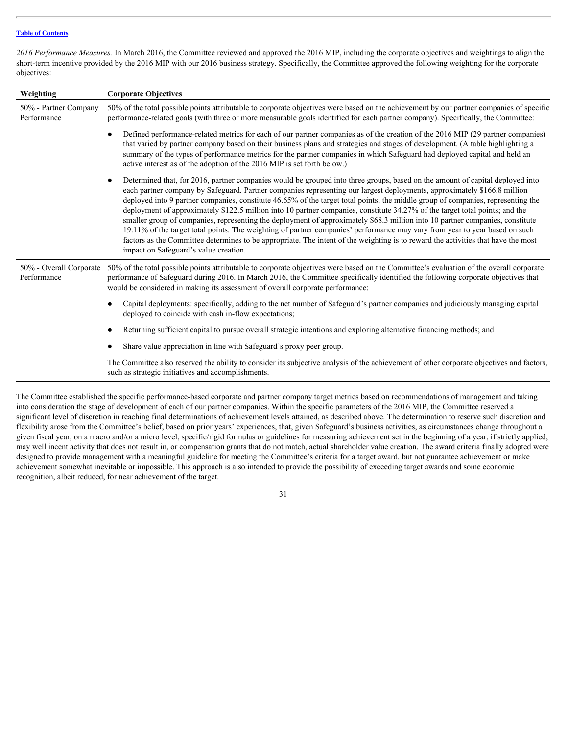*2016 Performance Measures.* In March 2016, the Committee reviewed and approved the 2016 MIP, including the corporate objectives and weightings to align the short-term incentive provided by the 2016 MIP with our 2016 business strategy. Specifically, the Committee approved the following weighting for the corporate objectives:

| Weighting                              | <b>Corporate Objectives</b>                                                                                                                                                                                                                                                                                                                                                                                                                                                                                                                                                                                                                                                                                                                                                                                                                                                                                                                                                 |
|----------------------------------------|-----------------------------------------------------------------------------------------------------------------------------------------------------------------------------------------------------------------------------------------------------------------------------------------------------------------------------------------------------------------------------------------------------------------------------------------------------------------------------------------------------------------------------------------------------------------------------------------------------------------------------------------------------------------------------------------------------------------------------------------------------------------------------------------------------------------------------------------------------------------------------------------------------------------------------------------------------------------------------|
| 50% - Partner Company<br>Performance   | 50% of the total possible points attributable to corporate objectives were based on the achievement by our partner companies of specific<br>performance-related goals (with three or more measurable goals identified for each partner company). Specifically, the Committee:                                                                                                                                                                                                                                                                                                                                                                                                                                                                                                                                                                                                                                                                                               |
|                                        | Defined performance-related metrics for each of our partner companies as of the creation of the 2016 MIP (29 partner companies)<br>that varied by partner company based on their business plans and strategies and stages of development. (A table highlighting a<br>summary of the types of performance metrics for the partner companies in which Safeguard had deployed capital and held an<br>active interest as of the adoption of the 2016 MIP is set forth below.)                                                                                                                                                                                                                                                                                                                                                                                                                                                                                                   |
|                                        | Determined that, for 2016, partner companies would be grouped into three groups, based on the amount of capital deployed into<br>each partner company by Safeguard. Partner companies representing our largest deployments, approximately \$166.8 million<br>deployed into 9 partner companies, constitute 46.65% of the target total points; the middle group of companies, representing the<br>deployment of approximately \$122.5 million into 10 partner companies, constitute 34.27% of the target total points; and the<br>smaller group of companies, representing the deployment of approximately \$68.3 million into 10 partner companies, constitute<br>19.11% of the target total points. The weighting of partner companies' performance may vary from year to year based on such<br>factors as the Committee determines to be appropriate. The intent of the weighting is to reward the activities that have the most<br>impact on Safeguard's value creation. |
| 50% - Overall Corporate<br>Performance | 50% of the total possible points attributable to corporate objectives were based on the Committee's evaluation of the overall corporate<br>performance of Safeguard during 2016. In March 2016, the Committee specifically identified the following corporate objectives that<br>would be considered in making its assessment of overall corporate performance:                                                                                                                                                                                                                                                                                                                                                                                                                                                                                                                                                                                                             |
|                                        | Capital deployments: specifically, adding to the net number of Safeguard's partner companies and judiciously managing capital<br>deployed to coincide with cash in-flow expectations;                                                                                                                                                                                                                                                                                                                                                                                                                                                                                                                                                                                                                                                                                                                                                                                       |
|                                        | Returning sufficient capital to pursue overall strategic intentions and exploring alternative financing methods; and                                                                                                                                                                                                                                                                                                                                                                                                                                                                                                                                                                                                                                                                                                                                                                                                                                                        |
|                                        | Share value appreciation in line with Safeguard's proxy peer group.                                                                                                                                                                                                                                                                                                                                                                                                                                                                                                                                                                                                                                                                                                                                                                                                                                                                                                         |
|                                        | The Committee also reserved the ability to consider its subjective analysis of the achievement of other corporate objectives and factors,<br>such as strategic initiatives and accomplishments.                                                                                                                                                                                                                                                                                                                                                                                                                                                                                                                                                                                                                                                                                                                                                                             |

The Committee established the specific performance-based corporate and partner company target metrics based on recommendations of management and taking into consideration the stage of development of each of our partner companies. Within the specific parameters of the 2016 MIP, the Committee reserved a significant level of discretion in reaching final determinations of achievement levels attained, as described above. The determination to reserve such discretion and flexibility arose from the Committee's belief, based on prior years' experiences, that, given Safeguard's business activities, as circumstances change throughout a given fiscal year, on a macro and/or a micro level, specific/rigid formulas or guidelines for measuring achievement set in the beginning of a year, if strictly applied, may well incent activity that does not result in, or compensation grants that do not match, actual shareholder value creation. The award criteria finally adopted were designed to provide management with a meaningful guideline for meeting the Committee's criteria for a target award, but not guarantee achievement or make achievement somewhat inevitable or impossible. This approach is also intended to provide the possibility of exceeding target awards and some economic recognition, albeit reduced, for near achievement of the target.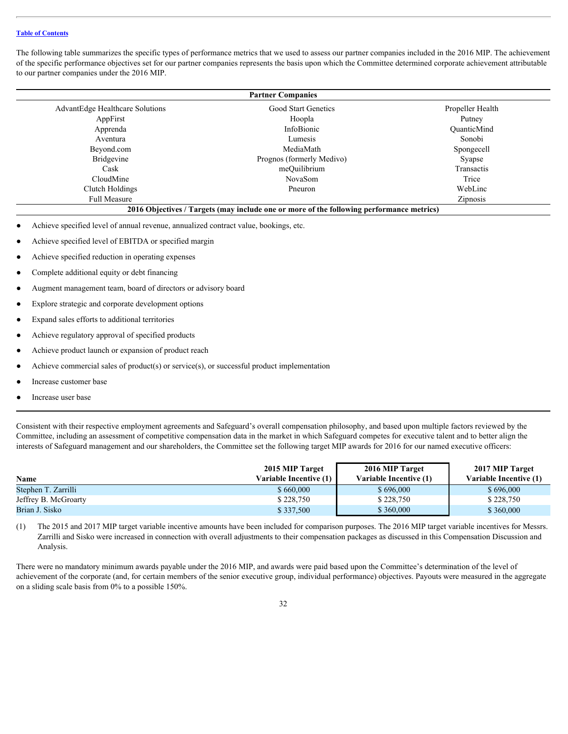The following table summarizes the specific types of performance metrics that we used to assess our partner companies included in the 2016 MIP. The achievement of the specific performance objectives set for our partner companies represents the basis upon which the Committee determined corporate achievement attributable to our partner companies under the 2016 MIP.

|                                        | <b>Partner Companies</b>                                                                 |                  |  |
|----------------------------------------|------------------------------------------------------------------------------------------|------------------|--|
| <b>AdvantEdge Healthcare Solutions</b> | Good Start Genetics                                                                      | Propeller Health |  |
| AppFirst                               | Hoopla                                                                                   | Putney           |  |
| Apprenda                               | InfoBionic                                                                               | QuanticMind      |  |
| Aventura                               | Lumesis                                                                                  | Sonobi           |  |
| Beyond.com                             | MediaMath                                                                                | Spongecell       |  |
| <b>Bridgevine</b>                      | Prognos (formerly Medivo)                                                                | Syapse           |  |
| Cask                                   | meQuilibrium                                                                             | Transactis       |  |
| CloudMine                              | NovaSom                                                                                  | Trice            |  |
| Clutch Holdings                        | Pneuron                                                                                  | WebLinc          |  |
| <b>Full Measure</b>                    |                                                                                          | <b>Zipnosis</b>  |  |
|                                        | 2016 Objectives / Targets (may include one or more of the following performance metrics) |                  |  |

- Achieve specified level of annual revenue, annualized contract value, bookings, etc.
- Achieve specified level of EBITDA or specified margin
- Achieve specified reduction in operating expenses
- Complete additional equity or debt financing
- Augment management team, board of directors or advisory board
- Explore strategic and corporate development options
- Expand sales efforts to additional territories
- Achieve regulatory approval of specified products
- Achieve product launch or expansion of product reach
- Achieve commercial sales of product(s) or service(s), or successful product implementation
- Increase customer base
- Increase user base

Consistent with their respective employment agreements and Safeguard's overall compensation philosophy, and based upon multiple factors reviewed by the Committee, including an assessment of competitive compensation data in the market in which Safeguard competes for executive talent and to better align the interests of Safeguard management and our shareholders, the Committee set the following target MIP awards for 2016 for our named executive officers:

| <b>Name</b>          | 2015 MIP Target<br><b>Variable Incentive (1)   </b> | 2016 MIP Target<br>Variable Incentive (1) | 2017 MIP Target<br>Variable Incentive (1) |
|----------------------|-----------------------------------------------------|-------------------------------------------|-------------------------------------------|
| Stephen T. Zarrilli  | \$660,000                                           | \$696,000                                 | \$696,000                                 |
| Jeffrey B. McGroarty | $\frac{1}{2}$ 228,750                               | \$228,750                                 | \$228,750                                 |
| Brian J. Sisko       | \$337,500                                           | \$360,000                                 | \$360,000                                 |

(1) The 2015 and 2017 MIP target variable incentive amounts have been included for comparison purposes. The 2016 MIP target variable incentives for Messrs. Zarrilli and Sisko were increased in connection with overall adjustments to their compensation packages as discussed in this Compensation Discussion and Analysis.

There were no mandatory minimum awards payable under the 2016 MIP, and awards were paid based upon the Committee's determination of the level of achievement of the corporate (and, for certain members of the senior executive group, individual performance) objectives. Payouts were measured in the aggregate on a sliding scale basis from 0% to a possible 150%.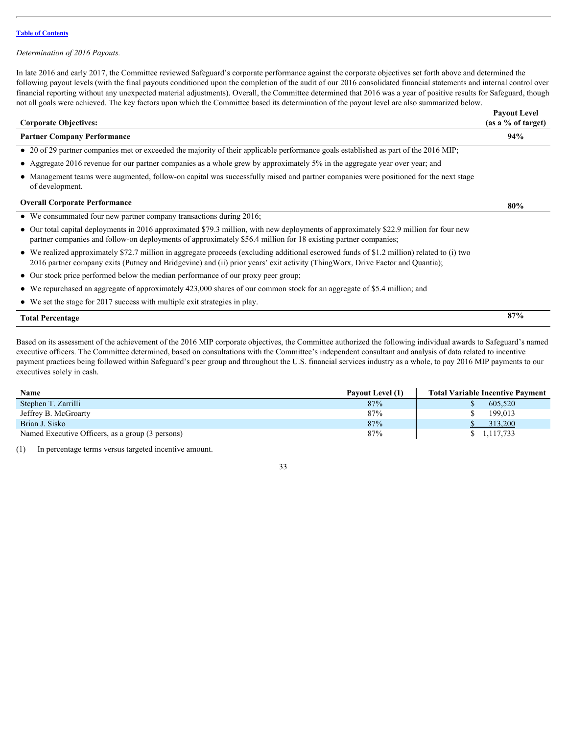#### *Determination of 2016 Payouts.*

In late 2016 and early 2017, the Committee reviewed Safeguard's corporate performance against the corporate objectives set forth above and determined the following payout levels (with the final payouts conditioned upon the completion of the audit of our 2016 consolidated financial statements and internal control over financial reporting without any unexpected material adjustments). Overall, the Committee determined that 2016 was a year of positive results for Safeguard, though not all goals were achieved. The key factors upon which the Committee based its determination of the payout level are also summarized below.

| <b>Corporate Objectives:</b>                                                                                                                                                                                                                                                | <b>Payout Level</b><br>(as a % of target) |
|-----------------------------------------------------------------------------------------------------------------------------------------------------------------------------------------------------------------------------------------------------------------------------|-------------------------------------------|
| <b>Partner Company Performance</b>                                                                                                                                                                                                                                          | 94%                                       |
| • 20 of 29 partner companies met or exceeded the majority of their applicable performance goals established as part of the 2016 MIP;                                                                                                                                        |                                           |
| • Aggregate 2016 revenue for our partner companies as a whole grew by approximately 5% in the aggregate year over year; and                                                                                                                                                 |                                           |
| • Management teams were augmented, follow-on capital was successfully raised and partner companies were positioned for the next stage<br>of development.                                                                                                                    |                                           |
| <b>Overall Corporate Performance</b>                                                                                                                                                                                                                                        | 80%                                       |
| • We consummated four new partner company transactions during 2016;                                                                                                                                                                                                         |                                           |
| • Our total capital deployments in 2016 approximated \$79.3 million, with new deployments of approximately \$22.9 million for four new<br>partner companies and follow-on deployments of approximately \$56.4 million for 18 existing partner companies;                    |                                           |
| • We realized approximately \$72.7 million in aggregate proceeds (excluding additional escrowed funds of \$1.2 million) related to (i) two<br>2016 partner company exits (Putney and Bridgevine) and (ii) prior years' exit activity (ThingWorx, Drive Factor and Quantia); |                                           |
| • Our stock price performed below the median performance of our proxy peer group;                                                                                                                                                                                           |                                           |
| • We repurchased an aggregate of approximately 423,000 shares of our common stock for an aggregate of \$5.4 million; and                                                                                                                                                    |                                           |
| $\bullet$ We set the stage for 2017 success with multiple exit strategies in play.                                                                                                                                                                                          |                                           |
| <b>Total Percentage</b>                                                                                                                                                                                                                                                     | 87%                                       |

Based on its assessment of the achievement of the 2016 MIP corporate objectives, the Committee authorized the following individual awards to Safeguard's named executive officers. The Committee determined, based on consultations with the Committee's independent consultant and analysis of data related to incentive payment practices being followed within Safeguard's peer group and throughout the U.S. financial services industry as a whole, to pay 2016 MIP payments to our executives solely in cash.

| <b>Name</b>                                      | Payout Level (1) | <b>Total Variable Incentive Payment</b> |
|--------------------------------------------------|------------------|-----------------------------------------|
| Stephen T. Zarrilli                              | 87%              | 605,520                                 |
| Jeffrey B. McGroarty                             | 87%              | 199,013                                 |
| Brian J. Sisko                                   | 87%              | 313,200                                 |
| Named Executive Officers, as a group (3 persons) | 87%              | 1,117,733                               |
|                                                  |                  |                                         |

(1) In percentage terms versus targeted incentive amount.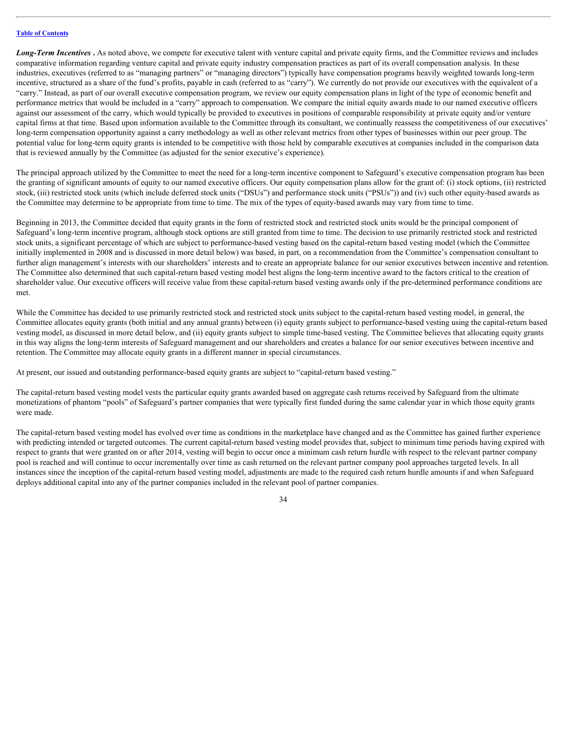Long-Term Incentives. As noted above, we compete for executive talent with venture capital and private equity firms, and the Committee reviews and includes comparative information regarding venture capital and private equity industry compensation practices as part of its overall compensation analysis. In these industries, executives (referred to as "managing partners" or "managing directors") typically have compensation programs heavily weighted towards long-term incentive, structured as a share of the fund's profits, payable in cash (referred to as "carry"). We currently do not provide our executives with the equivalent of a "carry." Instead, as part of our overall executive compensation program, we review our equity compensation plans in light of the type of economic benefit and performance metrics that would be included in a "carry" approach to compensation. We compare the initial equity awards made to our named executive officers against our assessment of the carry, which would typically be provided to executives in positions of comparable responsibility at private equity and/or venture capital firms at that time. Based upon information available to the Committee through its consultant, we continually reassess the competitiveness of our executives' long-term compensation opportunity against a carry methodology as well as other relevant metrics from other types of businesses within our peer group. The potential value for long-term equity grants is intended to be competitive with those held by comparable executives at companies included in the comparison data that is reviewed annually by the Committee (as adjusted for the senior executive's experience).

The principal approach utilized by the Committee to meet the need for a long-term incentive component to Safeguard's executive compensation program has been the granting of significant amounts of equity to our named executive officers. Our equity compensation plans allow for the grant of: (i) stock options, (ii) restricted stock, (iii) restricted stock units (which include deferred stock units ("DSUs") and performance stock units ("PSUs")) and (iv) such other equity-based awards as the Committee may determine to be appropriate from time to time. The mix of the types of equity-based awards may vary from time to time.

Beginning in 2013, the Committee decided that equity grants in the form of restricted stock and restricted stock units would be the principal component of Safeguard's long-term incentive program, although stock options are still granted from time to time. The decision to use primarily restricted stock and restricted stock units, a significant percentage of which are subject to performance-based vesting based on the capital-return based vesting model (which the Committee initially implemented in 2008 and is discussed in more detail below) was based, in part, on a recommendation from the Committee's compensation consultant to further align management's interests with our shareholders' interests and to create an appropriate balance for our senior executives between incentive and retention. The Committee also determined that such capital-return based vesting model best aligns the long-term incentive award to the factors critical to the creation of shareholder value. Our executive officers will receive value from these capital-return based vesting awards only if the pre-determined performance conditions are met.

While the Committee has decided to use primarily restricted stock and restricted stock units subject to the capital-return based vesting model, in general, the Committee allocates equity grants (both initial and any annual grants) between (i) equity grants subject to performance-based vesting using the capital-return based vesting model, as discussed in more detail below, and (ii) equity grants subject to simple time-based vesting. The Committee believes that allocating equity grants in this way aligns the long-term interests of Safeguard management and our shareholders and creates a balance for our senior executives between incentive and retention. The Committee may allocate equity grants in a different manner in special circumstances.

At present, our issued and outstanding performance-based equity grants are subject to "capital-return based vesting."

The capital-return based vesting model vests the particular equity grants awarded based on aggregate cash returns received by Safeguard from the ultimate monetizations of phantom "pools" of Safeguard's partner companies that were typically first funded during the same calendar year in which those equity grants were made.

The capital-return based vesting model has evolved over time as conditions in the marketplace have changed and as the Committee has gained further experience with predicting intended or targeted outcomes. The current capital-return based vesting model provides that, subject to minimum time periods having expired with respect to grants that were granted on or after 2014, vesting will begin to occur once a minimum cash return hurdle with respect to the relevant partner company pool is reached and will continue to occur incrementally over time as cash returned on the relevant partner company pool approaches targeted levels. In all instances since the inception of the capital-return based vesting model, adjustments are made to the required cash return hurdle amounts if and when Safeguard deploys additional capital into any of the partner companies included in the relevant pool of partner companies.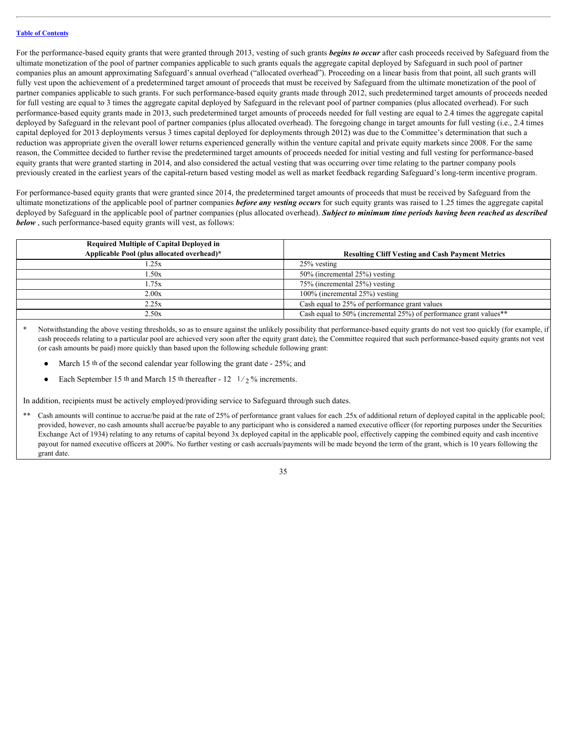For the performance-based equity grants that were granted through 2013, vesting of such grants *begins to occur* after cash proceeds received by Safeguard from the ultimate monetization of the pool of partner companies applicable to such grants equals the aggregate capital deployed by Safeguard in such pool of partner companies plus an amount approximating Safeguard's annual overhead ("allocated overhead"). Proceeding on a linear basis from that point, all such grants will fully vest upon the achievement of a predetermined target amount of proceeds that must be received by Safeguard from the ultimate monetization of the pool of partner companies applicable to such grants. For such performance-based equity grants made through 2012, such predetermined target amounts of proceeds needed for full vesting are equal to 3 times the aggregate capital deployed by Safeguard in the relevant pool of partner companies (plus allocated overhead). For such performance-based equity grants made in 2013, such predetermined target amounts of proceeds needed for full vesting are equal to 2.4 times the aggregate capital deployed by Safeguard in the relevant pool of partner companies (plus allocated overhead). The foregoing change in target amounts for full vesting (i.e., 2.4 times capital deployed for 2013 deployments versus 3 times capital deployed for deployments through 2012) was due to the Committee's determination that such a reduction was appropriate given the overall lower returns experienced generally within the venture capital and private equity markets since 2008. For the same reason, the Committee decided to further revise the predetermined target amounts of proceeds needed for initial vesting and full vesting for performance-based equity grants that were granted starting in 2014, and also considered the actual vesting that was occurring over time relating to the partner company pools previously created in the earliest years of the capital-return based vesting model as well as market feedback regarding Safeguard's long-term incentive program.

For performance-based equity grants that were granted since 2014, the predetermined target amounts of proceeds that must be received by Safeguard from the ultimate monetizations of the applicable pool of partner companies *before any vesting occurs* for such equity grants was raised to 1.25 times the aggregate capital deployed by Safeguard in the applicable pool of partner companies (plus allocated overhead). Subject to minimum time periods having been reached as described *below* , such performance-based equity grants will vest, as follows:

| <b>Required Multiple of Capital Deployed in</b> |                                                                                   |
|-------------------------------------------------|-----------------------------------------------------------------------------------|
| Applicable Pool (plus allocated overhead)*      | <b>Resulting Cliff Vesting and Cash Payment Metrics</b>                           |
| .25x                                            | $25\%$ vesting                                                                    |
| .50x                                            | 50% (incremental 25%) vesting                                                     |
| .75x                                            | 75% (incremental 25%) vesting                                                     |
| 2.00x                                           | $100\%$ (incremental $25\%$ ) vesting                                             |
| 2.25x                                           | Cash equal to 25% of performance grant values                                     |
| 2.50x                                           | Cash equal to 50% (incremental $25\%$ ) of performance grant values <sup>**</sup> |
|                                                 |                                                                                   |

Notwithstanding the above vesting thresholds, so as to ensure against the unlikely possibility that performance-based equity grants do not vest too quickly (for example, if cash proceeds relating to a particular pool are achieved very soon after the equity grant date), the Committee required that such performance-based equity grants not vest (or cash amounts be paid) more quickly than based upon the following schedule following grant:

- March 15 th of the second calendar year following the grant date  $-25\%$ ; and
- Each September 15 th and March 15 th thereafter  $12 \frac{1}{2}\%$  increments.

In addition, recipients must be actively employed/providing service to Safeguard through such dates.

\*\* Cash amounts will continue to accrue/be paid at the rate of 25% of performance grant values for each .25x of additional return of deployed capital in the applicable pool; provided, however, no cash amounts shall accrue/be payable to any participant who is considered a named executive officer (for reporting purposes under the Securities Exchange Act of 1934) relating to any returns of capital beyond 3x deployed capital in the applicable pool, effectively capping the combined equity and cash incentive payout for named executive officers at 200%. No further vesting or cash accruals/payments will be made beyond the term of the grant, which is 10 years following the grant date.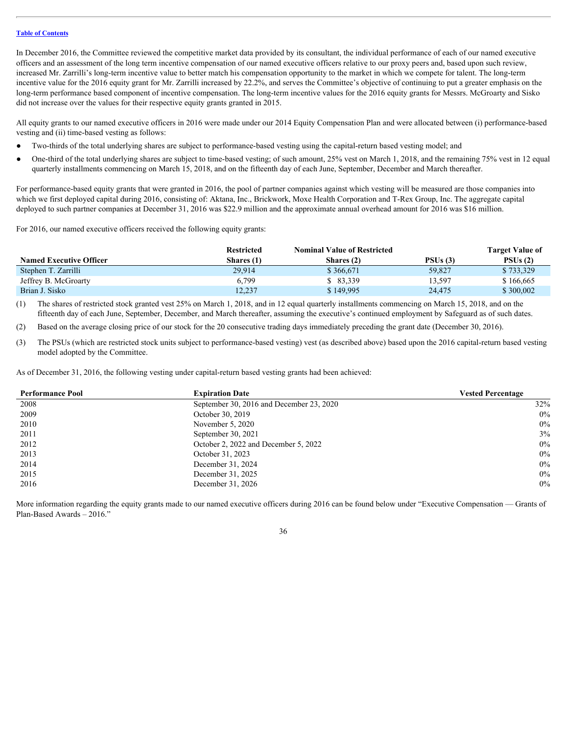In December 2016, the Committee reviewed the competitive market data provided by its consultant, the individual performance of each of our named executive officers and an assessment of the long term incentive compensation of our named executive officers relative to our proxy peers and, based upon such review, increased Mr. Zarrilli's long-term incentive value to better match his compensation opportunity to the market in which we compete for talent. The long-term incentive value for the 2016 equity grant for Mr. Zarrilli increased by 22.2%, and serves the Committee's objective of continuing to put a greater emphasis on the long-term performance based component of incentive compensation. The long-term incentive values for the 2016 equity grants for Messrs. McGroarty and Sisko did not increase over the values for their respective equity grants granted in 2015.

All equity grants to our named executive officers in 2016 were made under our 2014 Equity Compensation Plan and were allocated between (i) performance-based vesting and (ii) time-based vesting as follows:

- Two-thirds of the total underlying shares are subject to performance-based vesting using the capital-return based vesting model; and
- One-third of the total underlying shares are subject to time-based vesting; of such amount, 25% vest on March 1, 2018, and the remaining 75% vest in 12 equal quarterly installments commencing on March 15, 2018, and on the fifteenth day of each June, September, December and March thereafter.

For performance-based equity grants that were granted in 2016, the pool of partner companies against which vesting will be measured are those companies into which we first deployed capital during 2016, consisting of: Aktana, Inc., Brickwork, Moxe Health Corporation and T-Rex Group, Inc. The aggregate capital deployed to such partner companies at December 31, 2016 was \$22.9 million and the approximate annual overhead amount for 2016 was \$16 million.

For 2016, our named executive officers received the following equity grants:

|                                | <b>Restricted</b> | <b>Nominal Value of Restricted</b> |         | <b>Target Value of</b> |
|--------------------------------|-------------------|------------------------------------|---------|------------------------|
| <b>Named Executive Officer</b> | <b>Shares (1)</b> | Shares (2)                         | PSUs(3) | PSUs(2)                |
| Stephen T. Zarrilli            | 29,914            | \$366,671                          | 59,827  | \$733,329              |
| Jeffrey B. McGroarty           | o.799             | 83,339                             | 13,597  | \$166,665              |
| Brian J. Sisko                 | 12,237            | $\frac{1}{2}$ 149,995              | 24,475  | \$300,002              |

(1) The shares of restricted stock granted vest 25% on March 1, 2018, and in 12 equal quarterly installments commencing on March 15, 2018, and on the fifteenth day of each June, September, December, and March thereafter, assuming the executive's continued employment by Safeguard as of such dates.

(2) Based on the average closing price of our stock for the 20 consecutive trading days immediately preceding the grant date (December 30, 2016).

(3) The PSUs (which are restricted stock units subject to performance-based vesting) vest (as described above) based upon the 2016 capital-return based vesting model adopted by the Committee.

As of December 31, 2016, the following vesting under capital-return based vesting grants had been achieved:

| <b>Performance Pool</b> | <b>Expiration Date</b>                   | <b>Vested Percentage</b> |
|-------------------------|------------------------------------------|--------------------------|
| 2008                    | September 30, 2016 and December 23, 2020 | 32%                      |
| 2009                    | October 30, 2019                         | 0%                       |
| 2010                    | November 5, 2020                         | 0%                       |
| 2011                    | September 30, 2021                       | 3%                       |
| 2012                    | October 2, 2022 and December 5, 2022     | 0%                       |
| 2013                    | October 31, 2023                         | 0%                       |
| 2014                    | December 31, 2024                        | 0%                       |
| 2015                    | December 31, 2025                        | 0%                       |
| 2016                    | December 31, 2026                        | 0%                       |

More information regarding the equity grants made to our named executive officers during 2016 can be found below under "Executive Compensation — Grants of Plan-Based Awards – 2016."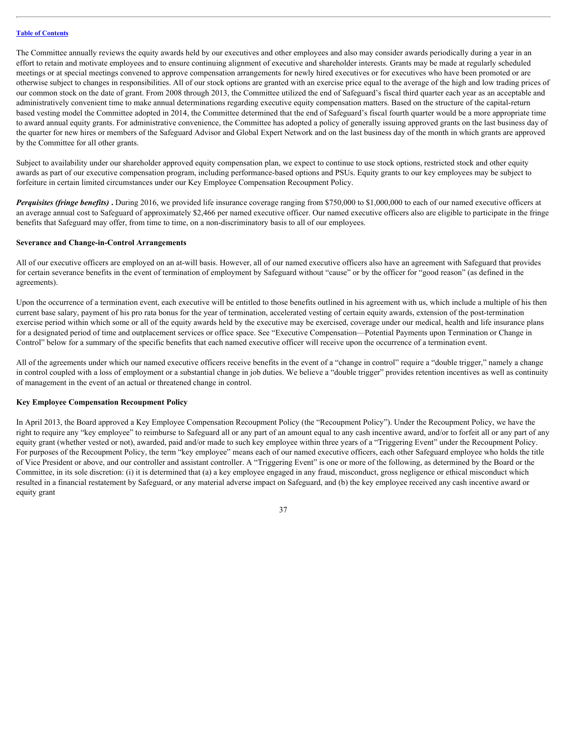The Committee annually reviews the equity awards held by our executives and other employees and also may consider awards periodically during a year in an effort to retain and motivate employees and to ensure continuing alignment of executive and shareholder interests. Grants may be made at regularly scheduled meetings or at special meetings convened to approve compensation arrangements for newly hired executives or for executives who have been promoted or are otherwise subject to changes in responsibilities. All of our stock options are granted with an exercise price equal to the average of the high and low trading prices of our common stock on the date of grant. From 2008 through 2013, the Committee utilized the end of Safeguard's fiscal third quarter each year as an acceptable and administratively convenient time to make annual determinations regarding executive equity compensation matters. Based on the structure of the capital-return based vesting model the Committee adopted in 2014, the Committee determined that the end of Safeguard's fiscal fourth quarter would be a more appropriate time to award annual equity grants. For administrative convenience, the Committee has adopted a policy of generally issuing approved grants on the last business day of the quarter for new hires or members of the Safeguard Advisor and Global Expert Network and on the last business day of the month in which grants are approved by the Committee for all other grants.

Subject to availability under our shareholder approved equity compensation plan, we expect to continue to use stock options, restricted stock and other equity awards as part of our executive compensation program, including performance-based options and PSUs. Equity grants to our key employees may be subject to forfeiture in certain limited circumstances under our Key Employee Compensation Recoupment Policy.

*Perquisites (fringe benefits)* **.** During 2016, we provided life insurance coverage ranging from \$750,000 to \$1,000,000 to each of our named executive officers at an average annual cost to Safeguard of approximately \$2,466 per named executive officer. Our named executive officers also are eligible to participate in the fringe benefits that Safeguard may offer, from time to time, on a non-discriminatory basis to all of our employees.

#### <span id="page-40-0"></span>**Severance and Change-in-Control Arrangements**

All of our executive officers are employed on an at-will basis. However, all of our named executive officers also have an agreement with Safeguard that provides for certain severance benefits in the event of termination of employment by Safeguard without "cause" or by the officer for "good reason" (as defined in the agreements).

Upon the occurrence of a termination event, each executive will be entitled to those benefits outlined in his agreement with us, which include a multiple of his then current base salary, payment of his pro rata bonus for the year of termination, accelerated vesting of certain equity awards, extension of the post-termination exercise period within which some or all of the equity awards held by the executive may be exercised, coverage under our medical, health and life insurance plans for a designated period of time and outplacement services or office space. See "Executive Compensation—Potential Payments upon Termination or Change in Control" below for a summary of the specific benefits that each named executive officer will receive upon the occurrence of a termination event.

All of the agreements under which our named executive officers receive benefits in the event of a "change in control" require a "double trigger," namely a change in control coupled with a loss of employment or a substantial change in job duties. We believe a "double trigger" provides retention incentives as well as continuity of management in the event of an actual or threatened change in control.

### <span id="page-40-1"></span>**Key Employee Compensation Recoupment Policy**

In April 2013, the Board approved a Key Employee Compensation Recoupment Policy (the "Recoupment Policy"). Under the Recoupment Policy, we have the right to require any "key employee" to reimburse to Safeguard all or any part of an amount equal to any cash incentive award, and/or to forfeit all or any part of any equity grant (whether vested or not), awarded, paid and/or made to such key employee within three years of a "Triggering Event" under the Recoupment Policy. For purposes of the Recoupment Policy, the term "key employee" means each of our named executive officers, each other Safeguard employee who holds the title of Vice President or above, and our controller and assistant controller. A "Triggering Event" is one or more of the following, as determined by the Board or the Committee, in its sole discretion: (i) it is determined that (a) a key employee engaged in any fraud, misconduct, gross negligence or ethical misconduct which resulted in a financial restatement by Safeguard, or any material adverse impact on Safeguard, and (b) the key employee received any cash incentive award or equity grant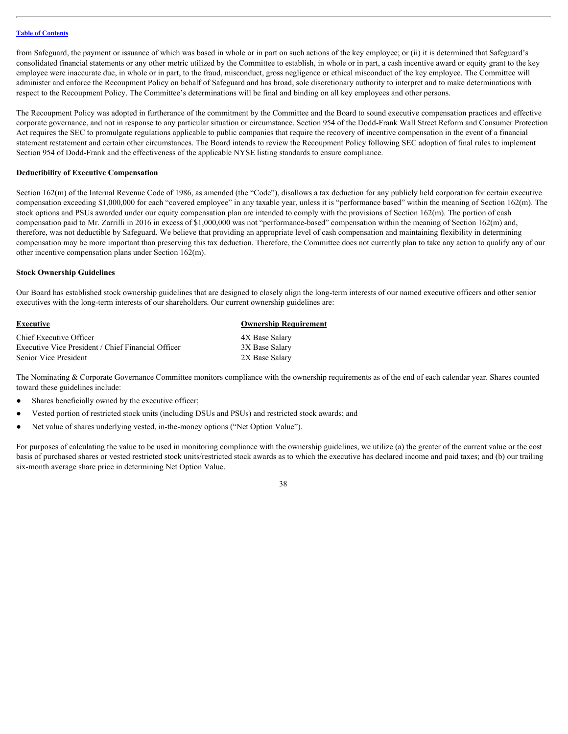from Safeguard, the payment or issuance of which was based in whole or in part on such actions of the key employee; or (ii) it is determined that Safeguard's consolidated financial statements or any other metric utilized by the Committee to establish, in whole or in part, a cash incentive award or equity grant to the key employee were inaccurate due, in whole or in part, to the fraud, misconduct, gross negligence or ethical misconduct of the key employee. The Committee will administer and enforce the Recoupment Policy on behalf of Safeguard and has broad, sole discretionary authority to interpret and to make determinations with respect to the Recoupment Policy. The Committee's determinations will be final and binding on all key employees and other persons.

The Recoupment Policy was adopted in furtherance of the commitment by the Committee and the Board to sound executive compensation practices and effective corporate governance, and not in response to any particular situation or circumstance. Section 954 of the Dodd-Frank Wall Street Reform and Consumer Protection Act requires the SEC to promulgate regulations applicable to public companies that require the recovery of incentive compensation in the event of a financial statement restatement and certain other circumstances. The Board intends to review the Recoupment Policy following SEC adoption of final rules to implement Section 954 of Dodd-Frank and the effectiveness of the applicable NYSE listing standards to ensure compliance.

#### <span id="page-41-0"></span>**Deductibility of Executive Compensation**

Section 162(m) of the Internal Revenue Code of 1986, as amended (the "Code"), disallows a tax deduction for any publicly held corporation for certain executive compensation exceeding \$1,000,000 for each "covered employee" in any taxable year, unless it is "performance based" within the meaning of Section 162(m). The stock options and PSUs awarded under our equity compensation plan are intended to comply with the provisions of Section 162(m). The portion of cash compensation paid to Mr. Zarrilli in 2016 in excess of \$1,000,000 was not "performance-based" compensation within the meaning of Section 162(m) and, therefore, was not deductible by Safeguard. We believe that providing an appropriate level of cash compensation and maintaining flexibility in determining compensation may be more important than preserving this tax deduction. Therefore, the Committee does not currently plan to take any action to qualify any of our other incentive compensation plans under Section 162(m).

#### <span id="page-41-1"></span>**Stock Ownership Guidelines**

Our Board has established stock ownership guidelines that are designed to closely align the long-term interests of our named executive officers and other senior executives with the long-term interests of our shareholders. Our current ownership guidelines are:

| <b>Executive</b>                                   | <b>Ownership Requirement</b> |
|----------------------------------------------------|------------------------------|
| Chief Executive Officer                            | 4X Base Salary               |
| Executive Vice President / Chief Financial Officer | 3X Base Salary               |
| Senior Vice President                              | 2X Base Salary               |

The Nominating & Corporate Governance Committee monitors compliance with the ownership requirements as of the end of each calendar year. Shares counted toward these guidelines include:

- Shares beneficially owned by the executive officer;
- Vested portion of restricted stock units (including DSUs and PSUs) and restricted stock awards; and
- Net value of shares underlying vested, in-the-money options ("Net Option Value").

For purposes of calculating the value to be used in monitoring compliance with the ownership guidelines, we utilize (a) the greater of the current value or the cost basis of purchased shares or vested restricted stock units/restricted stock awards as to which the executive has declared income and paid taxes; and (b) our trailing six-month average share price in determining Net Option Value.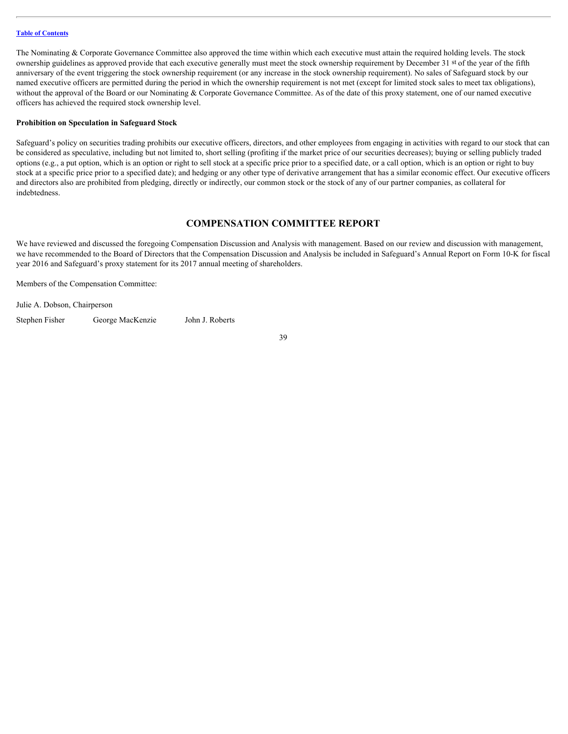The Nominating & Corporate Governance Committee also approved the time within which each executive must attain the required holding levels. The stock ownership guidelines as approved provide that each executive generally must meet the stock ownership requirement by December 31 st of the year of the fifth anniversary of the event triggering the stock ownership requirement (or any increase in the stock ownership requirement). No sales of Safeguard stock by our named executive officers are permitted during the period in which the ownership requirement is not met (except for limited stock sales to meet tax obligations), without the approval of the Board or our Nominating & Corporate Governance Committee. As of the date of this proxy statement, one of our named executive officers has achieved the required stock ownership level.

#### <span id="page-42-0"></span>**Prohibition on Speculation in Safeguard Stock**

Safeguard's policy on securities trading prohibits our executive officers, directors, and other employees from engaging in activities with regard to our stock that can be considered as speculative, including but not limited to, short selling (profiting if the market price of our securities decreases); buying or selling publicly traded options (e.g., a put option, which is an option or right to sell stock at a specific price prior to a specified date, or a call option, which is an option or right to buy stock at a specific price prior to a specified date); and hedging or any other type of derivative arrangement that has a similar economic effect. Our executive officers and directors also are prohibited from pledging, directly or indirectly, our common stock or the stock of any of our partner companies, as collateral for indebtedness.

### <span id="page-42-1"></span>**COMPENSATION COMMITTEE REPORT**

We have reviewed and discussed the foregoing Compensation Discussion and Analysis with management. Based on our review and discussion with management, we have recommended to the Board of Directors that the Compensation Discussion and Analysis be included in Safeguard's Annual Report on Form 10-K for fiscal year 2016 and Safeguard's proxy statement for its 2017 annual meeting of shareholders.

Members of the Compensation Committee:

Julie A. Dobson, Chairperson Stephen Fisher George MacKenzie John J. Roberts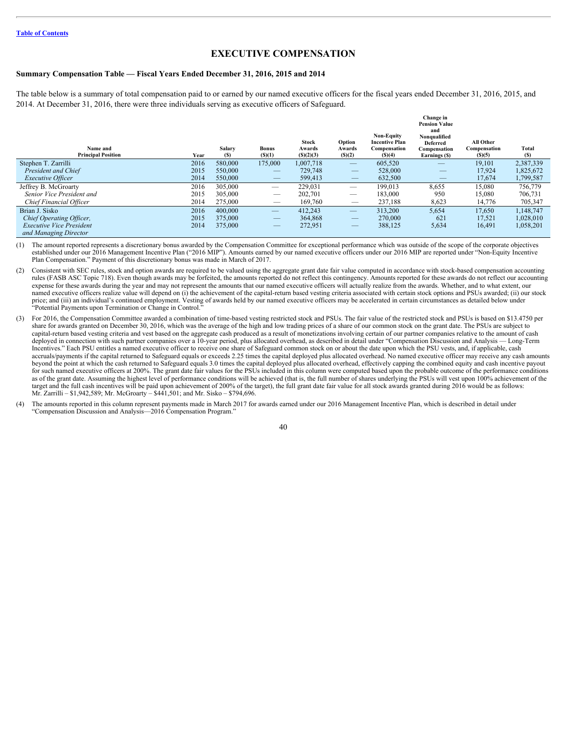### <span id="page-43-0"></span>**EXECUTIVE COMPENSATION**

#### <span id="page-43-1"></span>**Summary Compensation Table — Fiscal Years Ended December 31, 2016, 2015 and 2014**

The table below is a summary of total compensation paid to or earned by our named executive officers for the fiscal years ended December 31, 2016, 2015, and 2014. At December 31, 2016, there were three individuals serving as executive officers of Safeguard.

| Name and<br><b>Principal Position</b> | Year | Salary<br><b>(S)</b> | <b>Bonus</b><br>(S)(1)          | <b>Stock</b><br>Awards<br>(S)(2)(3) | Option<br>Awards<br>(S)(2)      | <b>Non-Equity</b><br><b>Incentive Plan</b><br>Compensation<br>(S)(4) | Change in<br><b>Pension Value</b><br>and<br>Nonqualified<br><b>Deferred</b><br>Compensation<br>Earnings (\$) | All Other<br>Compensation<br>(S)(5) | Total<br>(S) |
|---------------------------------------|------|----------------------|---------------------------------|-------------------------------------|---------------------------------|----------------------------------------------------------------------|--------------------------------------------------------------------------------------------------------------|-------------------------------------|--------------|
| Stephen T. Zarrilli                   | 2016 | 580,000              | 175,000                         | 1,007,718                           |                                 | 605,520                                                              |                                                                                                              | 19,101                              | 2,387,339    |
| President and Chief                   | 2015 | 550,000              |                                 | 729,748                             | $\overline{\phantom{0}}$        | 528,000                                                              |                                                                                                              | 17,924                              | 1,825,672    |
| <b>Executive Officer</b>              | 2014 | 550,000              | $\hspace{0.1mm}-\hspace{0.1mm}$ | 599,413                             | $\hspace{0.1mm}-\hspace{0.1mm}$ | 632,500                                                              | $\hspace{0.1mm}-\hspace{0.1mm}$                                                                              | 17,674                              | 1,799,587    |
| Jeffrey B. McGroarty                  | 2016 | 305,000              |                                 | 229,031                             |                                 | 199,013                                                              | 8,655                                                                                                        | 15,080                              | 756,779      |
| Senior Vice President and             | 2015 | 305,000              | $\hspace{0.05cm}$               | 202,701                             |                                 | 183,000                                                              | 950                                                                                                          | 15,080                              | 706,731      |
| Chief Financial Officer               | 2014 | 275,000              | $\hspace{0.05cm}$               | 169,760                             | $\overbrace{\phantom{12333}}$   | 237,188                                                              | 8,623                                                                                                        | 14,776                              | 705,347      |
| Brian J. Sisko                        | 2016 | 400,000              |                                 | 412,243                             |                                 | 313,200                                                              | 5,654                                                                                                        | 17,650                              | 1,148,747    |
| Chief Operating Officer,              | 2015 | 375,000              |                                 | 364,868                             |                                 | 270,000                                                              | 621                                                                                                          | 17,521                              | 1,028,010    |
| <b>Executive Vice President</b>       | 2014 | 375,000              |                                 | 272,951                             | $\hspace{0.1mm}-\hspace{0.1mm}$ | 388,125                                                              | 5,634                                                                                                        | 16,491                              | 1,058,201    |
| and Managing Director                 |      |                      |                                 |                                     |                                 |                                                                      |                                                                                                              |                                     |              |

(1) The amount reported represents a discretionary bonus awarded by the Compensation Committee for exceptional performance which was outside of the scope of the corporate objectives established under our 2016 Management Incentive Plan ("2016 MIP"). Amounts earned by our named executive officers under our 2016 MIP are reported under "Non-Equity Incentive Plan Compensation." Payment of this discretionary bonus was made in March of 2017.

- (2) Consistent with SEC rules, stock and option awards are required to be valued using the aggregate grant date fair value computed in accordance with stock-based compensation accounting rules (FASB ASC Topic 718). Even though awards may be forfeited, the amounts reported do not reflect this contingency. Amounts reported for these awards do not reflect our accounting expense for these awards during the year and may not represent the amounts that our named executive officers will actually realize from the awards. Whether, and to what extent, our named executive officers realize value will depend on (i) the achievement of the capital-return based vesting criteria associated with certain stock options and PSUs awarded; (ii) our stock price; and (iii) an individual's continued employment. Vesting of awards held by our named executive officers may be accelerated in certain circumstances as detailed below under "Potential Payments upon Termination or Change in Control."
- For 2016, the Compensation Committee awarded a combination of time-based vesting restricted stock and PSUs. The fair value of the restricted stock and PSUs is based on \$13.4750 per share for awards granted on December 30, 2016, which was the average of the high and low trading prices of a share of our common stock on the grant date. The PSUs are subject to capital-return based vesting criteria and vest based on the aggregate cash produced as a result of monetizations involving certain of our partner companies relative to the amount of cash deployed in connection with such partner companies over a 10-year period, plus allocated overhead, as described in detail under "Compensation Discussion and Analysis –– Long-Term Incentives." Each PSU entitles a named executive officer to receive one share of Safeguard common stock on or about the date upon which the PSU vests, and, if applicable, cash accruals/payments if the capital returned to Safeguard equals or exceeds 2.25 times the capital deployed plus allocated overhead. No named executive officer may receive any cash amounts beyond the point at which the cash returned to Safeguard equals 3.0 times the capital deployed plus allocated overhead, effectively capping the combined equity and cash incentive payout for such named executive officers at 200%. The grant date fair values for the PSUs included in this column were computed based upon the probable outcome of the performance conditions as of the grant date. Assuming the highest level of performance conditions will be achieved (that is, the full number of shares underlying the PSUs will vest upon 100% achievement of the target and the full cash incentives will be paid upon achievement of 200% of the target), the full grant date fair value for all stock awards granted during 2016 would be as follows: Mr. Zarrilli – \$1,942,589; Mr. McGroarty – \$441,501; and Mr. Sisko – \$794,696.
- (4) The amounts reported in this column represent payments made in March 2017 for awards earned under our 2016 Management Incentive Plan, which is described in detail under "Compensation Discussion and Analysis—2016 Compensation Program.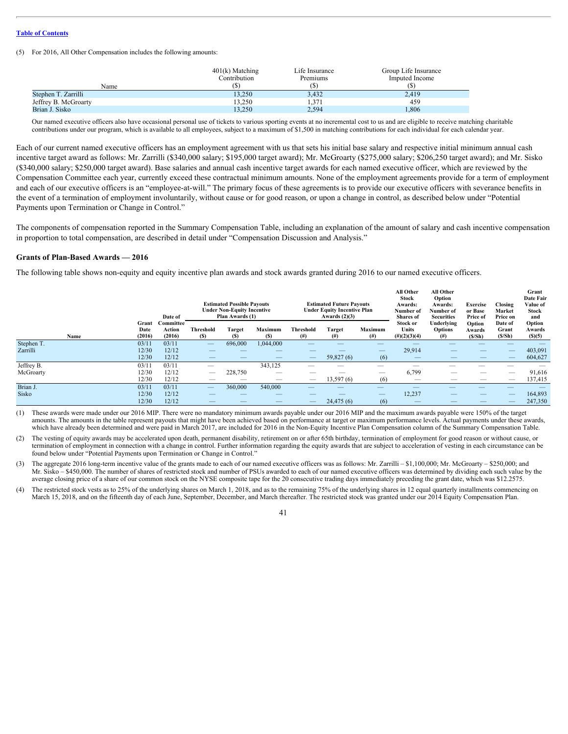(5) For 2016, All Other Compensation includes the following amounts:

|                      | $401(k)$ Matching<br>Contribution | Life Insurance<br>Premiums | Group Life Insurance<br>Imputed Income |
|----------------------|-----------------------------------|----------------------------|----------------------------------------|
| Name                 |                                   |                            |                                        |
| Stephen T. Zarrilli  | 13,250                            | 3,432                      | 2,419                                  |
| Jeffrey B. McGroarty | 13,250                            | 1,371                      | 459                                    |
| Brian J. Sisko       | 13,250                            | 2,594                      | 1,806                                  |

Our named executive officers also have occasional personal use of tickets to various sporting events at no incremental cost to us and are eligible to receive matching charitable contributions under our program, which is available to all employees, subject to a maximum of \$1,500 in matching contributions for each individual for each calendar year.

Each of our current named executive officers has an employment agreement with us that sets his initial base salary and respective initial minimum annual cash incentive target award as follows: Mr. Zarrilli (\$340,000 salary; \$195,000 target award); Mr. McGroarty (\$275,000 salary; \$206,250 target award); and Mr. Sisko (\$340,000 salary; \$250,000 target award). Base salaries and annual cash incentive target awards for each named executive officer, which are reviewed by the Compensation Committee each year, currently exceed these contractual minimum amounts. None of the employment agreements provide for a term of employment and each of our executive officers is an "employee-at-will." The primary focus of these agreements is to provide our executive officers with severance benefits in the event of a termination of employment involuntarily, without cause or for good reason, or upon a change in control, as described below under "Potential Payments upon Termination or Change in Control."

The components of compensation reported in the Summary Compensation Table, including an explanation of the amount of salary and cash incentive compensation in proportion to total compensation, are described in detail under "Compensation Discussion and Analysis."

#### <span id="page-44-0"></span>**Grants of Plan-Based Awards — 2016**

The following table shows non-equity and equity incentive plan awards and stock awards granted during 2016 to our named executive officers.

|            |                         | Date of                       |                                           | <b>Estimated Possible Payouts</b><br><b>Under Non-Equity Incentive</b><br>Plan Awards (1) |                                |                          | <b>Estimated Future Payouts</b><br><b>Under Equity Incentive Plan</b><br>Awards $(2)(3)$ |                                 | All Other<br>Stock<br>Awards:<br>Number of<br>Shares of | All Other<br>Option<br>Awards:<br>Number of<br><b>Securities</b> | Exercise<br>or Base<br>Price of | Closing<br>Market<br>Price on | Grant<br>Date Fair<br>Value of<br>Stock<br>and |
|------------|-------------------------|-------------------------------|-------------------------------------------|-------------------------------------------------------------------------------------------|--------------------------------|--------------------------|------------------------------------------------------------------------------------------|---------------------------------|---------------------------------------------------------|------------------------------------------------------------------|---------------------------------|-------------------------------|------------------------------------------------|
| Name       | Grant<br>Date<br>(2016) | Committee<br>Action<br>(2016) | <b>Threshold</b><br>(S)                   | Target                                                                                    | Maximum<br>(S)                 | Threshold<br>(#)         | Target<br>$^{(#)}$                                                                       | Maximum<br>$^{(#)}$             | <b>Stock or</b><br>Units<br>$(\#)(2)(3)(4)$             | Underlying<br><b>Options</b><br>$^{(#)}$                         | Option<br>Awards<br>(S/Sh)      | Date of<br>Grant<br>(S/Sh)    | Option<br>Awards<br>(S)(5)                     |
| Stephen T. | 03/11                   | 03/11                         | $\qquad \qquad \overline{\qquad \qquad }$ | 696,000                                                                                   | 1,044,000                      |                          | $\overline{\phantom{m}}$                                                                 | --                              |                                                         |                                                                  | _                               |                               |                                                |
| Zarrilli   | 12/30                   | 12/12                         | —                                         |                                                                                           |                                |                          |                                                                                          | $\hspace{0.1mm}-\hspace{0.1mm}$ | 29,914                                                  |                                                                  | $\overline{\phantom{a}}$        | $\overline{\phantom{0}}$      | 403,091                                        |
|            | 12/30                   | 12/12                         | —                                         |                                                                                           | $\qquad \qquad \longleftarrow$ | —                        | 59,827(6)                                                                                | (6)                             | $\qquad \qquad \longleftarrow$                          |                                                                  | $\qquad \qquad - \qquad$        |                               | 604,627                                        |
| Jeffrey B. | 03/11                   | 03/1                          |                                           |                                                                                           | 343,125                        |                          | $\overline{\phantom{a}}$                                                                 | $\overline{\phantom{m}}$        | $\overline{\phantom{a}}$                                | _                                                                | –                               |                               | –                                              |
| McGroarty  | 12/30                   | 12/12                         | $\overline{\phantom{0}}$                  | 228,750                                                                                   | $\overline{\phantom{a}}$       | __                       |                                                                                          | $\hspace{0.05cm}$               | 6.799                                                   | $\overline{\phantom{a}}$                                         |                                 | --                            | 91,616                                         |
|            | 12/30                   | 12/12                         | —                                         |                                                                                           | $\overline{\phantom{a}}$       | —                        | 13,597(6)                                                                                | (6)                             | $-$                                                     | $\overline{\phantom{a}}$                                         | $\overline{\phantom{a}}$        | $-$                           | 137,415                                        |
| Brian J.   | 03/11                   | 03/11                         | $\qquad \qquad \overline{\qquad \qquad }$ | 360,000                                                                                   | 540,000                        |                          |                                                                                          |                                 |                                                         |                                                                  |                                 |                               |                                                |
| Sisko      | 12/30                   | 12/12                         | —                                         |                                                                                           | $\overline{\phantom{a}}$       |                          |                                                                                          |                                 | 12,237                                                  |                                                                  | $\overline{\phantom{a}}$        |                               | 164,893                                        |
|            | 12/30                   | 12/12                         | $\qquad \qquad \longleftarrow$            |                                                                                           |                                | $\overline{\phantom{0}}$ | 24,475(6)                                                                                | (6)                             |                                                         |                                                                  | $\qquad \qquad - \qquad$        | $\sim$                        | 247,350                                        |

(1) These awards were made under our 2016 MIP. There were no mandatory minimum awards payable under our 2016 MIP and the maximum awards payable were 150% of the target amounts. The amounts in the table represent payouts that might have been achieved based on performance at target or maximum performance levels. Actual payments under these awards, which have already been determined and were paid in March 2017, are included for 2016 in the Non-Equity Incentive Plan Compensation column of the Summary Compensation Table.

The vesting of equity awards may be accelerated upon death, permanent disability, retirement on or after 65th birthday, termination of employment for good reason or without cause, or termination of employment in connection with a change in control. Further information regarding the equity awards that are subject to acceleration of vesting in each circumstance can be found below under "Potential Payments upon Termination or Change in Control."

(3) The aggregate 2016 long-term incentive value of the grants made to each of our named executive officers was as follows: Mr. Zarrilli – \$1,100,000; Mr. McGroarty – \$250,000; and Mr. Sisko – \$450,000. The number of shares of restricted stock and number of PSUs awarded to each of our named executive officers was determined by dividing each such value by the average closing price of a share of our common stock on the NYSE composite tape for the 20 consecutive trading days immediately preceding the grant date, which was \$12.2575.

(4) The restricted stock vests as to 25% of the underlying shares on March 1, 2018, and as to the remaining 75% of the underlying shares in 12 equal quarterly installments commencing on March 15, 2018, and on the fifteenth day of each June, September, December, and March thereafter. The restricted stock was granted under our 2014 Equity Compensation Plan.

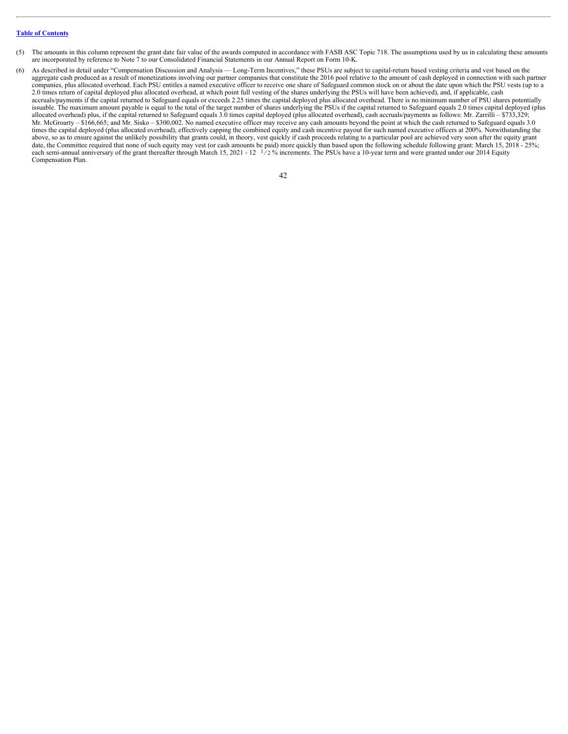- (5) The amounts in this column represent the grant date fair value of the awards computed in accordance with FASB ASC Topic 718. The assumptions used by us in calculating these amounts are incorporated by reference to Note 7 to our Consolidated Financial Statements in our Annual Report on Form 10-K.
- (6) As described in detail under "Compensation Discussion and Analysis Long-Term Incentives," these PSUs are subject to capital-return based vesting criteria and vest based on the aggregate cash produced as a result of monetizations involving our partner companies that constitute the 2016 pool relative to the amount of cash deployed in connection with such partner companies, plus allocated overhead. Each PSU entitles a named executive officer to receive one share of Safeguard common stock on or about the date upon which the PSU vests (up to a 2.0 times return of capital deployed plus allocated overhead, at which point full vesting of the shares underlying the PSUs will have been achieved), and, if applicable, cash accruals/payments if the capital returned to Safeguard equals or exceeds 2.25 times the capital deployed plus allocated overhead. There is no minimum number of PSU shares potentially issuable. The maximum amount payable is equal to the total of the target number of shares underlying the PSUs if the capital returned to Safeguard equals 2.0 times capital deployed (plus allocated overhead) plus, if the capital returned to Safeguard equals 3.0 times capital deployed (plus allocated overhead), cash accruals/payments as follows: Mr. Zarrilli – \$733,329; Mr. McGroarty – \$166,665; and Mr. Sisko – \$300,002. No named executive officer may receive any cash amounts beyond the point at which the cash returned to Safeguard equals 3.0 times the capital deployed (plus allocated overhead), effectively capping the combined equity and cash incentive payout for such named executive officers at 200%. Notwithstanding the above, so as to ensure against the unlikely possibility that grants could, in theory, vest quickly if cash proceeds relating to a particular pool are achieved very soon after the equity grant date, the Committee required that none of such equity may vest (or cash amounts be paid) more quickly than based upon the following schedule following grant: March 15, 2018 - 25%; each semi-annual anniversary of the grant thereafter through March 15, 2021 - 12  $\frac{1}{2}$  % increments. The PSUs have a 10-year term and were granted under our 2014 Equity each semi-annual anniversary of the grant therea Compensation Plan.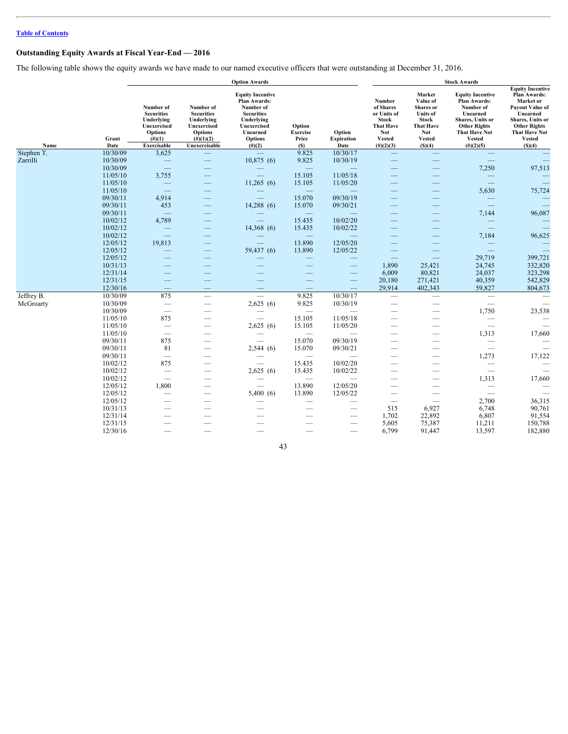## <span id="page-46-0"></span>**Outstanding Equity Awards at Fiscal Year-End — 2016**

The following table shows the equity awards we have made to our named executive officers that were outstanding at December 31, 2016.

|                       |                      |                                                                                            |                                                                                        | <b>Option Awards</b>                                                                                                                                                                                                                                                                                                                                                                          |                                    |                                      |                                                                                         |                                                                                                                                                                                                                                                                                                                                                                                               | <b>Stock Awards</b>                                                                                                                                         |                                                                                                                                                                         |
|-----------------------|----------------------|--------------------------------------------------------------------------------------------|----------------------------------------------------------------------------------------|-----------------------------------------------------------------------------------------------------------------------------------------------------------------------------------------------------------------------------------------------------------------------------------------------------------------------------------------------------------------------------------------------|------------------------------------|--------------------------------------|-----------------------------------------------------------------------------------------|-----------------------------------------------------------------------------------------------------------------------------------------------------------------------------------------------------------------------------------------------------------------------------------------------------------------------------------------------------------------------------------------------|-------------------------------------------------------------------------------------------------------------------------------------------------------------|-------------------------------------------------------------------------------------------------------------------------------------------------------------------------|
|                       | Grant                | Number of<br><b>Securities</b><br>Underlying<br>Unexercised<br><b>Options</b><br>$(\#)(1)$ | Number of<br><b>Securities</b><br>Underlying<br>Unexercised<br>Options<br>$(\#)(1)(2)$ | <b>Equity Incentive</b><br>Plan Awards:<br>Number of<br><b>Securities</b><br>Underlying<br>Unexercised<br>Unearned<br><b>Options</b>                                                                                                                                                                                                                                                          | Option<br><b>Exercise</b><br>Price | Option<br><b>Expiration</b>          | Number<br>of Shares<br>or Units of<br>Stock<br><b>That Have</b><br>Not<br><b>Vested</b> | Market<br>Value of<br><b>Shares</b> or<br><b>Units</b> of<br>Stock<br><b>That Have</b><br><b>Not</b><br><b>Vested</b>                                                                                                                                                                                                                                                                         | <b>Equity Incentive</b><br><b>Plan Awards:</b><br>Number of<br>Unearned<br>Shares, Units or<br><b>Other Rights</b><br><b>That Have Not</b><br><b>Vested</b> | <b>Equity Incentive</b><br>Plan Awards:<br>Market or<br>Payout Value of<br>Unearned<br>Shares, Units or<br><b>Other Rights</b><br><b>That Have Not</b><br><b>Vested</b> |
| Name                  | Date                 | Exercisable                                                                                | Unexercisable                                                                          | $(\#)(2)$                                                                                                                                                                                                                                                                                                                                                                                     | (S)                                | Date<br>10/30/17                     | $(\#)(2)(3)$                                                                            | (S)(4)                                                                                                                                                                                                                                                                                                                                                                                        | $(\#)(2)(5)$                                                                                                                                                | (S)(4)                                                                                                                                                                  |
| Stephen T<br>Zarrilli | 10/30/09<br>10/30/09 | 3,625<br>$\overline{\phantom{m}}$                                                          | $\hspace{0.1mm}-\hspace{0.1mm}$                                                        | $\overline{\phantom{m}}$<br>10,875(6)                                                                                                                                                                                                                                                                                                                                                         | 9.825<br>9.825                     | 10/30/19                             | $\overline{\phantom{0}}$                                                                | $\hspace{0.1mm}-\hspace{0.1mm}$<br>$\overline{\phantom{m}}$                                                                                                                                                                                                                                                                                                                                   | $\hspace{0.1mm}-\hspace{0.1mm}$                                                                                                                             |                                                                                                                                                                         |
|                       | 10/30/09             | $\hspace{0.1mm}-\hspace{0.1mm}$                                                            |                                                                                        |                                                                                                                                                                                                                                                                                                                                                                                               | $\overline{\phantom{a}}$           | $\overline{\phantom{a}}$             |                                                                                         |                                                                                                                                                                                                                                                                                                                                                                                               | 7,250                                                                                                                                                       | 97,513                                                                                                                                                                  |
|                       | 11/05/10             | 3,755                                                                                      | $\hspace{0.1mm}-\hspace{0.1mm}$                                                        | $\overline{\phantom{0}}$                                                                                                                                                                                                                                                                                                                                                                      | 15.105                             | 11/05/18                             |                                                                                         |                                                                                                                                                                                                                                                                                                                                                                                               | $\hspace{0.1mm}-\hspace{0.1mm}$                                                                                                                             |                                                                                                                                                                         |
|                       | 11/05/10             | $\overline{\phantom{a}}$                                                                   | $\overline{\phantom{m}}$                                                               | 11,265(6)                                                                                                                                                                                                                                                                                                                                                                                     | 15.105                             | 11/05/20                             | $\overline{\phantom{m}}$                                                                | $\hspace{1.0cm} \overline{\hspace{1.0cm} \hspace{1.0cm} \hspace{1.0cm} } \hspace{1.0cm} \hspace{1.0cm} \overline{\hspace{1.0cm} \hspace{1.0cm} \hspace{1.0cm} } \hspace{1.0cm} \hspace{1.0cm} \overline{\hspace{1.0cm} \hspace{1.0cm} \hspace{1.0cm} } \hspace{1.0cm} \hspace{1.0cm} \overline{\hspace{1.0cm} \hspace{1.0cm} \hspace{1.0cm} } \hspace{1.0cm} \hspace{1.0cm} \hspace{1.0cm} }$ | $\overline{\phantom{a}}$                                                                                                                                    |                                                                                                                                                                         |
|                       | 11/05/10             | $\hspace{0.1mm}-\hspace{0.1mm}$                                                            | $\hspace{0.1mm}-\hspace{0.1mm}$                                                        | $\hspace{0.1mm}-\hspace{0.1mm}$                                                                                                                                                                                                                                                                                                                                                               |                                    |                                      |                                                                                         | –                                                                                                                                                                                                                                                                                                                                                                                             | 5,630                                                                                                                                                       | 75,724                                                                                                                                                                  |
|                       | 09/30/11             | 4,914                                                                                      |                                                                                        | $\overline{\phantom{a}}$                                                                                                                                                                                                                                                                                                                                                                      | 15.070                             | 09/30/19                             |                                                                                         |                                                                                                                                                                                                                                                                                                                                                                                               | $\hspace{0.1mm}-\hspace{0.1mm}$                                                                                                                             |                                                                                                                                                                         |
|                       | 09/30/11             | 453                                                                                        |                                                                                        | 14,288(6)                                                                                                                                                                                                                                                                                                                                                                                     | 15.070                             | 09/30/21                             | –                                                                                       |                                                                                                                                                                                                                                                                                                                                                                                               | $\overline{\phantom{m}}$                                                                                                                                    |                                                                                                                                                                         |
|                       | 09/30/11             | $\overline{\phantom{m}}$                                                                   | $\hspace{0.1mm}-\hspace{0.1mm}$                                                        | $\hspace{1.0cm} \overline{\hspace{1.0cm} \hspace{1.0cm} \hspace{1.0cm} } \hspace{1.0cm} \hspace{1.0cm} \overline{\hspace{1.0cm} \hspace{1.0cm} \hspace{1.0cm} } \hspace{1.0cm} \hspace{1.0cm} \overline{\hspace{1.0cm} \hspace{1.0cm} \hspace{1.0cm} } \hspace{1.0cm} \hspace{1.0cm} \overline{\hspace{1.0cm} \hspace{1.0cm} \hspace{1.0cm} } \hspace{1.0cm} \hspace{1.0cm} \hspace{1.0cm} }$ | $\overline{\phantom{a}}$           | $\overline{\phantom{a}}$             |                                                                                         | –                                                                                                                                                                                                                                                                                                                                                                                             | 7,144                                                                                                                                                       | 96,087                                                                                                                                                                  |
|                       | 10/02/12             | 4,789                                                                                      | $\hspace{0.1mm}-\hspace{0.1mm}$                                                        | $\overline{\phantom{0}}$                                                                                                                                                                                                                                                                                                                                                                      | 15.435                             | 10/02/20                             |                                                                                         |                                                                                                                                                                                                                                                                                                                                                                                               | $\hspace{0.1mm}-\hspace{0.1mm}$                                                                                                                             |                                                                                                                                                                         |
|                       | 10/02/12             | $\overline{\phantom{m}}$                                                                   |                                                                                        | 14,368(6)                                                                                                                                                                                                                                                                                                                                                                                     | 15.435                             | 10/02/22                             |                                                                                         |                                                                                                                                                                                                                                                                                                                                                                                               | $\overline{\phantom{a}}$                                                                                                                                    |                                                                                                                                                                         |
|                       | 10/02/12<br>12/05/12 | $\hspace{0.1mm}-\hspace{0.1mm}$<br>19,813                                                  | $\overline{\phantom{a}}$                                                               |                                                                                                                                                                                                                                                                                                                                                                                               | 13.890                             | $\overline{\phantom{a}}$<br>12/05/20 |                                                                                         |                                                                                                                                                                                                                                                                                                                                                                                               | 7,184                                                                                                                                                       | 96,625                                                                                                                                                                  |
|                       | 12/05/12             | $\hspace{0.1mm}-\hspace{0.1mm}$                                                            | $\hspace{0.1mm}-\hspace{0.1mm}$<br>$\hspace{0.1mm}-\hspace{0.1mm}$                     | $\overline{\phantom{a}}$<br>59,437(6)                                                                                                                                                                                                                                                                                                                                                         | 13.890                             | 12/05/22                             | $\qquad \qquad -$<br>$\hspace{0.1mm}-\hspace{0.1mm}$                                    |                                                                                                                                                                                                                                                                                                                                                                                               | $\hspace{0.1mm}-\hspace{0.1mm}$<br>$\hspace{0.1mm}-\hspace{0.1mm}$                                                                                          | $\overline{\phantom{a}}$                                                                                                                                                |
|                       | 12/05/12             | $\overline{\phantom{a}}$                                                                   | $\hspace{0.1mm}-\hspace{0.1mm}$                                                        | $\overline{\phantom{m}}$                                                                                                                                                                                                                                                                                                                                                                      | $\overbrace{\phantom{aaaaa}}$      |                                      | $\overline{\phantom{m}}$                                                                | $\hspace{0.1mm}-\hspace{0.1mm}$                                                                                                                                                                                                                                                                                                                                                               | 29,719                                                                                                                                                      | 399,721                                                                                                                                                                 |
|                       | 10/31/13             | $\hspace{0.1mm}-\hspace{0.1mm}$                                                            | $\overbrace{\phantom{12333}}$                                                          | $\overline{\phantom{m}}$                                                                                                                                                                                                                                                                                                                                                                      |                                    | $\hspace{0.1mm}-\hspace{0.1mm}$      | 1,890                                                                                   | 25,421                                                                                                                                                                                                                                                                                                                                                                                        | 24,745                                                                                                                                                      | 332,820                                                                                                                                                                 |
|                       | 12/31/14             |                                                                                            |                                                                                        |                                                                                                                                                                                                                                                                                                                                                                                               | $\overline{\phantom{a}}$           |                                      | 6,009                                                                                   | 80,821                                                                                                                                                                                                                                                                                                                                                                                        | 24,037                                                                                                                                                      | 323,298                                                                                                                                                                 |
|                       | 12/31/15             | $\hspace{0.1mm}-\hspace{0.1mm}$                                                            |                                                                                        | $\hspace{0.1mm}-\hspace{0.1mm}$                                                                                                                                                                                                                                                                                                                                                               |                                    | $\qquad \qquad \longleftarrow$       | 20,180                                                                                  | 271,421                                                                                                                                                                                                                                                                                                                                                                                       | 40,359                                                                                                                                                      | 542,829                                                                                                                                                                 |
|                       | 12/30/16             | $\overline{\phantom{m}}$                                                                   |                                                                                        | $\hspace{0.1mm}-\hspace{0.1mm}$                                                                                                                                                                                                                                                                                                                                                               | $\overline{\phantom{m}}$           | $\hspace{0.1mm}-\hspace{0.1mm}$      | 29,914                                                                                  | 402,343                                                                                                                                                                                                                                                                                                                                                                                       | 59,827                                                                                                                                                      | 804,673                                                                                                                                                                 |
| Jeffrey B.            | 10/30/09             | 875                                                                                        |                                                                                        |                                                                                                                                                                                                                                                                                                                                                                                               | 9.825                              | 10/30/17                             | $\hspace{0.1mm}-\hspace{0.1mm}$                                                         | $\hspace{0.1mm}-\hspace{0.1mm}$                                                                                                                                                                                                                                                                                                                                                               | $\hspace{0.1mm}-\hspace{0.1mm}$                                                                                                                             | $\hspace{0.1mm}-\hspace{0.1mm}$                                                                                                                                         |
| McGroarty             | 10/30/09             | $\overline{\phantom{m}}$                                                                   | $\hspace{0.1mm}-\hspace{0.1mm}$                                                        | 2,625(6)                                                                                                                                                                                                                                                                                                                                                                                      | 9.825                              | 10/30/19                             | $\hspace{0.1mm}-\hspace{0.1mm}$                                                         | $\hspace{0.1mm}-\hspace{0.1mm}$                                                                                                                                                                                                                                                                                                                                                               | $\overline{\phantom{m}}$                                                                                                                                    | $\hspace{0.1mm}-\hspace{0.1mm}$                                                                                                                                         |
|                       | 10/30/09             |                                                                                            |                                                                                        | $\hspace{0.1mm}-\hspace{0.1mm}$                                                                                                                                                                                                                                                                                                                                                               | $\hspace{0.1mm}-\hspace{0.1mm}$    | $\overline{\phantom{m}}$             |                                                                                         |                                                                                                                                                                                                                                                                                                                                                                                               | 1,750                                                                                                                                                       | 23,538                                                                                                                                                                  |
|                       | 11/05/10             | 875                                                                                        |                                                                                        | $\overline{\phantom{0}}$                                                                                                                                                                                                                                                                                                                                                                      | 15.105                             | 11/05/18                             |                                                                                         |                                                                                                                                                                                                                                                                                                                                                                                               | $\overline{\phantom{m}}$                                                                                                                                    | $\overline{\phantom{m}}$                                                                                                                                                |
|                       | 11/05/10             | $\hspace{0.1mm}-\hspace{0.1mm}$                                                            |                                                                                        | 2,625(6)                                                                                                                                                                                                                                                                                                                                                                                      | 15.105                             | 11/05/20                             |                                                                                         | -                                                                                                                                                                                                                                                                                                                                                                                             |                                                                                                                                                             | $\hspace{0.1mm}-\hspace{0.1mm}$                                                                                                                                         |
|                       | 11/05/10             | $\hspace{0.1mm}-\hspace{0.1mm}$                                                            | $\hspace{0.1mm}-\hspace{0.1mm}$                                                        | $\hspace{0.1mm}-\hspace{0.1mm}$                                                                                                                                                                                                                                                                                                                                                               | $\hspace{0.1mm}-\hspace{0.1mm}$    | $\overline{\phantom{a}}$             |                                                                                         | $\hspace{0.05cm}$                                                                                                                                                                                                                                                                                                                                                                             | 1,313                                                                                                                                                       | 17,660                                                                                                                                                                  |
|                       | 09/30/11<br>09/30/11 | 875<br>81                                                                                  | $\hspace{0.1mm}-\hspace{0.1mm}$<br>$\overline{\phantom{0}}$                            | $\overline{\phantom{a}}$<br>2,544(6)                                                                                                                                                                                                                                                                                                                                                          | 15.070<br>15.070                   | 09/30/19<br>09/30/21                 | $\overbrace{\phantom{12333}}$                                                           | $\hspace{0.1mm}-\hspace{0.1mm}$                                                                                                                                                                                                                                                                                                                                                               | $\hspace{0.1mm}-\hspace{0.1mm}$<br>$\hspace{0.1mm}-\hspace{0.1mm}$                                                                                          | $\hspace{0.1mm}-\hspace{0.1mm}$<br>$\hspace{0.1mm}-\hspace{0.1mm}$                                                                                                      |
|                       | 09/30/11             | $\hspace{0.1mm}-\hspace{0.1mm}$                                                            | $\overbrace{\phantom{aaaaa}}^{x}$                                                      |                                                                                                                                                                                                                                                                                                                                                                                               | $\hspace{0.1mm}-\hspace{0.1mm}$    |                                      | $\overbrace{\phantom{12332}}$                                                           |                                                                                                                                                                                                                                                                                                                                                                                               | 1,273                                                                                                                                                       | 17,122                                                                                                                                                                  |
|                       | 10/02/12             | 875                                                                                        |                                                                                        | $\overline{\phantom{0}}$                                                                                                                                                                                                                                                                                                                                                                      | 15.435                             | 10/02/20                             |                                                                                         |                                                                                                                                                                                                                                                                                                                                                                                               | $\hspace{0.1mm}-\hspace{0.1mm}$                                                                                                                             | $\hspace{0.1mm}-\hspace{0.1mm}$                                                                                                                                         |
|                       | 10/02/12             | $\overline{\phantom{m}}$                                                                   | $\hspace{0.1mm}-\hspace{0.1mm}$                                                        | 2,625(6)                                                                                                                                                                                                                                                                                                                                                                                      | 15.435                             | 10/02/22                             |                                                                                         |                                                                                                                                                                                                                                                                                                                                                                                               | $\overline{\phantom{0}}$                                                                                                                                    | $\hspace{0.1mm}-\hspace{0.1mm}$                                                                                                                                         |
|                       | 10/02/12             |                                                                                            | $\hspace{0.05cm}$                                                                      |                                                                                                                                                                                                                                                                                                                                                                                               | $\overline{\phantom{m}}$           | $\overline{\phantom{m}}$             | $\overbrace{\phantom{12332}}$                                                           |                                                                                                                                                                                                                                                                                                                                                                                               | 1,313                                                                                                                                                       | 17,660                                                                                                                                                                  |
|                       | 12/05/12             | 1,800                                                                                      |                                                                                        | $\overline{\phantom{a}}$                                                                                                                                                                                                                                                                                                                                                                      | 13.890                             | 12/05/20                             |                                                                                         | $\overbrace{\phantom{12333}}$                                                                                                                                                                                                                                                                                                                                                                 | $\hspace{0.1mm}-\hspace{0.1mm}$                                                                                                                             | $\hspace{0.1mm}-\hspace{0.1mm}$                                                                                                                                         |
|                       | 12/05/12             |                                                                                            |                                                                                        | 5,400(6)                                                                                                                                                                                                                                                                                                                                                                                      | 13.890                             | 12/05/22                             |                                                                                         |                                                                                                                                                                                                                                                                                                                                                                                               |                                                                                                                                                             | $\hspace{0.1mm}-\hspace{0.1mm}$                                                                                                                                         |
|                       | 12/05/12             | $\overbrace{\phantom{123221111}}$                                                          |                                                                                        | $\hspace{0.1mm}-\hspace{0.1mm}$                                                                                                                                                                                                                                                                                                                                                               |                                    |                                      | $\hspace{0.1mm}-\hspace{0.1mm}$                                                         | $\hspace{0.1mm}-\hspace{0.1mm}$                                                                                                                                                                                                                                                                                                                                                               | 2,700                                                                                                                                                       | 36,315                                                                                                                                                                  |
|                       | 10/31/13             |                                                                                            |                                                                                        |                                                                                                                                                                                                                                                                                                                                                                                               | $\overline{\phantom{a}}$           | $\hspace{0.1mm}-\hspace{0.1mm}$      | 515                                                                                     | 6,927                                                                                                                                                                                                                                                                                                                                                                                         | 6,748                                                                                                                                                       | 90,761                                                                                                                                                                  |
|                       | 12/31/14             | $\overbrace{\phantom{12332}}$                                                              |                                                                                        |                                                                                                                                                                                                                                                                                                                                                                                               | $\overline{\phantom{a}}$           | $\hspace{0.1mm}-\hspace{0.1mm}$      | 1,702                                                                                   | 22,892                                                                                                                                                                                                                                                                                                                                                                                        | 6,807                                                                                                                                                       | 91,554                                                                                                                                                                  |
|                       | 12/31/15             | $\overbrace{\phantom{12332}}$                                                              | __                                                                                     |                                                                                                                                                                                                                                                                                                                                                                                               | $\overbrace{\phantom{aaaaa}}$      |                                      | 5,605                                                                                   | 75,387                                                                                                                                                                                                                                                                                                                                                                                        | 11,211                                                                                                                                                      | 150,788                                                                                                                                                                 |
|                       | 12/30/16             |                                                                                            |                                                                                        |                                                                                                                                                                                                                                                                                                                                                                                               |                                    |                                      | 6,799                                                                                   | 91,447                                                                                                                                                                                                                                                                                                                                                                                        | 13,597                                                                                                                                                      | 182,880                                                                                                                                                                 |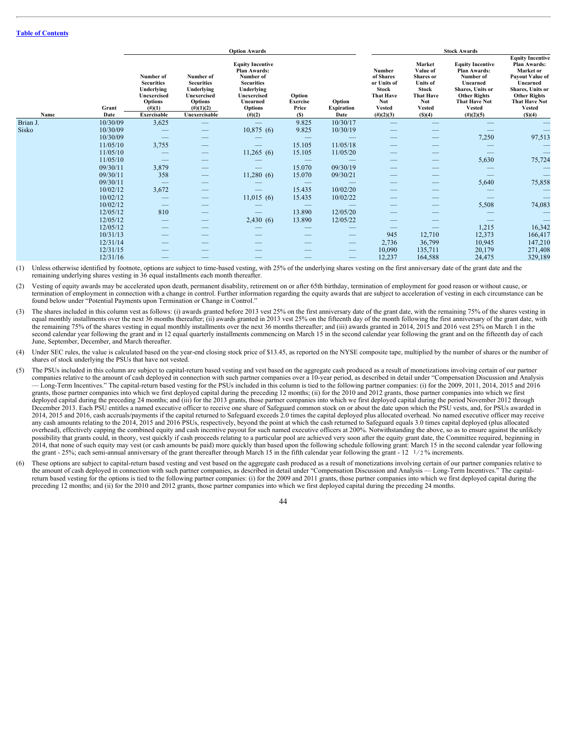| <b>Equity Incentive</b><br>Plan Awards:<br><b>Equity Incentive</b><br>Market<br><b>Equity Incentive</b><br>Value of<br>Market or<br>Number<br>Plan Awards:<br><b>Plan Awards:</b><br>Number of<br>of Shares<br>Shares or<br>Number of<br>Number of<br><b>Payout Value of</b><br>Number of<br>or Units of<br><b>Securities</b><br><b>Securities</b><br><b>Securities</b><br><b>Units</b> of<br>Unearned<br>Unearned<br>Shares, Units or<br>Underlying<br>Underlying<br>Underlying<br><b>Stock</b><br>Shares, Units or<br>Stock<br><b>Other Rights</b><br>Option<br><b>That Have</b><br><b>That Have</b><br><b>Other Rights</b><br>Unexercised<br>Unexercised<br>Unexercised<br>Exercise<br><b>Not</b><br><b>Not</b><br><b>That Have Not</b><br><b>That Have Not</b><br><b>Options</b><br><b>Options</b><br>Option<br>Unearned<br>$(\#)(1)(2)$<br>$(\#)(1)$<br>Price<br><b>Vested</b><br><b>Vested</b><br><b>Vested</b><br><b>Vested</b><br><b>Options</b><br><b>Expiration</b><br>Grant<br>Unexercisable<br>(S)(4)<br><b>Exercisable</b><br>$(\#)(2)(3)$<br>$(\#)(2)(5)$<br>Date<br>$(\#)(2)$<br>(S)<br>Date<br>(S)(4)<br>Name<br>3,625<br>9.825<br>Brian J.<br>10/30/09<br>10/30/17<br>$\overline{\phantom{m}}$<br>$\qquad \qquad -$<br>$\overline{\phantom{m}}$<br>$\qquad \qquad$<br>Sisko<br>10,875(6)<br>9.825<br>10/30/09<br>10/30/19<br>$\qquad \qquad$<br>$\hspace{0.1mm}-\hspace{0.1mm}$<br>$\overline{\phantom{0}}$<br>$\overbrace{\phantom{aaaaa}}$<br>7,250<br>97,513<br>10/30/09<br>$\qquad \qquad$<br>$\hspace{0.1mm}-\hspace{0.1mm}$<br>$\qquad \qquad$<br>$\hspace{0.1mm}-\hspace{0.1mm}$<br>$\hspace{0.1mm}-\hspace{0.1mm}$<br>$\overline{\phantom{m}}$<br>3,755<br>11/05/10<br>15.105<br>11/05/18<br>$\hspace{0.1mm}-\hspace{0.1mm}$<br>11,265(6)<br>11/05/10<br>15.105<br>11/05/20<br>$\hspace{0.1mm}-\hspace{0.1mm}$<br>$\overline{\phantom{m}}$<br>$\hspace{0.1mm}-\hspace{0.1mm}$<br>$\overline{\phantom{0}}$<br>$\overline{\phantom{m}}$<br>5,630<br>75,724<br>11/05/10<br>$\hspace{0.1mm}-\hspace{0.1mm}$<br>$\overline{\phantom{m}}$<br>$\hspace{0.1mm}-\hspace{0.1mm}$<br>$\qquad \qquad$<br>$\hspace{0.1mm}-\hspace{0.1mm}$<br>$\overline{\phantom{m}}$<br>3,879<br>15.070<br>09/30/19<br>09/30/11<br>$\overline{\phantom{a}}$<br>$\overline{\phantom{m}}$<br>$\qquad \qquad$<br>$-$<br>11,280(6)<br>358<br>15.070<br>09/30/21<br>09/30/11<br>$\hspace{0.1mm}-\hspace{0.1mm}$<br>$\overline{\phantom{a}}$<br>5,640<br>75,858<br>09/30/11<br>$\hspace{0.1mm}-\hspace{0.1mm}$<br>$\overline{\phantom{m}}$<br>$\hspace{0.1mm}-\hspace{0.1mm}$<br>$\hspace{0.1mm}-\hspace{0.1mm}$<br>$\overline{\phantom{a}}$<br>3,672<br>15.435<br>10/02/20<br>10/02/12<br>$\overline{\phantom{a}}$<br>$\qquad \qquad$<br>$\hspace{0.1mm}-\hspace{0.1mm}$<br>$\overline{\phantom{m}}$<br>$\overline{\phantom{a}}$<br>10/02/12<br>11,015(6)<br>15.435<br>10/02/22<br>$\qquad \qquad$<br>$\qquad \qquad$<br>$\qquad \qquad$<br>$\hspace{0.1mm}-\hspace{0.1mm}$<br>5,508<br>74,083<br>10/02/12<br>$\overline{\phantom{m}}$<br>$\hspace{0.1mm}-\hspace{0.1mm}$<br>$\hspace{0.1mm}-\hspace{0.1mm}$<br>$\qquad \qquad$<br>13.890<br>12/05/12<br>810<br>12/05/20<br>$\overline{\phantom{a}}$<br>$\qquad \qquad$<br>$\hspace{0.1mm}-\hspace{0.1mm}$<br>$\overline{\phantom{a}}$<br>2,430(6)<br>12/05/12<br>13.890<br>12/05/22<br>$\hspace{0.1mm}-\hspace{0.1mm}$<br>$\overline{\phantom{0}}$<br>$\hspace{0.1mm}-\hspace{0.1mm}$<br>1,215<br>16,342<br>12/05/12<br>$\overline{\phantom{0}}$<br>$\hspace{0.1mm}-\hspace{0.1mm}$<br>$\qquad \qquad$<br>$\hspace{0.1mm}-\hspace{0.1mm}$<br>12,373<br>166,417<br>10/31/13<br>945<br>12,710<br>$\overline{\phantom{m}}$<br>__<br>__<br>_<br>2,736<br>36,799<br>147,210<br>12/31/14<br>10,945<br>$\hspace{0.1mm}-\hspace{0.1mm}$<br>--<br>271,408<br>12/31/15<br>10,090<br>20,179<br>135,711<br>$\overline{\phantom{m}}$<br>__<br>12,237<br>164,588<br>24,475<br>329,189<br>12/31/16<br>$\hspace{0.1mm}-\hspace{0.1mm}$<br>-- |  |  | <b>Option Awards</b> |  |  | <b>Stock Awards</b> |  |
|-----------------------------------------------------------------------------------------------------------------------------------------------------------------------------------------------------------------------------------------------------------------------------------------------------------------------------------------------------------------------------------------------------------------------------------------------------------------------------------------------------------------------------------------------------------------------------------------------------------------------------------------------------------------------------------------------------------------------------------------------------------------------------------------------------------------------------------------------------------------------------------------------------------------------------------------------------------------------------------------------------------------------------------------------------------------------------------------------------------------------------------------------------------------------------------------------------------------------------------------------------------------------------------------------------------------------------------------------------------------------------------------------------------------------------------------------------------------------------------------------------------------------------------------------------------------------------------------------------------------------------------------------------------------------------------------------------------------------------------------------------------------------------------------------------------------------------------------------------------------------------------------------------------------------------------------------------------------------------------------------------------------------------------------------------------------------------------------------------------------------------------------------------------------------------------------------------------------------------------------------------------------------------------------------------------------------------------------------------------------------------------------------------------------------------------------------------------------------------------------------------------------------------------------------------------------------------------------------------------------------------------------------------------------------------------------------------------------------------------------------------------------------------------------------------------------------------------------------------------------------------------------------------------------------------------------------------------------------------------------------------------------------------------------------------------------------------------------------------------------------------------------------------------------------------------------------------------------------------------------------------------------------------------------------------------------------------------------------------------------------------------------------------------------------------------------------------------------------------------------------------------------------------------------------------------------------------------------------------------------------------------------------------------------------------------------------------------------------------------------------------------------------------------------------------------------------------------------------------------------------------------------------------------------------------------------------------------------------|--|--|----------------------|--|--|---------------------|--|
|                                                                                                                                                                                                                                                                                                                                                                                                                                                                                                                                                                                                                                                                                                                                                                                                                                                                                                                                                                                                                                                                                                                                                                                                                                                                                                                                                                                                                                                                                                                                                                                                                                                                                                                                                                                                                                                                                                                                                                                                                                                                                                                                                                                                                                                                                                                                                                                                                                                                                                                                                                                                                                                                                                                                                                                                                                                                                                                                                                                                                                                                                                                                                                                                                                                                                                                                                                                                                                                                                                                                                                                                                                                                                                                                                                                                                                                                                                                                                                       |  |  |                      |  |  |                     |  |
|                                                                                                                                                                                                                                                                                                                                                                                                                                                                                                                                                                                                                                                                                                                                                                                                                                                                                                                                                                                                                                                                                                                                                                                                                                                                                                                                                                                                                                                                                                                                                                                                                                                                                                                                                                                                                                                                                                                                                                                                                                                                                                                                                                                                                                                                                                                                                                                                                                                                                                                                                                                                                                                                                                                                                                                                                                                                                                                                                                                                                                                                                                                                                                                                                                                                                                                                                                                                                                                                                                                                                                                                                                                                                                                                                                                                                                                                                                                                                                       |  |  |                      |  |  |                     |  |
|                                                                                                                                                                                                                                                                                                                                                                                                                                                                                                                                                                                                                                                                                                                                                                                                                                                                                                                                                                                                                                                                                                                                                                                                                                                                                                                                                                                                                                                                                                                                                                                                                                                                                                                                                                                                                                                                                                                                                                                                                                                                                                                                                                                                                                                                                                                                                                                                                                                                                                                                                                                                                                                                                                                                                                                                                                                                                                                                                                                                                                                                                                                                                                                                                                                                                                                                                                                                                                                                                                                                                                                                                                                                                                                                                                                                                                                                                                                                                                       |  |  |                      |  |  |                     |  |
|                                                                                                                                                                                                                                                                                                                                                                                                                                                                                                                                                                                                                                                                                                                                                                                                                                                                                                                                                                                                                                                                                                                                                                                                                                                                                                                                                                                                                                                                                                                                                                                                                                                                                                                                                                                                                                                                                                                                                                                                                                                                                                                                                                                                                                                                                                                                                                                                                                                                                                                                                                                                                                                                                                                                                                                                                                                                                                                                                                                                                                                                                                                                                                                                                                                                                                                                                                                                                                                                                                                                                                                                                                                                                                                                                                                                                                                                                                                                                                       |  |  |                      |  |  |                     |  |
|                                                                                                                                                                                                                                                                                                                                                                                                                                                                                                                                                                                                                                                                                                                                                                                                                                                                                                                                                                                                                                                                                                                                                                                                                                                                                                                                                                                                                                                                                                                                                                                                                                                                                                                                                                                                                                                                                                                                                                                                                                                                                                                                                                                                                                                                                                                                                                                                                                                                                                                                                                                                                                                                                                                                                                                                                                                                                                                                                                                                                                                                                                                                                                                                                                                                                                                                                                                                                                                                                                                                                                                                                                                                                                                                                                                                                                                                                                                                                                       |  |  |                      |  |  |                     |  |
|                                                                                                                                                                                                                                                                                                                                                                                                                                                                                                                                                                                                                                                                                                                                                                                                                                                                                                                                                                                                                                                                                                                                                                                                                                                                                                                                                                                                                                                                                                                                                                                                                                                                                                                                                                                                                                                                                                                                                                                                                                                                                                                                                                                                                                                                                                                                                                                                                                                                                                                                                                                                                                                                                                                                                                                                                                                                                                                                                                                                                                                                                                                                                                                                                                                                                                                                                                                                                                                                                                                                                                                                                                                                                                                                                                                                                                                                                                                                                                       |  |  |                      |  |  |                     |  |
|                                                                                                                                                                                                                                                                                                                                                                                                                                                                                                                                                                                                                                                                                                                                                                                                                                                                                                                                                                                                                                                                                                                                                                                                                                                                                                                                                                                                                                                                                                                                                                                                                                                                                                                                                                                                                                                                                                                                                                                                                                                                                                                                                                                                                                                                                                                                                                                                                                                                                                                                                                                                                                                                                                                                                                                                                                                                                                                                                                                                                                                                                                                                                                                                                                                                                                                                                                                                                                                                                                                                                                                                                                                                                                                                                                                                                                                                                                                                                                       |  |  |                      |  |  |                     |  |
|                                                                                                                                                                                                                                                                                                                                                                                                                                                                                                                                                                                                                                                                                                                                                                                                                                                                                                                                                                                                                                                                                                                                                                                                                                                                                                                                                                                                                                                                                                                                                                                                                                                                                                                                                                                                                                                                                                                                                                                                                                                                                                                                                                                                                                                                                                                                                                                                                                                                                                                                                                                                                                                                                                                                                                                                                                                                                                                                                                                                                                                                                                                                                                                                                                                                                                                                                                                                                                                                                                                                                                                                                                                                                                                                                                                                                                                                                                                                                                       |  |  |                      |  |  |                     |  |
|                                                                                                                                                                                                                                                                                                                                                                                                                                                                                                                                                                                                                                                                                                                                                                                                                                                                                                                                                                                                                                                                                                                                                                                                                                                                                                                                                                                                                                                                                                                                                                                                                                                                                                                                                                                                                                                                                                                                                                                                                                                                                                                                                                                                                                                                                                                                                                                                                                                                                                                                                                                                                                                                                                                                                                                                                                                                                                                                                                                                                                                                                                                                                                                                                                                                                                                                                                                                                                                                                                                                                                                                                                                                                                                                                                                                                                                                                                                                                                       |  |  |                      |  |  |                     |  |
|                                                                                                                                                                                                                                                                                                                                                                                                                                                                                                                                                                                                                                                                                                                                                                                                                                                                                                                                                                                                                                                                                                                                                                                                                                                                                                                                                                                                                                                                                                                                                                                                                                                                                                                                                                                                                                                                                                                                                                                                                                                                                                                                                                                                                                                                                                                                                                                                                                                                                                                                                                                                                                                                                                                                                                                                                                                                                                                                                                                                                                                                                                                                                                                                                                                                                                                                                                                                                                                                                                                                                                                                                                                                                                                                                                                                                                                                                                                                                                       |  |  |                      |  |  |                     |  |
|                                                                                                                                                                                                                                                                                                                                                                                                                                                                                                                                                                                                                                                                                                                                                                                                                                                                                                                                                                                                                                                                                                                                                                                                                                                                                                                                                                                                                                                                                                                                                                                                                                                                                                                                                                                                                                                                                                                                                                                                                                                                                                                                                                                                                                                                                                                                                                                                                                                                                                                                                                                                                                                                                                                                                                                                                                                                                                                                                                                                                                                                                                                                                                                                                                                                                                                                                                                                                                                                                                                                                                                                                                                                                                                                                                                                                                                                                                                                                                       |  |  |                      |  |  |                     |  |
|                                                                                                                                                                                                                                                                                                                                                                                                                                                                                                                                                                                                                                                                                                                                                                                                                                                                                                                                                                                                                                                                                                                                                                                                                                                                                                                                                                                                                                                                                                                                                                                                                                                                                                                                                                                                                                                                                                                                                                                                                                                                                                                                                                                                                                                                                                                                                                                                                                                                                                                                                                                                                                                                                                                                                                                                                                                                                                                                                                                                                                                                                                                                                                                                                                                                                                                                                                                                                                                                                                                                                                                                                                                                                                                                                                                                                                                                                                                                                                       |  |  |                      |  |  |                     |  |
|                                                                                                                                                                                                                                                                                                                                                                                                                                                                                                                                                                                                                                                                                                                                                                                                                                                                                                                                                                                                                                                                                                                                                                                                                                                                                                                                                                                                                                                                                                                                                                                                                                                                                                                                                                                                                                                                                                                                                                                                                                                                                                                                                                                                                                                                                                                                                                                                                                                                                                                                                                                                                                                                                                                                                                                                                                                                                                                                                                                                                                                                                                                                                                                                                                                                                                                                                                                                                                                                                                                                                                                                                                                                                                                                                                                                                                                                                                                                                                       |  |  |                      |  |  |                     |  |
|                                                                                                                                                                                                                                                                                                                                                                                                                                                                                                                                                                                                                                                                                                                                                                                                                                                                                                                                                                                                                                                                                                                                                                                                                                                                                                                                                                                                                                                                                                                                                                                                                                                                                                                                                                                                                                                                                                                                                                                                                                                                                                                                                                                                                                                                                                                                                                                                                                                                                                                                                                                                                                                                                                                                                                                                                                                                                                                                                                                                                                                                                                                                                                                                                                                                                                                                                                                                                                                                                                                                                                                                                                                                                                                                                                                                                                                                                                                                                                       |  |  |                      |  |  |                     |  |
|                                                                                                                                                                                                                                                                                                                                                                                                                                                                                                                                                                                                                                                                                                                                                                                                                                                                                                                                                                                                                                                                                                                                                                                                                                                                                                                                                                                                                                                                                                                                                                                                                                                                                                                                                                                                                                                                                                                                                                                                                                                                                                                                                                                                                                                                                                                                                                                                                                                                                                                                                                                                                                                                                                                                                                                                                                                                                                                                                                                                                                                                                                                                                                                                                                                                                                                                                                                                                                                                                                                                                                                                                                                                                                                                                                                                                                                                                                                                                                       |  |  |                      |  |  |                     |  |
|                                                                                                                                                                                                                                                                                                                                                                                                                                                                                                                                                                                                                                                                                                                                                                                                                                                                                                                                                                                                                                                                                                                                                                                                                                                                                                                                                                                                                                                                                                                                                                                                                                                                                                                                                                                                                                                                                                                                                                                                                                                                                                                                                                                                                                                                                                                                                                                                                                                                                                                                                                                                                                                                                                                                                                                                                                                                                                                                                                                                                                                                                                                                                                                                                                                                                                                                                                                                                                                                                                                                                                                                                                                                                                                                                                                                                                                                                                                                                                       |  |  |                      |  |  |                     |  |
|                                                                                                                                                                                                                                                                                                                                                                                                                                                                                                                                                                                                                                                                                                                                                                                                                                                                                                                                                                                                                                                                                                                                                                                                                                                                                                                                                                                                                                                                                                                                                                                                                                                                                                                                                                                                                                                                                                                                                                                                                                                                                                                                                                                                                                                                                                                                                                                                                                                                                                                                                                                                                                                                                                                                                                                                                                                                                                                                                                                                                                                                                                                                                                                                                                                                                                                                                                                                                                                                                                                                                                                                                                                                                                                                                                                                                                                                                                                                                                       |  |  |                      |  |  |                     |  |
|                                                                                                                                                                                                                                                                                                                                                                                                                                                                                                                                                                                                                                                                                                                                                                                                                                                                                                                                                                                                                                                                                                                                                                                                                                                                                                                                                                                                                                                                                                                                                                                                                                                                                                                                                                                                                                                                                                                                                                                                                                                                                                                                                                                                                                                                                                                                                                                                                                                                                                                                                                                                                                                                                                                                                                                                                                                                                                                                                                                                                                                                                                                                                                                                                                                                                                                                                                                                                                                                                                                                                                                                                                                                                                                                                                                                                                                                                                                                                                       |  |  |                      |  |  |                     |  |
|                                                                                                                                                                                                                                                                                                                                                                                                                                                                                                                                                                                                                                                                                                                                                                                                                                                                                                                                                                                                                                                                                                                                                                                                                                                                                                                                                                                                                                                                                                                                                                                                                                                                                                                                                                                                                                                                                                                                                                                                                                                                                                                                                                                                                                                                                                                                                                                                                                                                                                                                                                                                                                                                                                                                                                                                                                                                                                                                                                                                                                                                                                                                                                                                                                                                                                                                                                                                                                                                                                                                                                                                                                                                                                                                                                                                                                                                                                                                                                       |  |  |                      |  |  |                     |  |

(1) Unless otherwise identified by footnote, options are subject to time-based vesting, with 25% of the underlying shares vesting on the first anniversary date of the grant date and the remaining underlying shares vesting in 36 equal installments each month thereafter.

(2) Vesting of equity awards may be accelerated upon death, permanent disability, retirement on or after 65th birthday, termination of employment for good reason or without cause, or termination of employment in connection with a change in control. Further information regarding the equity awards that are subject to acceleration of vesting in each circumstance can be found below under "Potential Payments upon Termination or Change in Control."

(3) The shares included in this column vest as follows: (i) awards granted before 2013 vest 25% on the first anniversary date of the grant date, with the remaining 75% of the shares vesting in equal monthly installments over the next 36 months thereafter; (ii) awards granted in 2013 vest 25% on the fifteenth day of the month following the first anniversary of the grant date, with the remaining 75% of the shares vesting in equal monthly installments over the next 36 months thereafter; and (iii) awards granted in 2014, 2015 and 2016 vest 25% on March 1 in the second calendar year following the grant and in 12 equal quarterly installments commencing on March 15 in the second calendar year following the grant and on the fifteenth day of each June, September, December, and March thereafter.

(4) Under SEC rules, the value is calculated based on the year-end closing stock price of \$13.45, as reported on the NYSE composite tape, multiplied by the number of shares or the number of shares of stock underlying the PSUs that have not vested.

(5) The PSUs included in this column are subject to capital-return based vesting and vest based on the aggregate cash produced as a result of monetizations involving certain of our partner companies relative to the amount of cash deployed in connection with such partner companies over a 10-year period, as described in detail under "Compensation Discussion and Analysis — Long-Term Incentives." The capital-return based vesting for the PSUs included in this column is tied to the following partner companies: (i) for the 2009, 2011, 2014, 2015 and 2016 grants, those partner companies into which we first deployed capital during the preceding 12 months; (ii) for the 2010 and 2012 grants, those partner companies into which we first deployed capital during the preceding 24 months; and (iii) for the 2013 grants, those partner companies into which we first deployed capital during the period November 2012 through December 2013. Each PSU entitles a named executive officer to receive one share of Safeguard common stock on or about the date upon which the PSU vests, and, for PSUs awarded in 2014, 2015 and 2016, cash accruals/payments if the capital returned to Safeguard exceeds 2.0 times the capital deployed plus allocated overhead. No named executive officer may receive any cash amounts relating to the 2014, 2015 and 2016 PSUs, respectively, beyond the point at which the cash returned to Safeguard equals 3.0 times capital deployed (plus allocated overhead), effectively capping the combined equity and cash incentive payout for such named executive officers at 200%. Notwithstanding the above, so as to ensure against the unlikely possibility that grants could, in theory, vest quickly if cash proceeds relating to a particular pool are achieved very soon after the equity grant date, the Committee required, beginning in 2014, that none of such equity may vest (or cash amounts be paid) more quickly than based upon the following schedule following grant: March 15 in the second calendar year following the grant - 25%; each semi-annual anniversary of the grant thereafter through March 15 in the fifth calendar year following the grant - 12  $\frac{1}{2}$ % increments.

(6) These options are subject to capital-return based vesting and vest based on the aggregate cash produced as a result of monetizations involving certain of our partner companies relative to the amount of cash deployed in connection with such partner companies, as described in detail under "Compensation Discussion and Analysis — Long-Term Incentives." The capitalreturn based vesting for the options is tied to the following partner companies: (i) for the 2009 and 2011 grants, those partner companies into which we first deployed capital during the preceding 12 months; and (ii) for the 2010 and 2012 grants, those partner companies into which we first deployed capital during the preceding 24 months.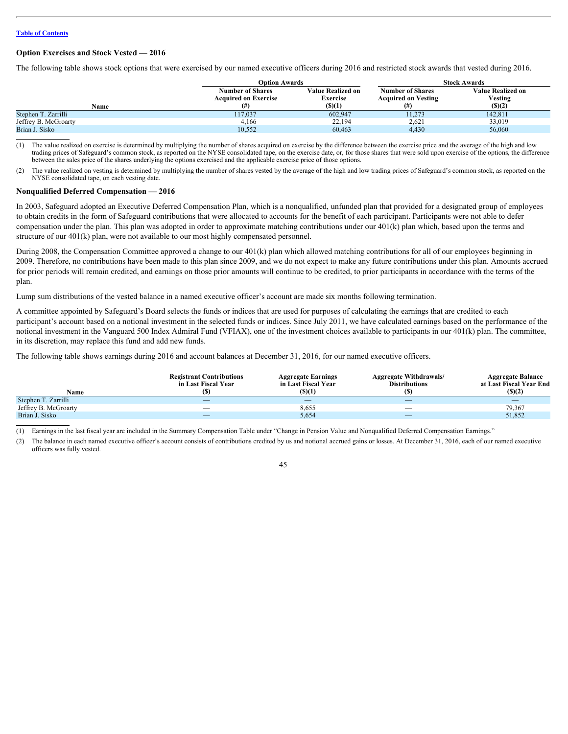#### <span id="page-48-0"></span>**Option Exercises and Stock Vested — 2016**

The following table shows stock options that were exercised by our named executive officers during 2016 and restricted stock awards that vested during 2016.

|                      | Option Awards                                          |                                      | <b>Stock Awards</b>                                   |                              |  |  |
|----------------------|--------------------------------------------------------|--------------------------------------|-------------------------------------------------------|------------------------------|--|--|
|                      | <b>Number of Shares</b><br><b>Acquired on Exercise</b> | <b>Value Realized on</b><br>Exercise | <b>Number of Shares</b><br><b>Acquired on Vesting</b> | Value Realized on<br>Vesting |  |  |
| Name                 |                                                        | $($ ) $(1)$                          | (# )                                                  | (S)(2)                       |  |  |
| Stephen T. Zarrilli  | 117,037                                                | 602,947                              | 11,273                                                | 142,811                      |  |  |
| Jeffrey B. McGroarty | 4,166                                                  | 22,194                               | 2,621                                                 | 33,019                       |  |  |
| Brian J. Sisko       | 10,552                                                 | 60,463                               | 4,430                                                 | 56,060                       |  |  |
|                      |                                                        |                                      |                                                       |                              |  |  |

The value realized on exercise is determined by multiplying the number of shares acquired on exercise by the difference between the exercise price and the average of the high and low trading prices of Safeguard's common stock, as reported on the NYSE consolidated tape, on the exercise date, or, for those shares that were sold upon exercise of the options, the difference between the sales price of the shares underlying the options exercised and the applicable exercise price of those options.

(2) The value realized on vesting is determined by multiplying the number of shares vested by the average of the high and low trading prices of Safeguard's common stock, as reported on the NYSE consolidated tape, on each vesting date.

#### <span id="page-48-1"></span>**Nonqualified Deferred Compensation — 2016**

In 2003, Safeguard adopted an Executive Deferred Compensation Plan, which is a nonqualified, unfunded plan that provided for a designated group of employees to obtain credits in the form of Safeguard contributions that were allocated to accounts for the benefit of each participant. Participants were not able to defer compensation under the plan. This plan was adopted in order to approximate matching contributions under our 401(k) plan which, based upon the terms and structure of our 401(k) plan, were not available to our most highly compensated personnel.

During 2008, the Compensation Committee approved a change to our 401(k) plan which allowed matching contributions for all of our employees beginning in 2009. Therefore, no contributions have been made to this plan since 2009, and we do not expect to make any future contributions under this plan. Amounts accrued for prior periods will remain credited, and earnings on those prior amounts will continue to be credited, to prior participants in accordance with the terms of the plan.

Lump sum distributions of the vested balance in a named executive officer's account are made six months following termination.

A committee appointed by Safeguard's Board selects the funds or indices that are used for purposes of calculating the earnings that are credited to each participant's account based on a notional investment in the selected funds or indices. Since July 2011, we have calculated earnings based on the performance of the notional investment in the Vanguard 500 Index Admiral Fund (VFIAX), one of the investment choices available to participants in our 401(k) plan. The committee, in its discretion, may replace this fund and add new funds.

The following table shows earnings during 2016 and account balances at December 31, 2016, for our named executive officers.

|                      | <b>Registrant Contributions</b><br>in Last Fiscal Year | <b>Aggregate Earnings</b><br>in Last Fiscal Year | <b>Aggregate Withdrawals/</b><br><b>Distributions</b> | <b>Aggregate Balance</b><br>at Last Fiscal Year End |
|----------------------|--------------------------------------------------------|--------------------------------------------------|-------------------------------------------------------|-----------------------------------------------------|
| Name                 |                                                        | (S)(1)                                           |                                                       | (S)(2)                                              |
| Stephen T. Zarrilli  | $\overline{\phantom{a}}$                               | $\overline{\phantom{a}}$                         | $\overline{\phantom{a}}$                              | $\overline{\phantom{m}}$                            |
| Jeffrey B. McGroarty | $\overline{\phantom{a}}$                               | 8,655                                            | $\overline{\phantom{a}}$                              | 79,367                                              |
| Brian J. Sisko       | $\overline{\phantom{a}}$                               | 5,654                                            | $\overbrace{\phantom{aaaaa}}$                         | 51,852                                              |
|                      |                                                        |                                                  |                                                       |                                                     |

Earnings in the last fiscal year are included in the Summary Compensation Table under "Change in Pension Value and Nonqualified Deferred Compensation Earnings."

(2) The balance in each named executive officer's account consists of contributions credited by us and notional accrued gains or losses. At December 31, 2016, each of our named executive officers was fully vested.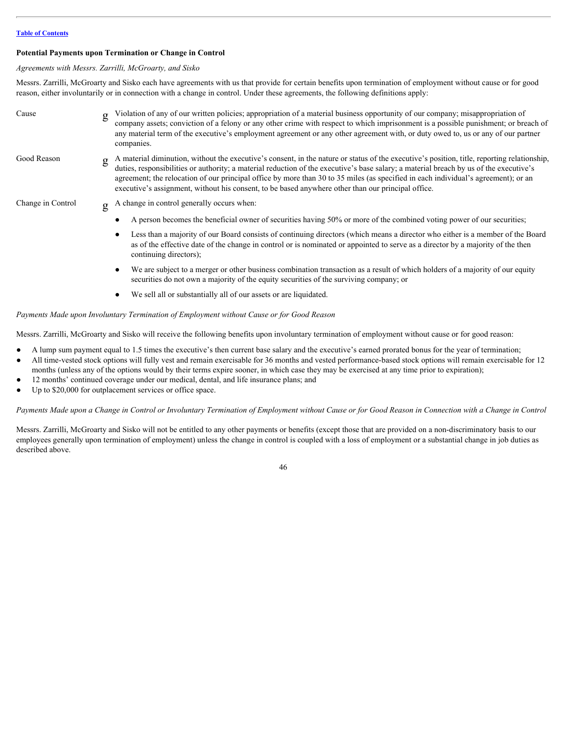#### <span id="page-49-0"></span>**Potential Payments upon Termination or Change in Control**

*Agreements with Messrs. Zarrilli, McGroarty, and Sisko*

Messrs. Zarrilli, McGroarty and Sisko each have agreements with us that provide for certain benefits upon termination of employment without cause or for good reason, either involuntarily or in connection with a change in control. Under these agreements, the following definitions apply:

| Cause             | g | Violation of any of our written policies; appropriation of a material business opportunity of our company; misappropriation of<br>company assets; conviction of a felony or any other crime with respect to which imprisonment is a possible punishment; or breach of<br>any material term of the executive's employment agreement or any other agreement with, or duty owed to, us or any of our partner<br>companies.                                                                                                           |
|-------------------|---|-----------------------------------------------------------------------------------------------------------------------------------------------------------------------------------------------------------------------------------------------------------------------------------------------------------------------------------------------------------------------------------------------------------------------------------------------------------------------------------------------------------------------------------|
| Good Reason       | g | A material diminution, without the executive's consent, in the nature or status of the executive's position, title, reporting relationship,<br>duties, responsibilities or authority; a material reduction of the executive's base salary; a material breach by us of the executive's<br>agreement; the relocation of our principal office by more than 30 to 35 miles (as specified in each individual's agreement); or an<br>executive's assignment, without his consent, to be based anywhere other than our principal office. |
| Change in Control | g | A change in control generally occurs when:                                                                                                                                                                                                                                                                                                                                                                                                                                                                                        |
|                   |   | A person becomes the beneficial owner of securities having 50% or more of the combined voting power of our securities;                                                                                                                                                                                                                                                                                                                                                                                                            |
|                   |   | Less than a majority of our Board consists of continuing directors (which means a director who either is a member of the Board<br>as of the effective date of the change in control or is nominated or appointed to serve as a director by a majority of the then<br>continuing directors);                                                                                                                                                                                                                                       |
|                   |   | We are subject to a merger or other business combination transaction as a result of which holders of a majority of our equity<br>securities do not own a majority of the equity securities of the surviving company; or                                                                                                                                                                                                                                                                                                           |
|                   |   | We sell all or substantially all of our assets or are liquidated.                                                                                                                                                                                                                                                                                                                                                                                                                                                                 |

#### *Payments Made upon Involuntary Termination of Employment without Cause or for Good Reason*

Messrs. Zarrilli, McGroarty and Sisko will receive the following benefits upon involuntary termination of employment without cause or for good reason:

- A lump sum payment equal to 1.5 times the executive's then current base salary and the executive's earned prorated bonus for the year of termination;
- All time-vested stock options will fully vest and remain exercisable for 36 months and vested performance-based stock options will remain exercisable for 12 months (unless any of the options would by their terms expire sooner, in which case they may be exercised at any time prior to expiration);
- 12 months' continued coverage under our medical, dental, and life insurance plans; and
- Up to \$20,000 for outplacement services or office space.

Payments Made upon a Change in Control or Involuntary Termination of Employment without Cause or for Good Reason in Connection with a Change in Control

Messrs. Zarrilli, McGroarty and Sisko will not be entitled to any other payments or benefits (except those that are provided on a non-discriminatory basis to our employees generally upon termination of employment) unless the change in control is coupled with a loss of employment or a substantial change in job duties as described above.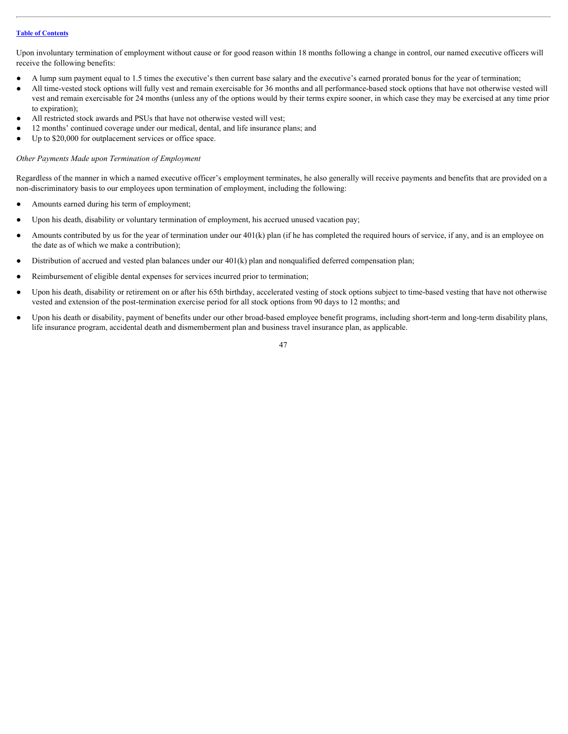Upon involuntary termination of employment without cause or for good reason within 18 months following a change in control, our named executive officers will receive the following benefits:

- A lump sum payment equal to 1.5 times the executive's then current base salary and the executive's earned prorated bonus for the year of termination;
- All time-vested stock options will fully vest and remain exercisable for 36 months and all performance-based stock options that have not otherwise vested will vest and remain exercisable for 24 months (unless any of the options would by their terms expire sooner, in which case they may be exercised at any time prior to expiration);
- All restricted stock awards and PSUs that have not otherwise vested will vest;
- 12 months' continued coverage under our medical, dental, and life insurance plans; and
- Up to \$20,000 for outplacement services or office space.

#### *Other Payments Made upon Termination of Employment*

Regardless of the manner in which a named executive officer's employment terminates, he also generally will receive payments and benefits that are provided on a non-discriminatory basis to our employees upon termination of employment, including the following:

- Amounts earned during his term of employment;
- Upon his death, disability or voluntary termination of employment, his accrued unused vacation pay;
- Amounts contributed by us for the year of termination under our  $401(k)$  plan (if he has completed the required hours of service, if any, and is an employee on the date as of which we make a contribution);
- Distribution of accrued and vested plan balances under our  $401(k)$  plan and nonqualified deferred compensation plan;
- Reimbursement of eligible dental expenses for services incurred prior to termination;
- Upon his death, disability or retirement on or after his 65th birthday, accelerated vesting of stock options subject to time-based vesting that have not otherwise vested and extension of the post-termination exercise period for all stock options from 90 days to 12 months; and
- Upon his death or disability, payment of benefits under our other broad-based employee benefit programs, including short-term and long-term disability plans, life insurance program, accidental death and dismemberment plan and business travel insurance plan, as applicable.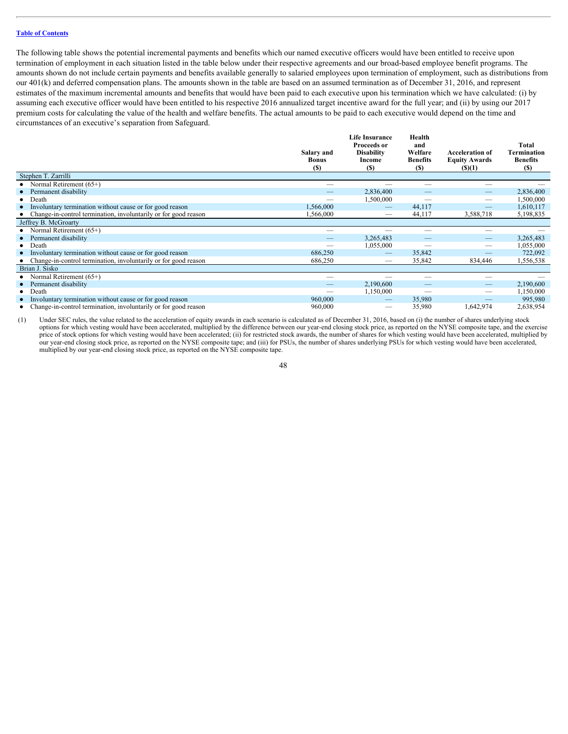The following table shows the potential incremental payments and benefits which our named executive officers would have been entitled to receive upon termination of employment in each situation listed in the table below under their respective agreements and our broad-based employee benefit programs. The amounts shown do not include certain payments and benefits available generally to salaried employees upon termination of employment, such as distributions from our 401(k) and deferred compensation plans. The amounts shown in the table are based on an assumed termination as of December 31, 2016, and represent estimates of the maximum incremental amounts and benefits that would have been paid to each executive upon his termination which we have calculated: (i) by assuming each executive officer would have been entitled to his respective 2016 annualized target incentive award for the full year; and (ii) by using our 2017 premium costs for calculating the value of the health and welfare benefits. The actual amounts to be paid to each executive would depend on the time and circumstances of an executive's separation from Safeguard.

|                                                                   | Salary and<br><b>Bonus</b><br><b>(S)</b> | <b>Life Insurance</b><br><b>Proceeds or</b><br><b>Disability</b><br>Income<br>(S) | Health<br>and<br>Welfare<br><b>Benefits</b><br><b>(S)</b> | <b>Acceleration of</b><br><b>Equity Awards</b><br>(S)(1) | <b>Total</b><br>Termination<br><b>Benefits</b><br><b>(\$)</b> |
|-------------------------------------------------------------------|------------------------------------------|-----------------------------------------------------------------------------------|-----------------------------------------------------------|----------------------------------------------------------|---------------------------------------------------------------|
| Stephen T. Zarrilli                                               |                                          |                                                                                   |                                                           |                                                          |                                                               |
| • Normal Retirement $(65+)$                                       | $\hspace{0.05cm}$                        | –                                                                                 |                                                           |                                                          |                                                               |
| • Permanent disability                                            |                                          | 2,836,400                                                                         | $\overline{\phantom{m}}$                                  |                                                          | 2,836,400                                                     |
| $\bullet$ Death                                                   |                                          | 1,500,000                                                                         | $\hspace{0.1mm}-\hspace{0.1mm}$                           |                                                          | ,500,000                                                      |
| • Involuntary termination without cause or for good reason        | 1,566,000                                | $\hspace{0.1mm}-\hspace{0.1mm}$                                                   | 44,117                                                    | $\overline{\phantom{m}}$                                 | 1,610,117                                                     |
| • Change-in-control termination, involuntarily or for good reason | 1,566,000                                |                                                                                   | 44,117                                                    | 3,588,718                                                | 5,198,835                                                     |
| Jeffrey B. McGroarty                                              |                                          |                                                                                   |                                                           |                                                          |                                                               |
| • Normal Retirement $(65+)$                                       | $\hspace{0.05cm}$                        |                                                                                   |                                                           |                                                          |                                                               |
| • Permanent disability                                            | $\overline{\phantom{m}}$                 | 3,265,483                                                                         |                                                           | $\overline{\phantom{a}}$                                 | 3,265,483                                                     |
| $\bullet$ Death                                                   | $\hspace{0.05cm}$                        | 1,055,000                                                                         | $\hspace{0.05cm}$                                         | $\overbrace{\phantom{12333}}$                            | 1,055,000                                                     |
| • Involuntary termination without cause or for good reason        | 686,250                                  |                                                                                   | 35,842                                                    |                                                          | 722,092                                                       |
| • Change-in-control termination, involuntarily or for good reason | 686,250                                  | $\hspace{0.05cm}$                                                                 | 35,842                                                    | 834,446                                                  | 1,556,538                                                     |
| Brian J. Sisko                                                    |                                          |                                                                                   |                                                           |                                                          |                                                               |
| • Normal Retirement $(65+)$                                       |                                          |                                                                                   |                                                           |                                                          |                                                               |
| • Permanent disability                                            | $\overline{\phantom{m}}$                 | 2,190,600                                                                         |                                                           | $\hspace{0.1mm}-\hspace{0.1mm}$                          | 2,190,600                                                     |
| $\bullet$ Death                                                   | $\hspace{0.05cm}$                        | 1,150,000                                                                         | $\hspace{0.05cm}$                                         | $\overbrace{\phantom{13333}}$                            | 1,150,000                                                     |
| • Involuntary termination without cause or for good reason        | 960,000                                  |                                                                                   | 35,980                                                    |                                                          | 995,980                                                       |
| • Change-in-control termination, involuntarily or for good reason | 960,000                                  | $\hspace{0.05cm}$                                                                 | 35,980                                                    | 1,642,974                                                | 2,638,954                                                     |

(1) Under SEC rules, the value related to the acceleration of equity awards in each scenario is calculated as of December 31, 2016, based on (i) the number of shares underlying stock options for which vesting would have been accelerated, multiplied by the difference between our year-end closing stock price, as reported on the NYSE composite tape, and the exercise price of stock options for which vesting would have been accelerated; (ii) for restricted stock awards, the number of shares for which vesting would have been accelerated, multiplied by our year-end closing stock price, as reported on the NYSE composite tape; and (iii) for PSUs, the number of shares underlying PSUs for which vesting would have been accelerated, multiplied by our year-end closing stock price, as reported on the NYSE composite tape.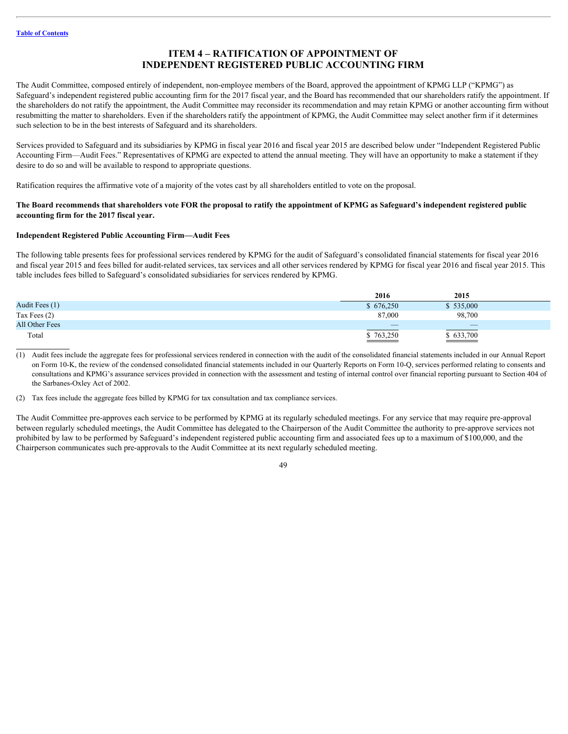# <span id="page-52-0"></span>**ITEM 4 – RATIFICATION OF APPOINTMENT OF INDEPENDENT REGISTERED PUBLIC ACCOUNTING FIRM**

The Audit Committee, composed entirely of independent, non-employee members of the Board, approved the appointment of KPMG LLP ("KPMG") as Safeguard's independent registered public accounting firm for the 2017 fiscal year, and the Board has recommended that our shareholders ratify the appointment. If the shareholders do not ratify the appointment, the Audit Committee may reconsider its recommendation and may retain KPMG or another accounting firm without resubmitting the matter to shareholders. Even if the shareholders ratify the appointment of KPMG, the Audit Committee may select another firm if it determines such selection to be in the best interests of Safeguard and its shareholders.

Services provided to Safeguard and its subsidiaries by KPMG in fiscal year 2016 and fiscal year 2015 are described below under "Independent Registered Public Accounting Firm—Audit Fees." Representatives of KPMG are expected to attend the annual meeting. They will have an opportunity to make a statement if they desire to do so and will be available to respond to appropriate questions.

Ratification requires the affirmative vote of a majority of the votes cast by all shareholders entitled to vote on the proposal.

#### **The Board recommends that shareholders vote FOR the proposal to ratify the appointment of KPMG as Safeguard's independent registered public accounting firm for the 2017 fiscal year.**

#### **Independent Registered Public Accounting Firm—Audit Fees**

The following table presents fees for professional services rendered by KPMG for the audit of Safeguard's consolidated financial statements for fiscal year 2016 and fiscal year 2015 and fees billed for audit-related services, tax services and all other services rendered by KPMG for fiscal year 2016 and fiscal year 2015. This table includes fees billed to Safeguard's consolidated subsidiaries for services rendered by KPMG.

|                | 2016                                                                                                   | 2015                   |  |
|----------------|--------------------------------------------------------------------------------------------------------|------------------------|--|
| Audit Fees (1) | 676,250                                                                                                | \$535,000              |  |
| Tax Fees (2)   | 87,000                                                                                                 | 98,700                 |  |
| All Other Fees | $\overline{\phantom{a}}$                                                                               |                        |  |
| Total          | $\overline{$}3,250$<br>the contract of the contract of the contract of the contract of the contract of | $\overline{$}$ 633,700 |  |

(1) Audit fees include the aggregate fees for professional services rendered in connection with the audit of the consolidated financial statements included in our Annual Report on Form 10-K, the review of the condensed consolidated financial statements included in our Quarterly Reports on Form 10-Q, services performed relating to consents and consultations and KPMG's assurance services provided in connection with the assessment and testing of internal control over financial reporting pursuant to Section 404 of the Sarbanes-Oxley Act of 2002.

(2) Tax fees include the aggregate fees billed by KPMG for tax consultation and tax compliance services.

The Audit Committee pre-approves each service to be performed by KPMG at its regularly scheduled meetings. For any service that may require pre-approval between regularly scheduled meetings, the Audit Committee has delegated to the Chairperson of the Audit Committee the authority to pre-approve services not prohibited by law to be performed by Safeguard's independent registered public accounting firm and associated fees up to a maximum of \$100,000, and the Chairperson communicates such pre-approvals to the Audit Committee at its next regularly scheduled meeting.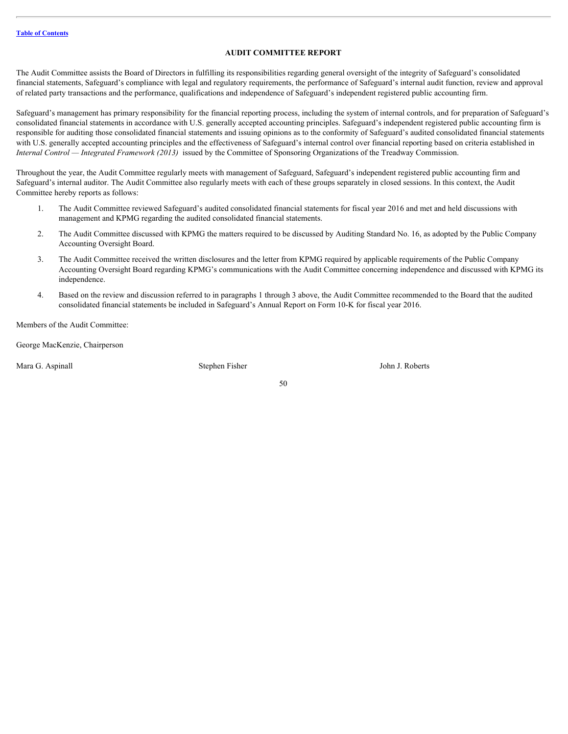### <span id="page-53-0"></span>**AUDIT COMMITTEE REPORT**

The Audit Committee assists the Board of Directors in fulfilling its responsibilities regarding general oversight of the integrity of Safeguard's consolidated financial statements, Safeguard's compliance with legal and regulatory requirements, the performance of Safeguard's internal audit function, review and approval of related party transactions and the performance, qualifications and independence of Safeguard's independent registered public accounting firm.

Safeguard's management has primary responsibility for the financial reporting process, including the system of internal controls, and for preparation of Safeguard's consolidated financial statements in accordance with U.S. generally accepted accounting principles. Safeguard's independent registered public accounting firm is responsible for auditing those consolidated financial statements and issuing opinions as to the conformity of Safeguard's audited consolidated financial statements with U.S. generally accepted accounting principles and the effectiveness of Safeguard's internal control over financial reporting based on criteria established in *Internal Control — Integrated Framework (2013)* issued by the Committee of Sponsoring Organizations of the Treadway Commission.

Throughout the year, the Audit Committee regularly meets with management of Safeguard, Safeguard's independent registered public accounting firm and Safeguard's internal auditor. The Audit Committee also regularly meets with each of these groups separately in closed sessions. In this context, the Audit Committee hereby reports as follows:

- 1. The Audit Committee reviewed Safeguard's audited consolidated financial statements for fiscal year 2016 and met and held discussions with management and KPMG regarding the audited consolidated financial statements.
- 2. The Audit Committee discussed with KPMG the matters required to be discussed by Auditing Standard No. 16, as adopted by the Public Company Accounting Oversight Board.
- 3. The Audit Committee received the written disclosures and the letter from KPMG required by applicable requirements of the Public Company Accounting Oversight Board regarding KPMG's communications with the Audit Committee concerning independence and discussed with KPMG its independence.
- 4. Based on the review and discussion referred to in paragraphs 1 through 3 above, the Audit Committee recommended to the Board that the audited consolidated financial statements be included in Safeguard's Annual Report on Form 10-K for fiscal year 2016.

50

Members of the Audit Committee:

George MacKenzie, Chairperson

Mara G. Aspinall Stephen Fisher Stephen Fisher Stephen Fisher John J. Roberts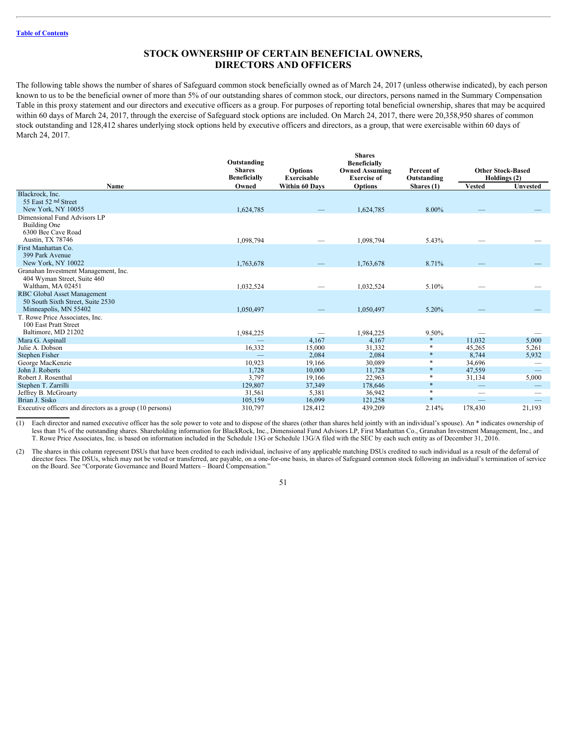### <span id="page-54-0"></span>**STOCK OWNERSHIP OF CERTAIN BENEFICIAL OWNERS, DIRECTORS AND OFFICERS**

The following table shows the number of shares of Safeguard common stock beneficially owned as of March 24, 2017 (unless otherwise indicated), by each person known to us to be the beneficial owner of more than 5% of our outstanding shares of common stock, our directors, persons named in the Summary Compensation Table in this proxy statement and our directors and executive officers as a group. For purposes of reporting total beneficial ownership, shares that may be acquired within 60 days of March 24, 2017, through the exercise of Safeguard stock options are included. On March 24, 2017, there were 20,358,950 shares of common stock outstanding and 128,412 shares underlying stock options held by executive officers and directors, as a group, that were exercisable within 60 days of March 24, 2017.

|                                                                                           | Outstanding<br><b>Shares</b><br><b>Beneficially</b> | <b>Options</b><br>Exercisable | <b>Shares</b><br><b>Beneficially</b><br><b>Owned Assuming</b><br><b>Exercise of</b> | Percent of<br>Outstanding |                               | <b>Other Stock-Based</b><br>Holdings (2) |
|-------------------------------------------------------------------------------------------|-----------------------------------------------------|-------------------------------|-------------------------------------------------------------------------------------|---------------------------|-------------------------------|------------------------------------------|
| Name                                                                                      | Owned                                               | <b>Within 60 Days</b>         | <b>Options</b>                                                                      | Shares (1)                | <b>Vested</b>                 | Unvested                                 |
| Blackrock, Inc.<br>55 East 52 nd Street<br>New York, NY 10055                             |                                                     |                               |                                                                                     | 8.00%                     |                               |                                          |
| Dimensional Fund Advisors LP                                                              | 1,624,785                                           |                               | 1,624,785                                                                           |                           |                               |                                          |
| Building One<br>6300 Bee Cave Road                                                        |                                                     |                               |                                                                                     |                           |                               |                                          |
| Austin, TX 78746                                                                          | 1,098,794                                           |                               | 1,098,794                                                                           | 5.43%                     |                               |                                          |
| First Manhattan Co.<br>399 Park Avenue<br>New York, NY 10022                              | 1,763,678                                           |                               | 1,763,678                                                                           | 8.71%                     |                               |                                          |
| Granahan Investment Management, Inc.<br>404 Wyman Street, Suite 460<br>Waltham, MA 02451  | 1,032,524                                           |                               | 1,032,524                                                                           | 5.10%                     |                               |                                          |
| RBC Global Asset Management<br>50 South Sixth Street, Suite 2530<br>Minneapolis, MN 55402 |                                                     |                               |                                                                                     |                           |                               |                                          |
|                                                                                           | 1,050,497                                           |                               | 1,050,497                                                                           | 5.20%                     |                               |                                          |
| T. Rowe Price Associates, Inc.<br>100 East Pratt Street<br>Baltimore, MD 21202            | 1,984,225                                           | $\hspace{0.05cm}$             | 1,984,225                                                                           | 9.50%                     |                               |                                          |
| Mara G. Aspinall                                                                          |                                                     | 4,167                         | 4,167                                                                               | $\ast$                    | 11,032                        | 5,000                                    |
| Julie A. Dobson                                                                           | 16,332                                              | 15,000                        | 31,332                                                                              |                           | 45,265                        | 5,261                                    |
| Stephen Fisher                                                                            |                                                     | 2,084                         | 2,084                                                                               | $\ast$                    | 8,744                         | 5,932                                    |
| George MacKenzie                                                                          | 10,923                                              | 19,166                        | 30,089                                                                              | $\ast$                    | 34,696                        |                                          |
| John J. Roberts                                                                           | 1,728                                               | 10,000                        | 11,728                                                                              | $\ast$                    | 47,559                        | $\overline{\phantom{m}}$                 |
| Robert J. Rosenthal                                                                       | 3,797                                               | 19,166                        | 22,963                                                                              | $\ast$                    | 31,134                        | 5,000                                    |
| Stephen T. Zarrilli                                                                       | 129,807                                             | 37,349                        | 178,646                                                                             | $\ast$                    |                               | $\qquad \qquad -$                        |
| Jeffrey B. McGroarty                                                                      | 31,561                                              | 5,381                         | 36,942                                                                              | $\ast$                    | $\overbrace{\phantom{12333}}$ | $\qquad \qquad$                          |
| Brian J. Sisko                                                                            | 105,159                                             | 16,099                        | 121,258                                                                             | $\ast$                    |                               | $\overline{\phantom{m}}$                 |
| Executive officers and directors as a group (10 persons)                                  | 310,797                                             | 128,412                       | 439,209                                                                             | 2.14%                     | 178,430                       | 21,193                                   |
|                                                                                           |                                                     |                               |                                                                                     |                           |                               |                                          |

(1) Each director and named executive officer has the sole power to vote and to dispose of the shares (other than shares held jointly with an individual's spouse). An \* indicates ownership of less than 1% of the outstanding shares. Shareholding information for BlackRock, Inc., Dimensional Fund Advisors LP, First Manhattan Co., Granahan Investment Management, Inc., and T. Rowe Price Associates, Inc. is based on information included in the Schedule 13G or Schedule 13G/A filed with the SEC by each such entity as of December 31, 2016.

(2) The shares in this column represent DSUs that have been credited to each individual, inclusive of any applicable matching DSUs credited to such individual as a result of the deferral of director fees. The DSUs, which may not be voted or transferred, are payable, on a one-for-one basis, in shares of Safeguard common stock following an individual's termination of service on the Board. See "Corporate Governance and Board Matters – Board Compensation."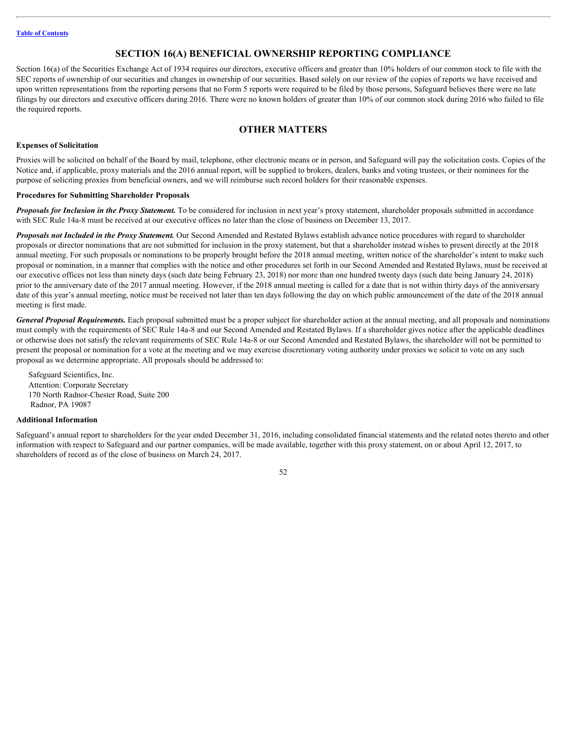## <span id="page-55-0"></span>**SECTION 16(A) BENEFICIAL OWNERSHIP REPORTING COMPLIANCE**

Section 16(a) of the Securities Exchange Act of 1934 requires our directors, executive officers and greater than 10% holders of our common stock to file with the SEC reports of ownership of our securities and changes in ownership of our securities. Based solely on our review of the copies of reports we have received and upon written representations from the reporting persons that no Form 5 reports were required to be filed by those persons, Safeguard believes there were no late filings by our directors and executive officers during 2016. There were no known holders of greater than 10% of our common stock during 2016 who failed to file the required reports.

# <span id="page-55-1"></span>**OTHER MATTERS**

#### <span id="page-55-2"></span>**Expenses of Solicitation**

Proxies will be solicited on behalf of the Board by mail, telephone, other electronic means or in person, and Safeguard will pay the solicitation costs. Copies of the Notice and, if applicable, proxy materials and the 2016 annual report, will be supplied to brokers, dealers, banks and voting trustees, or their nominees for the purpose of soliciting proxies from beneficial owners, and we will reimburse such record holders for their reasonable expenses.

#### <span id="page-55-3"></span>**Procedures for Submitting Shareholder Proposals**

*Proposals for Inclusion in the Proxy Statement.* To be considered for inclusion in next year's proxy statement, shareholder proposals submitted in accordance with SEC Rule 14a-8 must be received at our executive offices no later than the close of business on December 13, 2017.

**Proposals not Included in the Proxy Statement.** Our Second Amended and Restated Bylaws establish advance notice procedures with regard to shareholder proposals or director nominations that are not submitted for inclusion in the proxy statement, but that a shareholder instead wishes to present directly at the 2018 annual meeting. For such proposals or nominations to be properly brought before the 2018 annual meeting, written notice of the shareholder's intent to make such proposal or nomination, in a manner that complies with the notice and other procedures set forth in our Second Amended and Restated Bylaws, must be received at our executive offices not less than ninety days (such date being February 23, 2018) nor more than one hundred twenty days (such date being January 24, 2018) prior to the anniversary date of the 2017 annual meeting. However, if the 2018 annual meeting is called for a date that is not within thirty days of the anniversary date of this year's annual meeting, notice must be received not later than ten days following the day on which public announcement of the date of the 2018 annual meeting is first made.

General Proposal Requirements. Each proposal submitted must be a proper subject for shareholder action at the annual meeting, and all proposals and nominations must comply with the requirements of SEC Rule 14a-8 and our Second Amended and Restated Bylaws. If a shareholder gives notice after the applicable deadlines or otherwise does not satisfy the relevant requirements of SEC Rule 14a-8 or our Second Amended and Restated Bylaws, the shareholder will not be permitted to present the proposal or nomination for a vote at the meeting and we may exercise discretionary voting authority under proxies we solicit to vote on any such proposal as we determine appropriate. All proposals should be addressed to:

 Safeguard Scientifics, Inc. Attention: Corporate Secretary 170 North Radnor-Chester Road, Suite 200 Radnor, PA 19087

#### <span id="page-55-4"></span>**Additional Information**

Safeguard's annual report to shareholders for the year ended December 31, 2016, including consolidated financial statements and the related notes thereto and other information with respect to Safeguard and our partner companies, will be made available, together with this proxy statement, on or about April 12, 2017, to shareholders of record as of the close of business on March 24, 2017.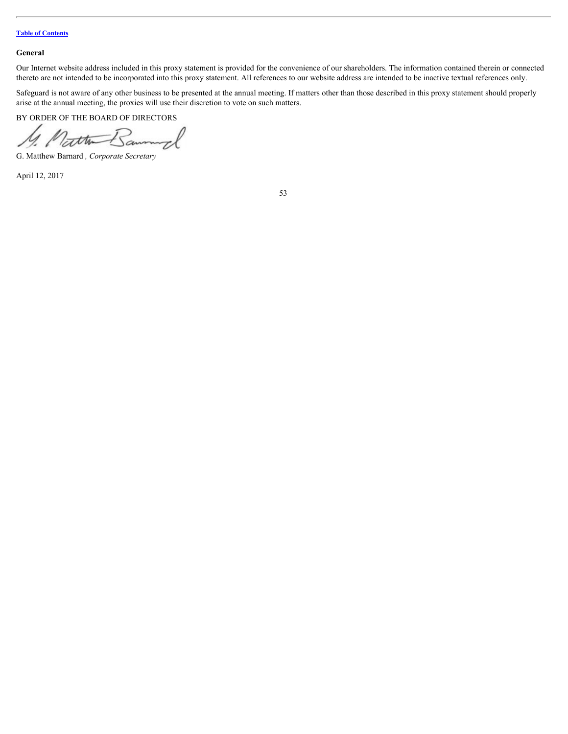#### <span id="page-56-0"></span>**General**

Our Internet website address included in this proxy statement is provided for the convenience of our shareholders. The information contained therein or connected thereto are not intended to be incorporated into this proxy statement. All references to our website address are intended to be inactive textual references only.

Safeguard is not aware of any other business to be presented at the annual meeting. If matters other than those described in this proxy statement should properly arise at the annual meeting, the proxies will use their discretion to vote on such matters.

BY ORDER OF THE BOARD OF DIRECTORS

ttu-

G. Matthew Barnard *, Corporate Secretary*

April 12, 2017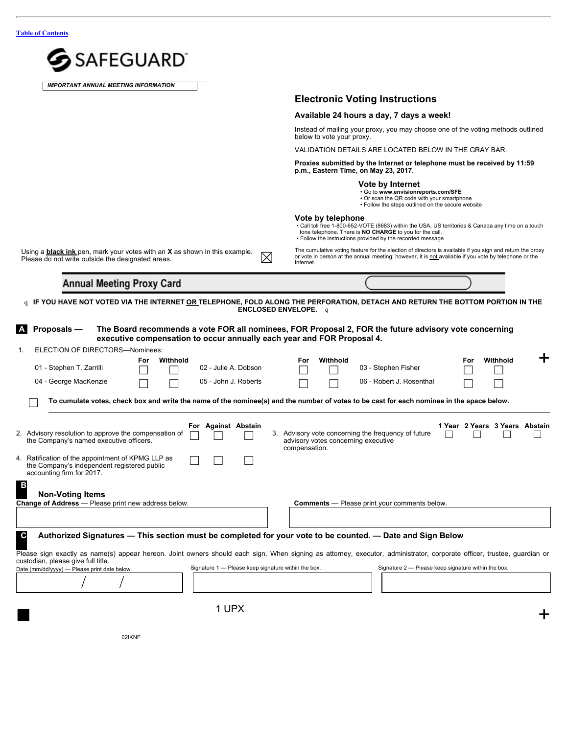| <b>SAFEGUARD</b>                                                                                                                                                                                                                                                                                                                                                                                                 |                                                                                                                                                                                                                                                  |
|------------------------------------------------------------------------------------------------------------------------------------------------------------------------------------------------------------------------------------------------------------------------------------------------------------------------------------------------------------------------------------------------------------------|--------------------------------------------------------------------------------------------------------------------------------------------------------------------------------------------------------------------------------------------------|
| <b>IMPORTANT ANNUAL MEETING INFORMATION</b>                                                                                                                                                                                                                                                                                                                                                                      |                                                                                                                                                                                                                                                  |
|                                                                                                                                                                                                                                                                                                                                                                                                                  | <b>Electronic Voting Instructions</b>                                                                                                                                                                                                            |
|                                                                                                                                                                                                                                                                                                                                                                                                                  | Available 24 hours a day, 7 days a week!                                                                                                                                                                                                         |
|                                                                                                                                                                                                                                                                                                                                                                                                                  | Instead of mailing your proxy, you may choose one of the voting methods outlined<br>below to vote your proxy.                                                                                                                                    |
|                                                                                                                                                                                                                                                                                                                                                                                                                  | VALIDATION DETAILS ARE LOCATED BELOW IN THE GRAY BAR.                                                                                                                                                                                            |
|                                                                                                                                                                                                                                                                                                                                                                                                                  | Proxies submitted by the Internet or telephone must be received by 11:59<br>p.m., Eastern Time, on May 23, 2017.                                                                                                                                 |
|                                                                                                                                                                                                                                                                                                                                                                                                                  | Vote by Internet<br>. Go to www.envisionreports.com/SFE<br>• Or scan the QR code with your smartphone<br>• Follow the steps outlined on the secure website                                                                                       |
|                                                                                                                                                                                                                                                                                                                                                                                                                  | Vote by telephone<br>• Call toll free 1-800-652-VOTE (8683) within the USA, US territories & Canada any time on a touch<br>tone telephone. There is NO CHARGE to you for the call.<br>• Follow the instructions provided by the recorded message |
| Using a <b>black ink</b> pen, mark your votes with an X as shown in this example.<br>$\boxtimes$<br>Please do not write outside the designated areas.                                                                                                                                                                                                                                                            | The cumulative voting feature for the election of directors is available if you sign and return the proxy<br>or vote in person at the annual meeting; however, it is not available if you vote by telephone or the<br>Internet.                  |
| <b>Annual Meeting Proxy Card</b>                                                                                                                                                                                                                                                                                                                                                                                 |                                                                                                                                                                                                                                                  |
| <b>ENCLOSED ENVELOPE.</b>                                                                                                                                                                                                                                                                                                                                                                                        | q IF YOU HAVE NOT VOTED VIA THE INTERNET <u>OR </u> TELEPHONE, FOLD ALONG THE PERFORATION, DETACH AND RETURN THE BOTTOM PORTION IN THE<br>$\alpha$                                                                                               |
| ELECTION OF DIRECTORS-Nominees:<br>Withhold<br>For<br>02 - Julie A. Dobson<br>01 - Stephen T. Zarrilli<br>04 - George MacKenzie<br>$\Box$<br>05 - John J. Roberts<br>o cumulate votes, check box and write the name of the nominee(s) and the number of votes to be cast for each nominee in the space below.                                                                                                    | ╈<br>Withhold<br>Withhold<br>For<br>For<br>03 - Stephen Fisher<br>06 - Robert J. Rosenthal<br>П                                                                                                                                                  |
| For Against Abstain<br>Advisory resolution to approve the compensation of<br>2.<br>$\Box$<br>З.<br>the Company's named executive officers.<br>Ratification of the appointment of KPMG LLP as<br>$\Box$<br>$\Box$<br>$\Box$<br>4.<br>the Company's independent registered public<br>accounting firm for 2017.<br>$\overline{B}$<br><b>Non-Voting Items</b><br>Change of Address - Please print new address below. | 1 Year 2 Years 3 Years Abstain<br>Advisory vote concerning the frequency of future<br>г<br>advisory votes concerning executive<br>compensation.<br><b>Comments</b> - Please print your comments below.                                           |
|                                                                                                                                                                                                                                                                                                                                                                                                                  |                                                                                                                                                                                                                                                  |
| $\mathbf{c}$<br>Authorized Signatures - This section must be completed for your vote to be counted. - Date and Sign Below<br>custodian, please give full title.<br>Signature 1 - Please keep signature within the box.<br>Date (mm/dd/yyyy) - Please print date below.                                                                                                                                           | Please sign exactly as name(s) appear hereon. Joint owners should each sign. When signing as attorney, executor, administrator, corporate officer, trustee, guardian or<br>Signature 2 - Please keep signature within the box.                   |
|                                                                                                                                                                                                                                                                                                                                                                                                                  |                                                                                                                                                                                                                                                  |
| 1 UPX                                                                                                                                                                                                                                                                                                                                                                                                            |                                                                                                                                                                                                                                                  |
|                                                                                                                                                                                                                                                                                                                                                                                                                  | ┭                                                                                                                                                                                                                                                |
| 02IKNF                                                                                                                                                                                                                                                                                                                                                                                                           |                                                                                                                                                                                                                                                  |

02IKNF